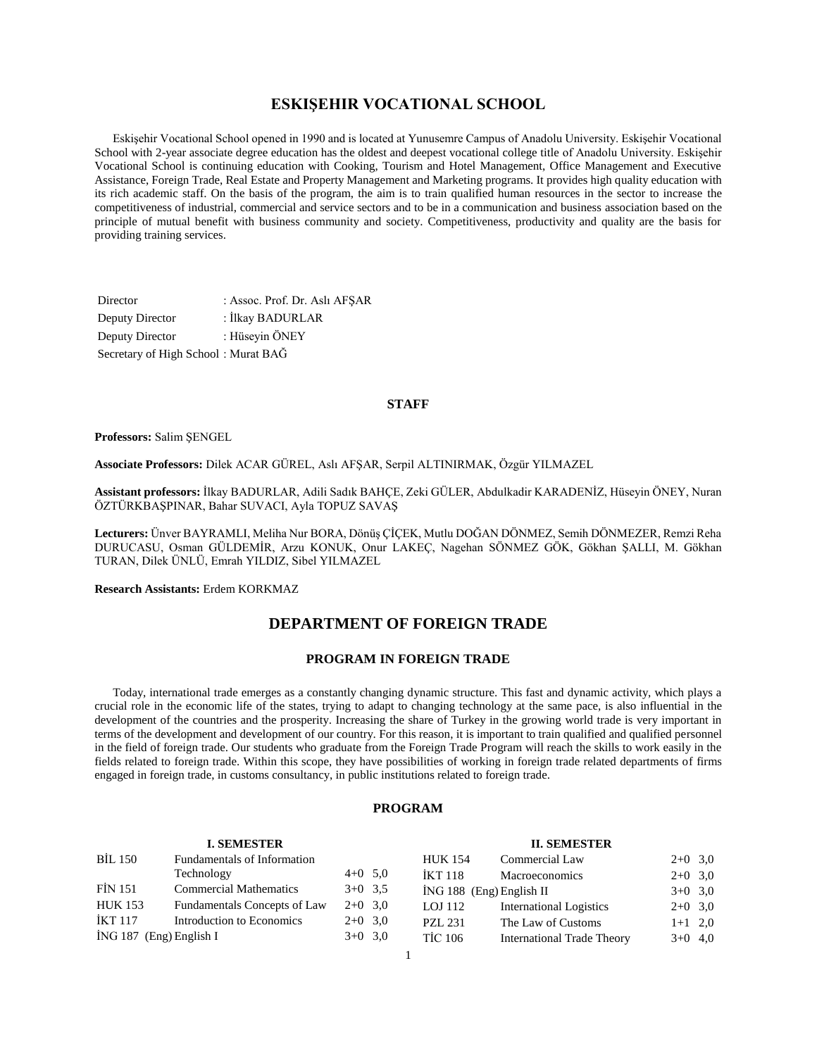# **ESKIŞEHIR VOCATIONAL SCHOOL**

 Eskişehir Vocational School opened in 1990 and is located at Yunusemre Campus of Anadolu University. Eskişehir Vocational School with 2-year associate degree education has the oldest and deepest vocational college title of Anadolu University. Eskişehir Vocational School is continuing education with Cooking, Tourism and Hotel Management, Office Management and Executive Assistance, Foreign Trade, Real Estate and Property Management and Marketing programs. It provides high quality education with its rich academic staff. On the basis of the program, the aim is to train qualified human resources in the sector to increase the competitiveness of industrial, commercial and service sectors and to be in a communication and business association based on the principle of mutual benefit with business community and society. Competitiveness, productivity and quality are the basis for providing training services.

| Director                            | : Assoc. Prof. Dr. Aslı AFSAR |
|-------------------------------------|-------------------------------|
| Deputy Director                     | : İlkay BADURLAR              |
| Deputy Director                     | : Hüseyin ÖNEY                |
| Secretary of High School: Murat BAG |                               |

### **STAFF**

#### **Professors:** Salim ŞENGEL

**Associate Professors:** Dilek ACAR GÜREL, Aslı AFŞAR, Serpil ALTINIRMAK, Özgür YILMAZEL

**Assistant professors:** İlkay BADURLAR, Adili Sadık BAHÇE, Zeki GÜLER, Abdulkadir KARADENİZ, Hüseyin ÖNEY, Nuran ÖZTÜRKBAŞPINAR, Bahar SUVACI, Ayla TOPUZ SAVAŞ

**Lecturers:** Ünver BAYRAMLI, Meliha Nur BORA, Dönüş ÇİÇEK, Mutlu DOĞAN DÖNMEZ, Semih DÖNMEZER, Remzi Reha DURUCASU, Osman GÜLDEMİR, Arzu KONUK, Onur LAKEÇ, Nagehan SÖNMEZ GÖK, Gökhan ŞALLI, M. Gökhan TURAN, Dilek ÜNLÜ, Emrah YILDIZ, Sibel YILMAZEL

**Research Assistants:** Erdem KORKMAZ

# **DEPARTMENT OF FOREIGN TRADE**

# **PROGRAM IN FOREIGN TRADE**

 Today, international trade emerges as a constantly changing dynamic structure. This fast and dynamic activity, which plays a crucial role in the economic life of the states, trying to adapt to changing technology at the same pace, is also influential in the development of the countries and the prosperity. Increasing the share of Turkey in the growing world trade is very important in terms of the development and development of our country. For this reason, it is important to train qualified and qualified personnel in the field of foreign trade. Our students who graduate from the Foreign Trade Program will reach the skills to work easily in the fields related to foreign trade. Within this scope, they have possibilities of working in foreign trade related departments of firms engaged in foreign trade, in customs consultancy, in public institutions related to foreign trade.

#### **PROGRAM**

|                         | <b>I. SEMESTER</b>            |           |                | <b>II. SEMESTER</b>               |           |  |
|-------------------------|-------------------------------|-----------|----------------|-----------------------------------|-----------|--|
| <b>BİL 150</b>          | Fundamentals of Information   |           | <b>HUK 154</b> | Commercial Law                    | $2+0$ 3,0 |  |
|                         | Technology                    | $4+0$ 5,0 | IKT 118        | Macroeconomics                    | $2+0$ 3,0 |  |
| <b>FİN 151</b>          | <b>Commercial Mathematics</b> | $3+0$ 3.5 |                | $ING 188$ (Eng) English II        | $3+0$ 3,0 |  |
| <b>HUK 153</b>          | Fundamentals Concepts of Law  | $2+0$ 3.0 | LOJ 112        | <b>International Logistics</b>    | $2+0$ 3,0 |  |
| İKT 117                 | Introduction to Economics     | $2+0$ 3.0 | <b>PZL 231</b> | The Law of Customs                | $1+1$ 2,0 |  |
| İNG 187 (Eng) English I |                               | $3+0$ 3,0 | <b>TİC 106</b> | <b>International Trade Theory</b> | $3+0$ 4,0 |  |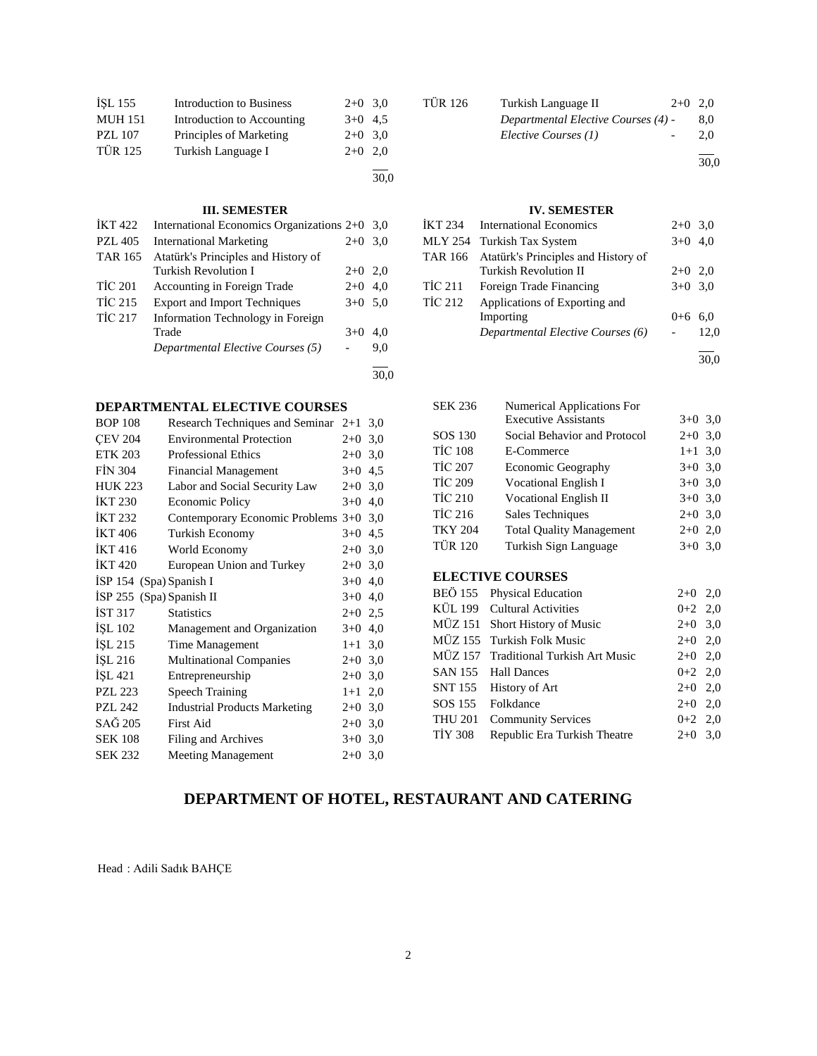| İŞL 155        | <b>Introduction to Business</b> | $2+0$ 3.0 |  |
|----------------|---------------------------------|-----------|--|
| <b>MUH 151</b> | Introduction to Accounting      | $3+0$ 4.5 |  |
| <b>PZL 107</b> | Principles of Marketing         | $2+0$ 3,0 |  |
| <b>TÜR 125</b> | Turkish Language I              | $2+0$ 2.0 |  |
|                |                                 |           |  |

30,0

30,0

| IKT 422        | International Economics Organizations 2+0 |           | 3.0 |
|----------------|-------------------------------------------|-----------|-----|
| <b>PZL 405</b> | <b>International Marketing</b>            | $2+0$     | 3,0 |
| <b>TAR 165</b> | Atatürk's Principles and History of       |           |     |
|                | Turkish Revolution I                      | $2+0$     | 2,0 |
| <b>TİC 201</b> | Accounting in Foreign Trade               | $2+0$     | 4,0 |
| <b>TİC 215</b> | <b>Export and Import Techniques</b>       | $3+0$ 5.0 |     |
| <b>TİC 217</b> | Information Technology in Foreign         |           |     |
|                | Trade                                     | $3+0$     | 4.0 |
|                | Departmental Elective Courses (5)         |           | 9,0 |
|                |                                           |           |     |

# **DEPARTMENTAL ELECTIVE COURSES**

| <b>BOP 108</b>           | Research Techniques and Seminar $2+1$ 3,0 |           |  |
|--------------------------|-------------------------------------------|-----------|--|
| <b>CEV 204</b>           | <b>Environmental Protection</b>           | $2+0$ 3,0 |  |
| <b>ETK 203</b>           | <b>Professional Ethics</b>                | $2+0$ 3,0 |  |
| <b>FIN 304</b>           | <b>Financial Management</b>               | $3+0$ 4,5 |  |
| <b>HUK 223</b>           | Labor and Social Security Law             | $2+0$ 3.0 |  |
| <b>IKT 230</b>           | Economic Policy                           | $3+0$ 4,0 |  |
| <b>IKT 232</b>           | Contemporary Economic Problems 3+0 3,0    |           |  |
| <b>IKT</b> 406           | <b>Turkish Economy</b>                    | $3+0$ 4.5 |  |
| <b>IKT 416</b>           | World Economy                             | $2+0$ 3,0 |  |
| <b>İKT420</b>            | European Union and Turkey                 | $2+0$ 3.0 |  |
| ISP 154 (Spa) Spanish I  |                                           | $3+0$ 4,0 |  |
| ISP 255 (Spa) Spanish II |                                           | $3+0$ 4,0 |  |
| IST 317                  | <b>Statistics</b>                         | $2+0$ 2.5 |  |
| ISL 102                  | Management and Organization               | $3+0$ 4,0 |  |
| ISL 215                  | Time Management                           | $1+1$ 3,0 |  |
| ISL 216                  | <b>Multinational Companies</b>            | $2+0$ 3.0 |  |
| İŞL 421                  | Entrepreneurship                          | $2+0$ 3,0 |  |
| <b>PZL 223</b>           | <b>Speech Training</b>                    | $1+1$ 2,0 |  |
| <b>PZL 242</b>           | <b>Industrial Products Marketing</b>      | $2+0$ 3,0 |  |
| SAĞ 205                  | First Aid                                 | $2+0$ 3,0 |  |
| <b>SEK 108</b>           | Filing and Archives                       | $3+0$ 3,0 |  |
| <b>SEK 232</b>           | <b>Meeting Management</b>                 | $2+0$ 3.0 |  |
|                          |                                           |           |  |

| <b>TÜR 126</b> | Turkish Language II                 | $2+0$ 2,0 |
|----------------|-------------------------------------|-----------|
|                | Departmental Elective Courses (4) - | 8.0       |
|                | Elective Courses (1)                | 2.0       |
|                |                                     |           |

30,0

# **IV. SEMESTER**

|                | İKT 234 International Economics             | $2+0$ 3,0 |      |
|----------------|---------------------------------------------|-----------|------|
|                | MLY 254 Turkish Tax System                  | $3+0$ 4.0 |      |
|                | TAR 166 Atatürk's Principles and History of |           |      |
|                | <b>Turkish Revolution II</b>                | $2+0$ 2.0 |      |
| TİC 211        | Foreign Trade Financing                     | $3+0$ 3.0 |      |
| <b>TİC 212</b> | Applications of Exporting and               |           |      |
|                | Importing                                   | $0 + 6$   | 6.0  |
|                | Departmental Elective Courses (6)           |           | 12,0 |
|                |                                             |           |      |

30,0

| <b>SEK 236</b> | Numerical Applications For      |           |  |
|----------------|---------------------------------|-----------|--|
|                | <b>Executive Assistants</b>     | $3+0$ 3.0 |  |
| SOS 130        | Social Behavior and Protocol    | $2+0$ 3,0 |  |
| <b>TİC 108</b> | E-Commerce                      | $1+1$ 3,0 |  |
| <b>TİC 207</b> | Economic Geography              | $3+0$ 3,0 |  |
| <b>TİC 209</b> | <b>Vocational English I</b>     | $3+0$ 3,0 |  |
| <b>TİC 210</b> | <b>Vocational English II</b>    | $3+0$ 3,0 |  |
| <b>TİC 216</b> | Sales Techniques                | $2+0$ 3,0 |  |
| <b>TKY 204</b> | <b>Total Quality Management</b> | $2+0$ 2,0 |  |
| <b>TÜR 120</b> | Turkish Sign Language           | $3+0.3.0$ |  |
|                |                                 |           |  |

# **ELECTIVE COURSES**

|         | BEÖ 155 Physical Education            | $2+0$ 2,0 |  |
|---------|---------------------------------------|-----------|--|
|         | KÜL 199 Cultural Activities           | $0+2$ 2,0 |  |
|         | MÜZ 151 Short History of Music        | $2+0$ 3,0 |  |
|         | MÜZ 155 Turkish Folk Music            | $2+0$ 2,0 |  |
|         | MÜZ 157 Traditional Turkish Art Music | $2+0$ 2,0 |  |
|         | SAN 155 Hall Dances                   | $0+2$ 2,0 |  |
|         | SNT 155 History of Art                | $2+0$ 2,0 |  |
|         | SOS 155 Folkdance                     | $2+0$ 2,0 |  |
| THU 201 | <b>Community Services</b>             | $0+2$ 2,0 |  |
| TIY 308 | Republic Era Turkish Theatre          | $2+0$ 3,0 |  |
|         |                                       |           |  |

# **DEPARTMENT OF HOTEL, RESTAURANT AND CATERING**

Head : Adili Sadık BAHÇE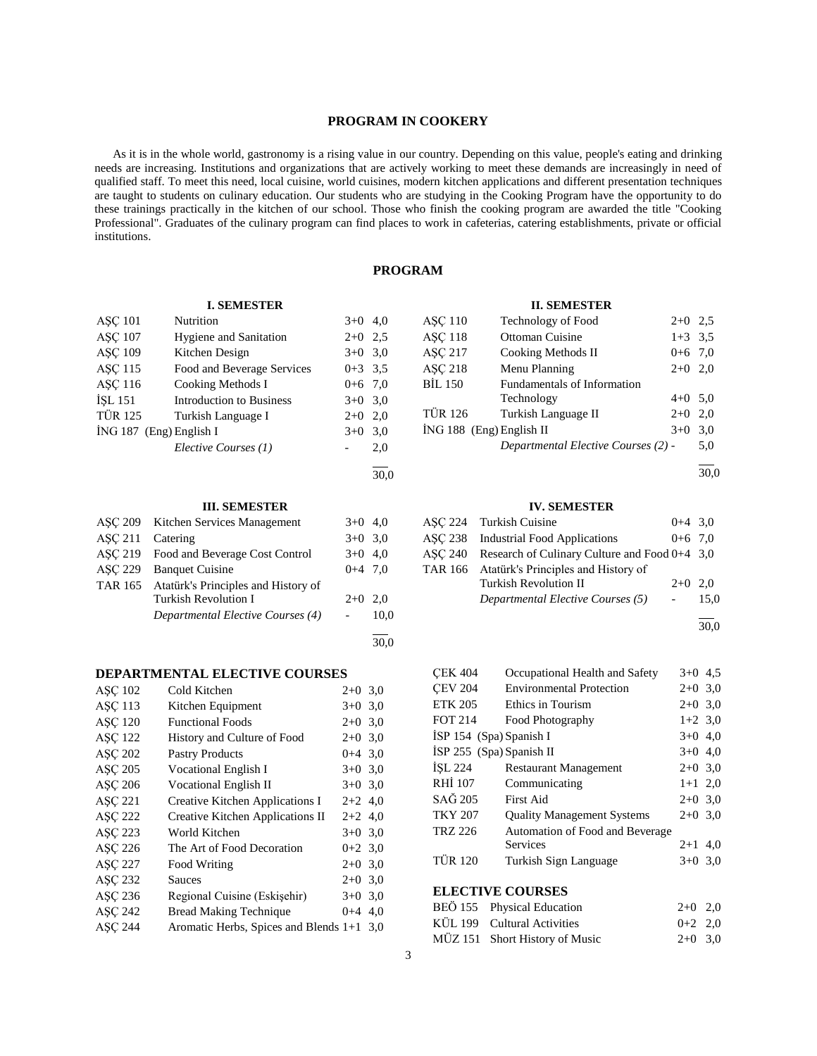# **PROGRAM IN COOKERY**

 As it is in the whole world, gastronomy is a rising value in our country. Depending on this value, people's eating and drinking needs are increasing. Institutions and organizations that are actively working to meet these demands are increasingly in need of qualified staff. To meet this need, local cuisine, world cuisines, modern kitchen applications and different presentation techniques are taught to students on culinary education. Our students who are studying in the Cooking Program have the opportunity to do these trainings practically in the kitchen of our school. Those who finish the cooking program are awarded the title "Cooking Professional". Graduates of the culinary program can find places to work in cafeterias, catering establishments, private or official institutions.

# **PROGRAM**

#### **I. SEMESTER**

| <b>ASC 101</b>            | Nutrition                       | $3+0$     | 4.0 |
|---------------------------|---------------------------------|-----------|-----|
| <b>ASC 107</b>            | <b>Hygiene and Sanitation</b>   | $2+0$     | 2.5 |
| <b>ASC 109</b>            | Kitchen Design                  | $3+0$ 3.0 |     |
| <b>ASC 115</b>            | Food and Beverage Services      | $0+3$ 3.5 |     |
| <b>ASC 116</b>            | Cooking Methods I               | $0+6$ 7.0 |     |
| <b>ISL 151</b>            | <b>Introduction to Business</b> | $3+0$ 3.0 |     |
| <b>TÜR 125</b>            | Turkish Language I              | $2+0$     | 2,0 |
| $ING 187$ (Eng) English I |                                 | $3+0$     | 3,0 |
|                           | Elective Courses (1)            |           | 2,0 |
|                           |                                 |           |     |

30,0

### **III. SEMESTER**

|                | ASC 209 Kitchen Services Management    | $3+0$ 4,0 |      |
|----------------|----------------------------------------|-----------|------|
| <b>ASC 211</b> | Catering                               | $3+0$ 3.0 |      |
|                | AŞÇ 219 Food and Beverage Cost Control | $3+0$ 4.0 |      |
| <b>ASC 229</b> | <b>Banquet Cuisine</b>                 | $0+4$ 7.0 |      |
| TAR 165        | Atatürk's Principles and History of    |           |      |
|                | <b>Turkish Revolution I</b>            | $2+0$ 2.0 |      |
|                | Departmental Elective Courses (4)      |           | 10,0 |
|                |                                        |           | 30.0 |

### **DEPARTMENTAL ELECTIVE COURSES**

| $2+0$ 3.0 |                                                                                                                                                                                                                                   |
|-----------|-----------------------------------------------------------------------------------------------------------------------------------------------------------------------------------------------------------------------------------|
|           |                                                                                                                                                                                                                                   |
|           |                                                                                                                                                                                                                                   |
|           |                                                                                                                                                                                                                                   |
|           |                                                                                                                                                                                                                                   |
|           |                                                                                                                                                                                                                                   |
|           |                                                                                                                                                                                                                                   |
|           |                                                                                                                                                                                                                                   |
|           |                                                                                                                                                                                                                                   |
|           |                                                                                                                                                                                                                                   |
|           |                                                                                                                                                                                                                                   |
|           |                                                                                                                                                                                                                                   |
|           |                                                                                                                                                                                                                                   |
|           |                                                                                                                                                                                                                                   |
|           |                                                                                                                                                                                                                                   |
|           |                                                                                                                                                                                                                                   |
|           | $3+0$ 3.0<br>$2+0$ 3,0<br>$2+0$ 3,0<br>$0+4$ 3,0<br>$3+0$ 3,0<br>$3+0$ 3.0<br>$2+2$ 4,0<br>$2+2$ 4,0<br>$3+0$ 3.0<br>$0+2$ 3.0<br>$2+0$ 3,0<br>$2+0$ 3.0<br>$3+0$ 3.0<br>$0+4$ 4,0<br>Aromatic Herbs, Spices and Blends $1+1$ 3,0 |

| <b>II. SEMESTER</b>        |                                     |           |     |  |  |
|----------------------------|-------------------------------------|-----------|-----|--|--|
| <b>ASC 110</b>             | Technology of Food                  | $2+0$ 2.5 |     |  |  |
| <b>ASC 118</b>             | Ottoman Cuisine                     | $1+3$ 3.5 |     |  |  |
| ASC 217                    | Cooking Methods II                  | $0+6$ 7,0 |     |  |  |
| ASC 218                    | Menu Planning                       | $2+0$ 2,0 |     |  |  |
| <b>BIL 150</b>             | Fundamentals of Information         |           |     |  |  |
|                            | Technology                          | $4+0$ 5.0 |     |  |  |
| <b>TÜR 126</b>             | Turkish Language II                 | $2+0$     | 2,0 |  |  |
| $ING 188$ (Eng) English II |                                     | $3+0$     | 3,0 |  |  |
|                            | Departmental Elective Courses (2) - |           | 5,0 |  |  |
|                            |                                     |           |     |  |  |

30,0

#### **IV. SEMESTER**

| ASC 224 Turkish Cuisine                                 | $0+4$ 3.0 |      |
|---------------------------------------------------------|-----------|------|
| ASC 238 Industrial Food Applications                    | $0+6$ 7.0 |      |
| ASC 240 Research of Culinary Culture and Food $0+4$ 3,0 |           |      |
| TAR 166 Atatürk's Principles and History of             |           |      |
| <b>Turkish Revolution II</b>                            | $2+0$ 2.0 |      |
| Departmental Elective Courses (5)                       |           | 15.0 |

l 30,0

| <b>CEK 404</b>           | Occupational Health and Safety    | $3+0$ 4.5 |  |
|--------------------------|-----------------------------------|-----------|--|
| <b>CEV 204</b>           | <b>Environmental Protection</b>   | $2+0$ 3,0 |  |
| <b>ETK 205</b>           | Ethics in Tourism                 | $2+0$ 3,0 |  |
| <b>FOT 214</b>           | Food Photography                  | $1+2$ 3,0 |  |
| İSP 154 (Spa) Spanish I  |                                   | $3+0$ 4.0 |  |
| ISP 255 (Spa) Spanish II |                                   | $3+0$ 4,0 |  |
| <b>İSL 224</b>           | <b>Restaurant Management</b>      | $2+0$ 3,0 |  |
| RHI 107                  | Communicating                     | $1+1$ 2,0 |  |
| SAĞ 205                  | First Aid                         | $2+0$ 3,0 |  |
| <b>TKY 207</b>           | <b>Quality Management Systems</b> | $2+0$ 3.0 |  |
| TRZ 226                  | Automation of Food and Beverage   |           |  |
|                          | <b>Services</b>                   | $2+1$ 4.0 |  |
| <b>TÜR 120</b>           | Turkish Sign Language             | $3+0$ 3.0 |  |
|                          |                                   |           |  |

# **ELECTIVE COURSES**

| BEÖ 155 Physical Education     | $2+0$ 2.0 |  |
|--------------------------------|-----------|--|
| KÜL 199 Cultural Activities    | $0+2$ 2.0 |  |
| MÜZ 151 Short History of Music | $2+0$ 3.0 |  |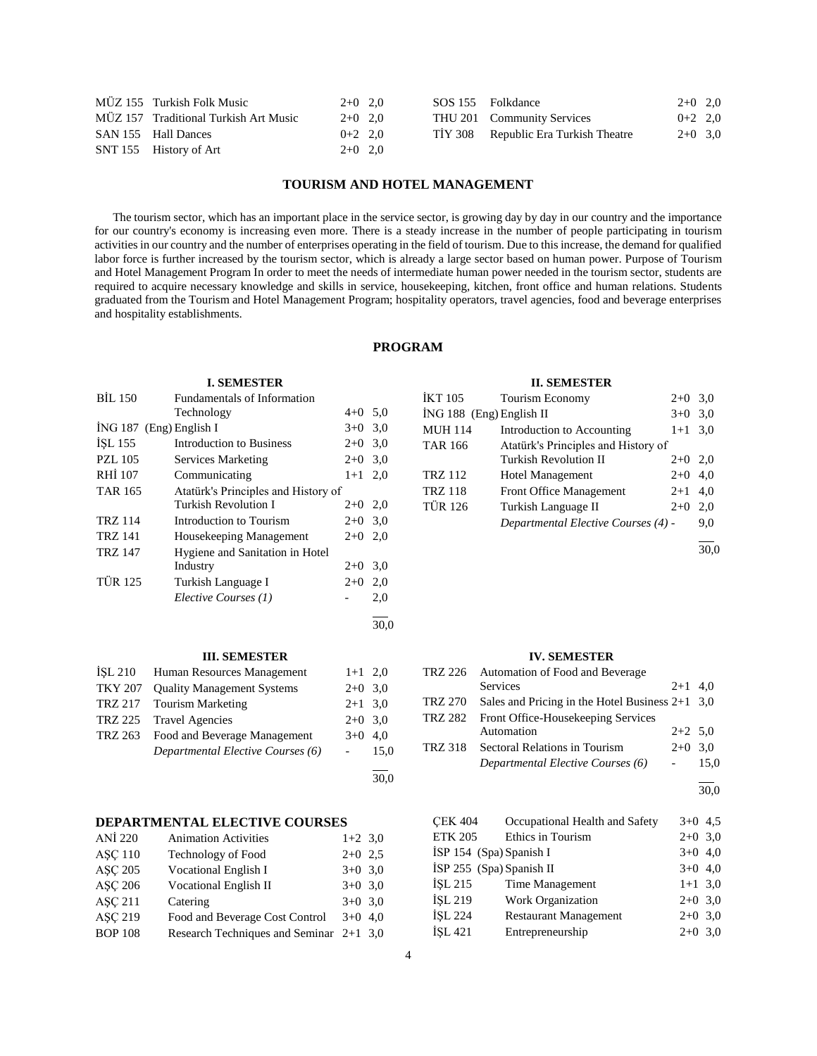| MÜZ 155 Turkish Folk Music            | $2+0$ 2.0 |  | SOS 155 Folkdance                    | $2+0$ 2,0 |  |
|---------------------------------------|-----------|--|--------------------------------------|-----------|--|
| MÜZ 157 Traditional Turkish Art Music | $2+0$ 2.0 |  | THU 201 Community Services           | $0+2$ 2,0 |  |
| SAN 155 Hall Dances                   | $0+2$ 2.0 |  | TIY 308 Republic Era Turkish Theatre | $2+0$ 3.0 |  |
| SNT 155 History of Art                | $2+0$ 2.0 |  |                                      |           |  |

# **TOURISM AND HOTEL MANAGEMENT**

 The tourism sector, which has an important place in the service sector, is growing day by day in our country and the importance for our country's economy is increasing even more. There is a steady increase in the number of people participating in tourism activities in our country and the number of enterprises operating in the field of tourism. Due to this increase, the demand for qualified labor force is further increased by the tourism sector, which is already a large sector based on human power. Purpose of Tourism and Hotel Management Program In order to meet the needs of intermediate human power needed in the tourism sector, students are required to acquire necessary knowledge and skills in service, housekeeping, kitchen, front office and human relations. Students graduated from the Tourism and Hotel Management Program; hospitality operators, travel agencies, food and beverage enterprises and hospitality establishments.

# **PROGRAM**

30,0

30,0

### **I. SEMESTER**

| <b>BIL 150</b> | Fundamentals of Information         |           |     |
|----------------|-------------------------------------|-----------|-----|
|                | Technology                          | $4+0$ 5,0 |     |
|                | $ING 187$ (Eng) English I           | $3+0$     | 3,0 |
| ISL 155        | <b>Introduction to Business</b>     | $2+0$     | 3,0 |
| <b>PZL 105</b> | Services Marketing                  | $2+0$     | 3,0 |
| <b>RHI</b> 107 | Communicating                       | $1 + 1$   | 2,0 |
| <b>TAR 165</b> | Atatürk's Principles and History of |           |     |
|                | <b>Turkish Revolution I</b>         | $2+0$ 2,0 |     |
| <b>TRZ 114</b> | Introduction to Tourism             | $2+0$     | 3,0 |
| <b>TRZ 141</b> | Housekeeping Management             | $2+0$     | 2,0 |
| <b>TRZ 147</b> | Hygiene and Sanitation in Hotel     |           |     |
|                | Industry                            | $2+0$     | 3,0 |
| <b>TÜR 125</b> | Turkish Language I                  | $2+0$     | 2,0 |
|                | Elective Courses (1)                |           | 2,0 |
|                |                                     |           |     |

# **III. SEMESTER**

| ISL 210        | Human Resources Management           | $1+1$ 2,0 |      |
|----------------|--------------------------------------|-----------|------|
| <b>TKY 207</b> | <b>Quality Management Systems</b>    | $2+0$ 3.0 |      |
|                | TRZ 217 Tourism Marketing            | $2+1$ 3.0 |      |
|                | TRZ 225 Travel Agencies              | $2+0$ 3.0 |      |
|                | TRZ 263 Food and Beverage Management | $3+0$     | 4.0  |
|                | Departmental Elective Courses (6)    |           | 15.0 |
|                |                                      |           |      |

# **DEPARTMENTAL ELECTIVE COURSES**

| <b>ANİ</b> 220 | <b>Animation Activities</b>             | $1+2$ 3,0 |  |
|----------------|-----------------------------------------|-----------|--|
| <b>ASC 110</b> | <b>Technology of Food</b>               | $2+0$ 2.5 |  |
| <b>ASC 205</b> | <b>Vocational English I</b>             | $3+0$ 3,0 |  |
| <b>ASC 206</b> | <b>Vocational English II</b>            | $3+0$ 3,0 |  |
| <b>ASC 211</b> | Catering                                | $3+0$ 3,0 |  |
| <b>ASC 219</b> | Food and Beverage Cost Control          | $3+0$ 4,0 |  |
| <b>BOP 108</b> | Research Techniques and Seminar 2+1 3,0 |           |  |

#### **II. SEMESTER**

| İKT 105                  | Tourism Economy                     | $2+0$     | 3,0 |
|--------------------------|-------------------------------------|-----------|-----|
| İNG 188 (Eng) English II |                                     | $3+0$     | 3,0 |
| <b>MUH 114</b>           | Introduction to Accounting          | $1+1$ 3.0 |     |
| TAR 166                  | Atatürk's Principles and History of |           |     |
|                          | <b>Turkish Revolution II</b>        | $2+0$ 2,0 |     |
| TRZ 112                  | <b>Hotel Management</b>             | $2+0$     | 4,0 |
| <b>TRZ 118</b>           | <b>Front Office Management</b>      | $2 + 1$   | 4,0 |
| <b>TÜR 126</b>           | Turkish Language II                 | $2+0$     | 2,0 |
|                          | Departmental Elective Courses (4) - |           | 9,0 |
|                          |                                     |           |     |

30,0

#### **IV. SEMESTER**

| TRZ 226        | Automation of Food and Beverage                   |           |      |
|----------------|---------------------------------------------------|-----------|------|
|                | <b>Services</b>                                   | $2+1$ 4.0 |      |
| <b>TRZ 270</b> | Sales and Pricing in the Hotel Business $2+1$ 3,0 |           |      |
| <b>TRZ 282</b> | Front Office-Housekeeping Services                |           |      |
|                | Automation                                        | $2+2$ 5,0 |      |
| <b>TRZ 318</b> | Sectoral Relations in Tourism                     | $2+0$ 3.0 |      |
|                | Departmental Elective Courses (6)                 |           | 15.0 |
|                |                                                   |           |      |

 $\frac{1}{30.0}$ 

| <b>CEK 404</b>           | Occupational Health and Safety | $3+0$ 4.5 |  |
|--------------------------|--------------------------------|-----------|--|
| <b>ETK 205</b>           | Ethics in Tourism              | $2+0$ 3,0 |  |
| İSP 154 (Spa) Spanish I  |                                | $3+0$ 4,0 |  |
| ISP 255 (Spa) Spanish II |                                | $3+0$ 4,0 |  |
| İSL 215                  | Time Management                | $1+1$ 3,0 |  |
| İSL 219                  | Work Organization              | $2+0$ 3,0 |  |
| <b>İSL 224</b>           | <b>Restaurant Management</b>   | $2+0$ 3,0 |  |
| İSL 421                  | Entrepreneurship               | $2+0$ 3,0 |  |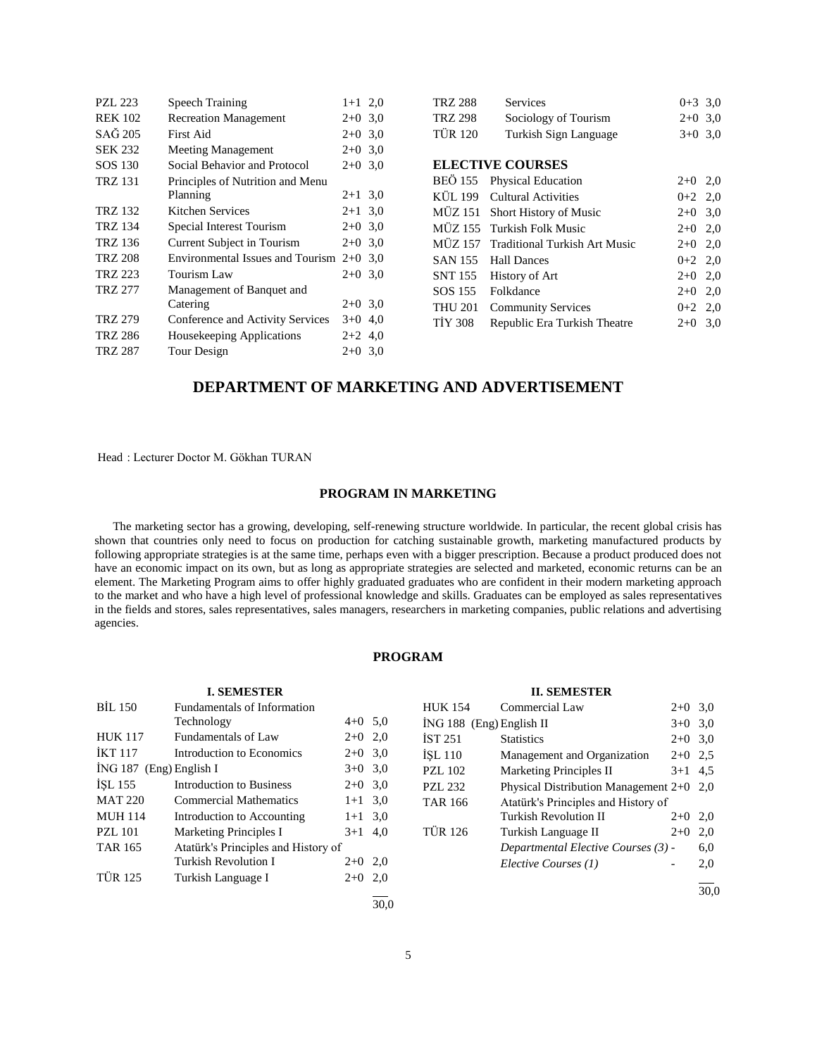| <b>PZL 223</b> | <b>Speech Training</b>           | $1+1$ 2,0   |  |
|----------------|----------------------------------|-------------|--|
| <b>REK 102</b> | <b>Recreation Management</b>     | $2+0$ 3.0   |  |
| SAĞ 205        | First Aid                        | $2+0$ 3.0   |  |
| <b>SEK 232</b> | <b>Meeting Management</b>        | $2+0$ 3.0   |  |
| SOS 130        | Social Behavior and Protocol     | $2+0$ 3.0   |  |
| <b>TRZ 131</b> | Principles of Nutrition and Menu |             |  |
|                | Planning                         | $2+1$ 3,0   |  |
| TRZ 132        | Kitchen Services                 | $2+1$ 3.0   |  |
| TRZ 134        | Special Interest Tourism         | $2+0$ 3.0   |  |
| TRZ 136        | Current Subject in Tourism       | $2+0$ 3.0   |  |
| <b>TRZ 208</b> | Environmental Issues and Tourism | $2+0$ 3.0   |  |
| TRZ 223        | Tourism Law                      | $2+0$ 3.0   |  |
| TRZ 277        | Management of Banquet and        |             |  |
|                | Catering                         | $2+0$ 3.0   |  |
| <b>TRZ 279</b> | Conference and Activity Services | $3+0$ 4,0   |  |
| <b>TRZ 286</b> | Housekeeping Applications        | $2+2$ 4,0   |  |
| TRZ 287        | Tour Design                      | $2+0, 3, 0$ |  |

| Services                                 | $0+3$ 3,0 |     |
|------------------------------------------|-----------|-----|
| Sociology of Tourism                     | $2+0$ 3,0 |     |
| Turkish Sign Language                    | $3+0$ 3.0 |     |
|                                          |           |     |
| <b>ELECTIVE COURSES</b>                  |           |     |
| BEÖ 155<br><b>Physical Education</b>     | $2+0$ 2,0 |     |
| KÜL 199<br>Cultural Activities           | $0+2$ 2,0 |     |
| MÜZ 151<br><b>Short History of Music</b> | $2+0$ 3,0 |     |
| Turkish Folk Music                       | $2+0$ 2,0 |     |
| <b>Traditional Turkish Art Music</b>     | $2+0$ 2,0 |     |
| <b>Hall Dances</b>                       | $0+2$ 2,0 |     |
| History of Art                           | $2+0$ 2,0 |     |
| Folkdance                                | $2+0$ 2,0 |     |
| <b>Community Services</b>                | $0+2$ 2,0 |     |
| Republic Era Turkish Theatre             | $2+0$     | 3.0 |
|                                          |           |     |

# **DEPARTMENT OF MARKETING AND ADVERTISEMENT**

Head : Lecturer Doctor M. Gökhan TURAN

# **PROGRAM IN MARKETING**

 The marketing sector has a growing, developing, self-renewing structure worldwide. In particular, the recent global crisis has shown that countries only need to focus on production for catching sustainable growth, marketing manufactured products by following appropriate strategies is at the same time, perhaps even with a bigger prescription. Because a product produced does not have an economic impact on its own, but as long as appropriate strategies are selected and marketed, economic returns can be an element. The Marketing Program aims to offer highly graduated graduates who are confident in their modern marketing approach to the market and who have a high level of professional knowledge and skills. Graduates can be employed as sales representatives in the fields and stores, sales representatives, sales managers, researchers in marketing companies, public relations and advertising agencies.

# **PROGRAM**

| <b>I. SEMESTER</b>                 |                                     |           |     |  |
|------------------------------------|-------------------------------------|-----------|-----|--|
| <b>BIL 150</b>                     | Fundamentals of Information         |           |     |  |
|                                    | Technology                          | $4+0$ 5,0 |     |  |
| <b>HUK 117</b>                     | Fundamentals of Law                 | $2+0$     | 2,0 |  |
| <b>IKT 117</b>                     | Introduction to Economics           | $2+0$     | 3,0 |  |
| $ING 187$ (Eng) English I<br>$3+0$ |                                     |           | 3,0 |  |
| ISL 155                            | Introduction to Business            | $2+0$     | 3,0 |  |
| <b>MAT 220</b>                     | <b>Commercial Mathematics</b>       | $1+1$     | 3,0 |  |
| <b>MUH 114</b>                     | Introduction to Accounting          | $1+1$     | 3,0 |  |
| <b>PZL 101</b>                     | <b>Marketing Principles I</b>       | $3+1$     | 4,0 |  |
| <b>TAR 165</b>                     | Atatürk's Principles and History of |           |     |  |
|                                    | <b>Turkish Revolution I</b>         | $2+0$     | 2,0 |  |
| <b>TÜR 125</b>                     | Turkish Language I                  | $2+0$     | 2,0 |  |
|                                    |                                     |           |     |  |

# **II. SEMESTER**

| HUK 154                  | Commercial Law                             | $2+0$     | 3,0 |
|--------------------------|--------------------------------------------|-----------|-----|
| İNG 188 (Eng) English II |                                            | $3+0$     | 3,0 |
| İST 251                  | <b>Statistics</b>                          | $2+0$     | 3,0 |
| ÍSL 110                  | Management and Organization                | $2+0$     | 2.5 |
| <b>PZL 102</b>           | <b>Marketing Principles II</b>             | $3+1$ 4.5 |     |
| PZL 232                  | Physical Distribution Management $2+0$ 2,0 |           |     |
| TAR 166                  | Atatürk's Principles and History of        |           |     |
|                          | <b>Turkish Revolution II</b>               | $2+0$     | 2,0 |
| TÜR 126                  | Turkish Language II                        | $2+0$     | 2,0 |
|                          | Departmental Elective Courses (3) -        |           | 6,0 |
|                          | Elective Courses (1)                       |           | 2,0 |
|                          |                                            |           |     |

30,0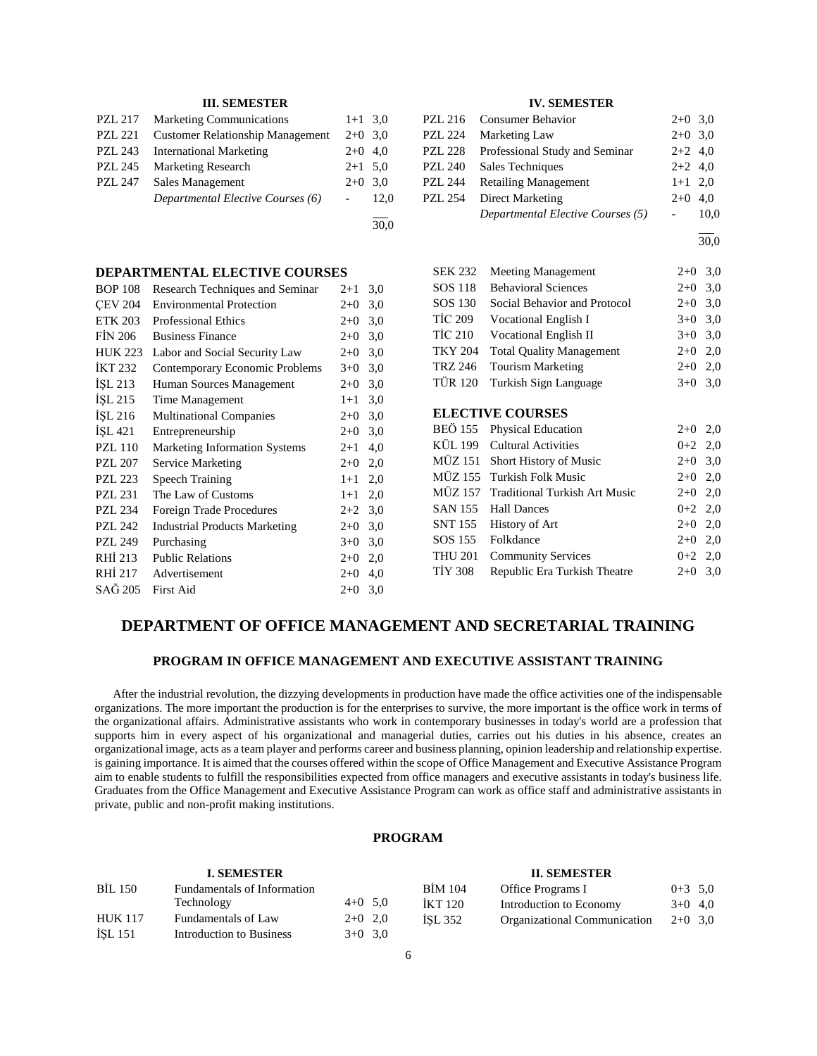| PZL 217        | <b>Marketing Communications</b>         | $1+1$ 3.0 |      |
|----------------|-----------------------------------------|-----------|------|
| PZL 221        | <b>Customer Relationship Management</b> | $2+0$ 3.0 |      |
| <b>PZL 243</b> | <b>International Marketing</b>          | $2+0$ 4,0 |      |
| <b>PZL 245</b> | <b>Marketing Research</b>               | $2+1$ 5.0 |      |
| <b>PZL 247</b> | Sales Management                        | $2+0$ 3.0 |      |
|                | Departmental Elective Courses (6)       |           | 12.0 |
|                |                                         |           |      |

# **DEPARTMENTAL ELECTIVE COURSES**

| <b>BOP 108</b> | Research Techniques and Seminar      | $2 + 1$ | 3,0 |
|----------------|--------------------------------------|---------|-----|
| <b>CEV 204</b> | <b>Environmental Protection</b>      | $2+0$   | 3,0 |
| <b>ETK 203</b> | <b>Professional Ethics</b>           | $2+0$   | 3,0 |
| <b>FIN 206</b> | <b>Business Finance</b>              | $2+0$   | 3,0 |
| <b>HUK 223</b> | Labor and Social Security Law        | $2+0$   | 3,0 |
| <b>IKT 232</b> | Contemporary Economic Problems       | $3+0$   | 3,0 |
| ISL 213        | Human Sources Management             | $2 + 0$ | 3,0 |
| ISL215         | Time Management                      | $1 + 1$ | 3,0 |
| ISL 216        | <b>Multinational Companies</b>       | $2 + 0$ | 3,0 |
| İŞL 421        | Entrepreneurship                     | $2+0$   | 3,0 |
| <b>PZL 110</b> | <b>Marketing Information Systems</b> | $2 + 1$ | 4,0 |
| <b>PZL 207</b> | <b>Service Marketing</b>             | $2+0$   | 2,0 |
| <b>PZL 223</b> | <b>Speech Training</b>               | $1+1$   | 2,0 |
| <b>PZL 231</b> | The Law of Customs                   | $1+1$   | 2,0 |
| <b>PZL 234</b> | Foreign Trade Procedures             | $2+2$   | 3,0 |
| <b>PZL 242</b> | <b>Industrial Products Marketing</b> | $2+0$   | 3,0 |
| <b>PZL 249</b> | Purchasing                           | $3+0$   | 3,0 |
| RHI 213        | <b>Public Relations</b>              | $2+0$   | 2,0 |
| RHI 217        | Advertisement                        | $2+0$   | 4,0 |
| SAĞ 205        | <b>First Aid</b>                     | $2+0$   | 3,0 |
|                |                                      |         |     |

# **IV. SEMESTER**

|         | PZL 216 Consumer Behavior         | $2+0$ 3,0 |      |
|---------|-----------------------------------|-----------|------|
| PZL 224 | Marketing Law                     | $2+0$ 3,0 |      |
| PZL 228 | Professional Study and Seminar    | $2+2$ 4,0 |      |
| PZL 240 | Sales Techniques                  | $2+2$ 4,0 |      |
| PZL 244 | <b>Retailing Management</b>       | $1+1$ 2,0 |      |
| PZL 254 | Direct Marketing                  | $2+0$ 4.0 |      |
|         | Departmental Elective Courses (5) |           | 10,0 |
|         |                                   |           |      |

 $\frac{1}{30.0}$ 

| <b>SEK 232</b> | <b>Meeting Management</b>            | $2+0$   | 3,0 |
|----------------|--------------------------------------|---------|-----|
| SOS 118        | <b>Behavioral Sciences</b>           | $2+0$   | 3,0 |
| SOS 130        | Social Behavior and Protocol         | $2+0$   | 3,0 |
| TIC 209        | Vocational English I                 | $3+0$   | 3,0 |
| <b>TİC 210</b> | <b>Vocational English II</b>         | $3+0$   | 3,0 |
| <b>TKY 204</b> | <b>Total Quality Management</b>      | $2+0$   | 2,0 |
| <b>TRZ 246</b> | <b>Tourism Marketing</b>             | $2+0$   | 2,0 |
| <b>TÜR 120</b> | Turkish Sign Language                | $3+0$   | 3,0 |
|                |                                      |         |     |
|                | <b>ELECTIVE COURSES</b>              |         |     |
| BEÖ 155        | <b>Physical Education</b>            | $2+0$   | 2,0 |
| KÜL 199        | Cultural Activities                  | $0 + 2$ | 2,0 |
| MÜZ 151        | <b>Short History of Music</b>        | $2+0$   | 3,0 |
| <b>MÜZ 155</b> | Turkish Folk Music                   | $2+0$   | 2,0 |
| MÜZ 157        | <b>Traditional Turkish Art Music</b> | $2+0$   | 2,0 |
| SAN 155        | <b>Hall Dances</b>                   | $0 + 2$ | 2,0 |
| <b>SNT 155</b> | History of Art                       | $2+0$   | 2,0 |
| SOS 155        | Folkdance                            | $2+0$   | 2,0 |
| <b>THU 201</b> | <b>Community Services</b>            | $0 + 2$ | 2,0 |
| <b>TIY 308</b> | Republic Era Turkish Theatre         | $2+0$   | 3,0 |
|                |                                      |         |     |

# **DEPARTMENT OF OFFICE MANAGEMENT AND SECRETARIAL TRAINING**

30,0

# **PROGRAM IN OFFICE MANAGEMENT AND EXECUTIVE ASSISTANT TRAINING**

 After the industrial revolution, the dizzying developments in production have made the office activities one of the indispensable organizations. The more important the production is for the enterprises to survive, the more important is the office work in terms of the organizational affairs. Administrative assistants who work in contemporary businesses in today's world are a profession that supports him in every aspect of his organizational and managerial duties, carries out his duties in his absence, creates an organizational image, acts as a team player and performs career and business planning, opinion leadership and relationship expertise. is gaining importance. It is aimed that the courses offered within the scope of Office Management and Executive Assistance Program aim to enable students to fulfill the responsibilities expected from office managers and executive assistants in today's business life. Graduates from the Office Management and Executive Assistance Program can work as office staff and administrative assistants in private, public and non-profit making institutions.

# **PROGRAM**

| <b>I. SEMESTER</b> |                             |           | <b>II. SEMESTER</b> |                |                              |           |  |
|--------------------|-----------------------------|-----------|---------------------|----------------|------------------------------|-----------|--|
| <b>BIL 150</b>     | Fundamentals of Information |           |                     | <b>BIM 104</b> | Office Programs I            | $0+3$ 5.0 |  |
|                    | Technology                  |           | $4+0$ 5.0           | <b>IKT 120</b> | Introduction to Economy      | $3+0$ 4,0 |  |
| <b>HUK 117</b>     | Fundamentals of Law         | $2+0$ 2.0 |                     | ISL 352        | Organizational Communication | $2+0$ 3.0 |  |
| ISL 151            | Introduction to Business    |           | $3+0$ 3.0           |                |                              |           |  |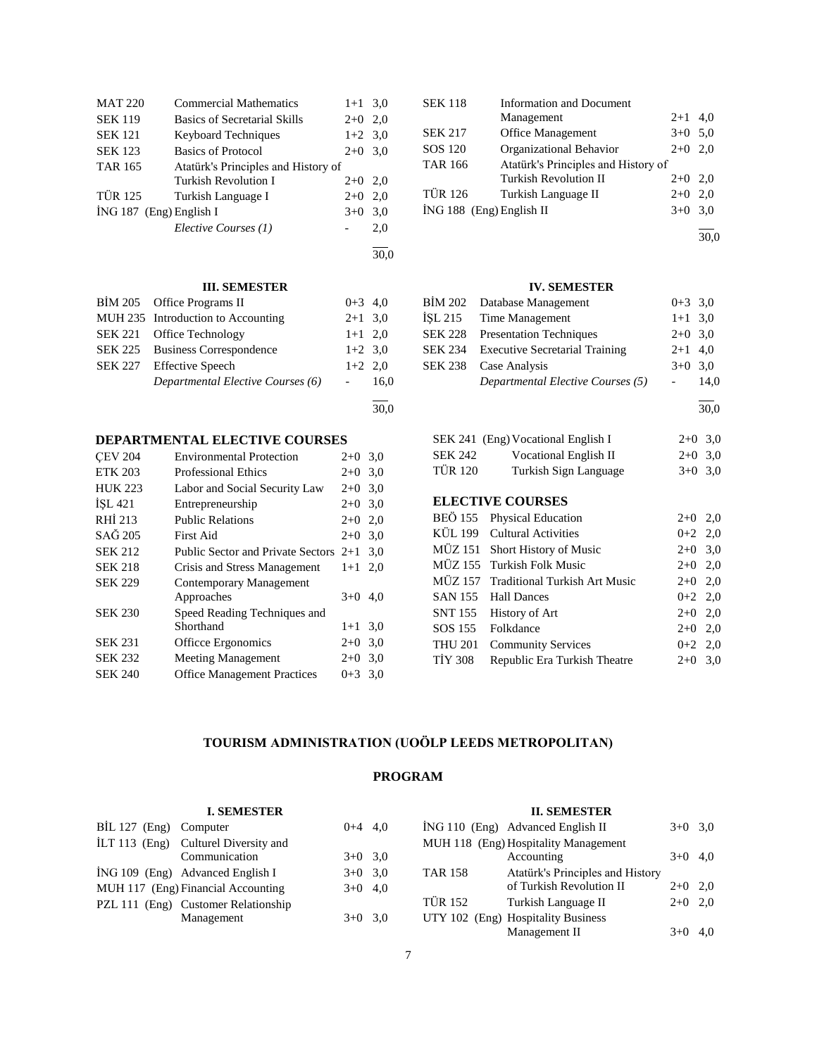| <b>MAT 220</b> | <b>Commercial Mathematics</b>       | $1+1$ 3.0 |     |
|----------------|-------------------------------------|-----------|-----|
| <b>SEK 119</b> | <b>Basics of Secretarial Skills</b> | $2+0$     | 2,0 |
| <b>SEK 121</b> | <b>Keyboard Techniques</b>          | $1+2$ 3.0 |     |
| <b>SEK 123</b> | Basics of Protocol                  | $2+0$     | 3.0 |
| <b>TAR 165</b> | Atatürk's Principles and History of |           |     |
|                | <b>Turkish Revolution I</b>         | $2+0$     | 2,0 |
| <b>TÜR 125</b> | Turkish Language I                  | $2+0$     | 2,0 |
|                | İNG 187 (Eng) English I             | $3+0$     | 3,0 |
|                | Elective Courses (1)                |           | 2,0 |
|                |                                     |           |     |

| BIM 205 Office Programs II         | $0+3$ 4,0          |      |
|------------------------------------|--------------------|------|
| MUH 235 Introduction to Accounting | $2+1$ 3.0          |      |
| SEK 221 Office Technology          | $1+1$ 2,0          |      |
| SEK 225 Business Correspondence    | $1+2$ 3.0          |      |
| SEK 227 Effective Speech           | $1+2$ 2,0          |      |
| Departmental Elective Courses (6)  | <b>All Control</b> | 16.0 |
|                                    |                    |      |

30,0

30,0

# **DEPARTMENTAL ELECTIVE COURSES**

| <b>CEV 204</b> | <b>Environmental Protection</b>          | $2+0$ 3,0 |     |
|----------------|------------------------------------------|-----------|-----|
| <b>ETK 203</b> | <b>Professional Ethics</b>               | $2+0$     | 3,0 |
| <b>HUK 223</b> | Labor and Social Security Law            | $2+0$     | 3,0 |
| ISL 421        | Entrepreneurship                         | $2+0$     | 3,0 |
| RHI 213        | <b>Public Relations</b>                  | $2+0$     | 2,0 |
| SAĞ 205        | First Aid                                | $2+0$ 3,0 |     |
| <b>SEK 212</b> | <b>Public Sector and Private Sectors</b> | $2+1$     | 3.0 |
| <b>SEK 218</b> | Crisis and Stress Management             | $1 + 1$   | 2,0 |
| <b>SEK 229</b> | Contemporary Management                  |           |     |
|                | Approaches                               | $3+0$ 4,0 |     |
| <b>SEK 230</b> | Speed Reading Techniques and             |           |     |
|                | Shorthand                                | $1 + 1$   | 3,0 |
| <b>SEK 231</b> | Officce Ergonomics                       | $2+0$     | 3,0 |
| <b>SEK 232</b> | <b>Meeting Management</b>                | $2+0$     | 3,0 |
| <b>SEK 240</b> | <b>Office Management Practices</b>       | $0+3$ 3.0 |     |

| <b>SEK 118</b>             | <b>Information and Document</b>     |           |     |
|----------------------------|-------------------------------------|-----------|-----|
|                            | Management                          | $2 + 1$   | 4.0 |
| <b>SEK 217</b>             | Office Management                   | $3+0$     | 5,0 |
| SOS 120                    | Organizational Behavior             | $2+0$     | 2.0 |
| <b>TAR 166</b>             | Atatürk's Principles and History of |           |     |
|                            | <b>Turkish Revolution II</b>        | $2+0$     | 2.0 |
| <b>TÜR 126</b>             | Turkish Language II                 | $2+0$     | 2.0 |
| $ING 188$ (Eng) English II |                                     | $3+0$ 3.0 |     |
|                            |                                     |           |     |

30,0

# **IV. SEMESTER**

| BIM 202 Database Management                   | $0+3$ 3.0 |  |
|-----------------------------------------------|-----------|--|
| ISL 215 Time Management                       | $1+1$ 3.0 |  |
| <b>SEK 228</b> Presentation Techniques        | $2+0$ 3.0 |  |
| <b>SEK 234</b> Executive Secretarial Training | $2+1$ 4,0 |  |
| SEK 238 Case Analysis                         | $3+0$ 3.0 |  |
| Departmental Elective Courses (5)             | $-14.0$   |  |
|                                               |           |  |

30,0

|         | SEK 241 (Eng) Vocational English I | $2+0$ 3.0 |  |
|---------|------------------------------------|-----------|--|
| SEK 242 | <b>Vocational English II</b>       | $2+0$ 3.0 |  |
| TÜR 120 | Turkish Sign Language              | $3+0$ 3.0 |  |

# **ELECTIVE COURSES**

|                | BEÖ 155 Physical Education            | $2+0$ 2,0 |  |
|----------------|---------------------------------------|-----------|--|
|                | KÜL 199 Cultural Activities           | $0+2$ 2,0 |  |
|                | MÜZ 151 Short History of Music        | $2+0$ 3,0 |  |
|                | MÜZ 155 Turkish Folk Music            | $2+0$ 2,0 |  |
|                | MÜZ 157 Traditional Turkish Art Music | $2+0$ 2,0 |  |
|                | SAN 155 Hall Dances                   | $0+2$ 2,0 |  |
|                | SNT 155 History of Art                | $2+0$ 2,0 |  |
|                | SOS 155 Folkdance                     | $2+0$ 2,0 |  |
| <b>THU 201</b> | <b>Community Services</b>             | $0+2$ 2,0 |  |
| TIY 308        | Republic Era Turkish Theatre          | $2+0$ 3,0 |  |
|                |                                       |           |  |

# **TOURISM ADMINISTRATION (UOÖLP LEEDS METROPOLITAN)**

# **PROGRAM**

|                        | <b>I. SEMESTER</b>                  |           |                | <b>II. SEMESTER</b>                  |           |  |
|------------------------|-------------------------------------|-----------|----------------|--------------------------------------|-----------|--|
| $BIL 127$ (Eng)        | Computer                            | $0+4$ 4.0 |                | ING 110 (Eng) Advanced English II    | $3+0$ 3.0 |  |
| $\text{ILT}$ 113 (Eng) | Culturel Diversity and              |           |                | MUH 118 (Eng) Hospitality Management |           |  |
|                        | Communication                       | $3+0$ 3.0 |                | Accounting                           | $3+0$ 4,0 |  |
|                        | ING 109 (Eng) Advanced English I    | $3+0$ 3.0 | <b>TAR 158</b> | Atatürk's Principles and History     |           |  |
|                        | MUH 117 (Eng) Financial Accounting  | $3+0$ 4,0 |                | of Turkish Revolution II             | $2+0$ 2,0 |  |
|                        | PZL 111 (Eng) Customer Relationship |           | <b>TÜR 152</b> | Turkish Language II                  | $2+0$ 2,0 |  |
|                        | Management                          | $3+0$ 3.0 |                | UTY 102 (Eng) Hospitality Business   |           |  |
|                        |                                     |           |                | Management II                        | $3+0$ 4.0 |  |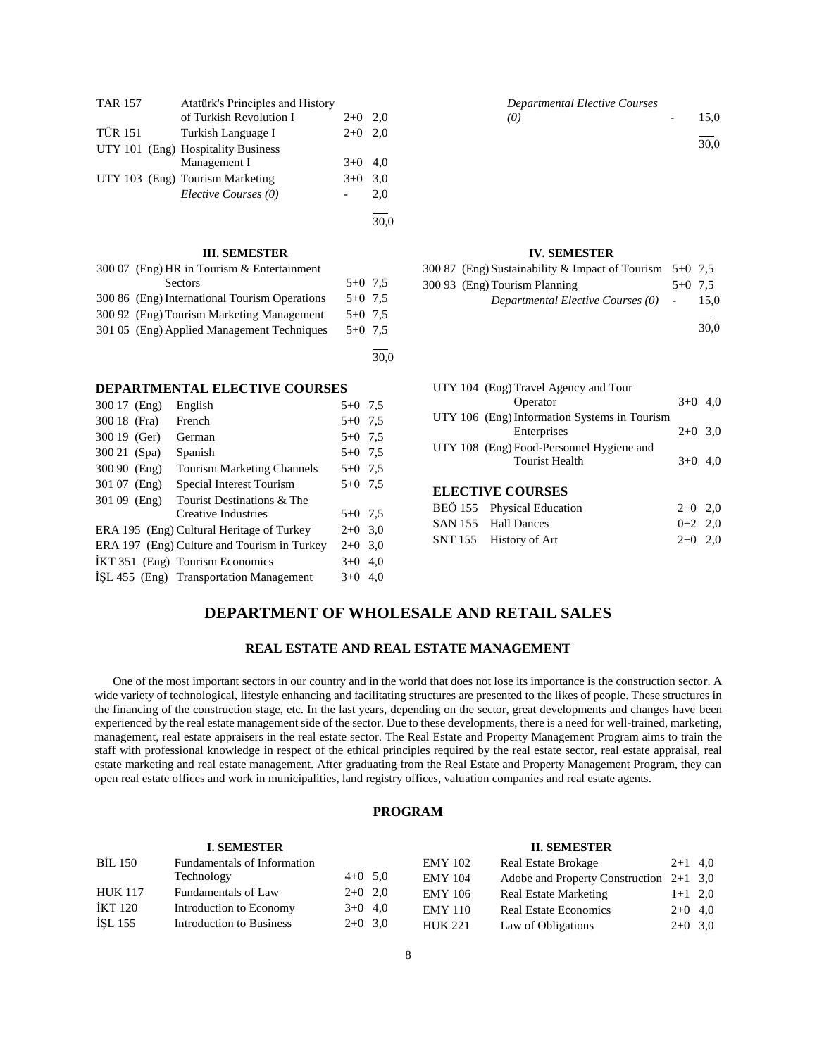| <b>TAR 157</b> | Atatürk's Principles and History   |       |     |
|----------------|------------------------------------|-------|-----|
|                | of Turkish Revolution I            | $2+0$ | 2.0 |
| <b>TÜR 151</b> | Turkish Language I                 | $2+0$ | 2.0 |
|                | UTY 101 (Eng) Hospitality Business |       |     |
|                | Management I                       | $3+0$ | 4.0 |
|                | UTY 103 (Eng) Tourism Marketing    | $3+0$ | 3,0 |
|                | Elective Courses (0)               |       | 2,0 |
|                |                                    |       |     |

| 300 07 (Eng) HR in Tourism & Entertainment    |           |  |
|-----------------------------------------------|-----------|--|
| Sectors                                       | $5+0$ 7.5 |  |
| 300 86 (Eng) International Tourism Operations | $5+0$ 7.5 |  |
| 300.92 (Eng) Tourism Marketing Management     | $5+0$ 7.5 |  |
| 301 05 (Eng) Applied Management Techniques    | $5+0$ 7.5 |  |
|                                               |           |  |

30,0

#### **DEPARTMENTAL ELECTIVE COURSES**

| 300 17 (Eng)  | English                                     | $5+0$ 7.5 |     |
|---------------|---------------------------------------------|-----------|-----|
| 300 18 (Fra)  | French                                      | $5+0$ 7.5 |     |
| 300 19 (Ger)  | German                                      | $5+0$ 7.5 |     |
| 300 21 (Spa)  | Spanish                                     | $5+0$ 7.5 |     |
| 300 90 (Eng)  | <b>Tourism Marketing Channels</b>           | $5+0$ 7.5 |     |
| 301 07 (Eng)  | Special Interest Tourism                    | $5+0$ 7.5 |     |
| $30109$ (Eng) | Tourist Destinations & The                  |           |     |
|               | Creative Industries                         | $5+0$ 7.5 |     |
|               | ERA 195 (Eng) Cultural Heritage of Turkey   | $2+0$ 3,0 |     |
|               | ERA 197 (Eng) Culture and Tourism in Turkey | $2+0$ 3.0 |     |
|               | IKT 351 (Eng) Tourism Economics             | $3+0$ 4,0 |     |
|               | ISL 455 (Eng) Transportation Management     | $3+0$     | 4,0 |
|               |                                             |           |     |

### *Departmental Elective Courses (0)* - 15,0  $\overline{a}$ 30,0

#### **IV. SEMESTER**

| 300 87 (Eng) Sustainability & Impact of Tourism $5+0$ 7.5 |           |
|-----------------------------------------------------------|-----------|
| 300 93 (Eng) Tourism Planning                             | $5+0$ 7.5 |
| Departmental Elective Courses (0) -                       | - 15.0    |
|                                                           |           |

30,0

| UTY 104 (Eng) Travel Agency and Tour         |           |  |
|----------------------------------------------|-----------|--|
| Operator                                     | $3+0$ 4.0 |  |
| UTY 106 (Eng) Information Systems in Tourism |           |  |
| Enterprises                                  | $2+0$ 3.0 |  |
| UTY 108 (Eng) Food-Personnel Hygiene and     |           |  |
| <b>Tourist Health</b>                        | $3+0$ 4.0 |  |
|                                              |           |  |
|                                              |           |  |

# **ELECTIVE COURSES**

| BEÖ 155 Physical Education | $2+0$ 2,0 |  |
|----------------------------|-----------|--|
| SAN 155 Hall Dances        | $0+2$ 2,0 |  |
| SNT 155 History of Art     | $2+0$ 2.0 |  |

# **DEPARTMENT OF WHOLESALE AND RETAIL SALES**

# **REAL ESTATE AND REAL ESTATE MANAGEMENT**

 One of the most important sectors in our country and in the world that does not lose its importance is the construction sector. A wide variety of technological, lifestyle enhancing and facilitating structures are presented to the likes of people. These structures in the financing of the construction stage, etc. In the last years, depending on the sector, great developments and changes have been experienced by the real estate management side of the sector. Due to these developments, there is a need for well-trained, marketing, management, real estate appraisers in the real estate sector. The Real Estate and Property Management Program aims to train the staff with professional knowledge in respect of the ethical principles required by the real estate sector, real estate appraisal, real estate marketing and real estate management. After graduating from the Real Estate and Property Management Program, they can open real estate offices and work in municipalities, land registry offices, valuation companies and real estate agents.

#### **PROGRAM**

#### **I. SEMESTER** BİL 150 Fundamentals of Information Technology  $4+0$  5,0 HUK 117 Fundamentals of Law 2+0 2,0 İKT 120 Introduction to Economy 3+0 4,0 İŞL 155 Introduction to Business 2+0 3,0 **II. SEMESTER** EMY 102 Real Estate Brokage 2+1 4,0 EMY 104 Adobe and Property Construction 2+1 3,0 EMY 106 Real Estate Marketing 1+1 2,0 EMY 110 Real Estate Economics 2+0 4,0 HUK 221 Law of Obligations 2+0 3,0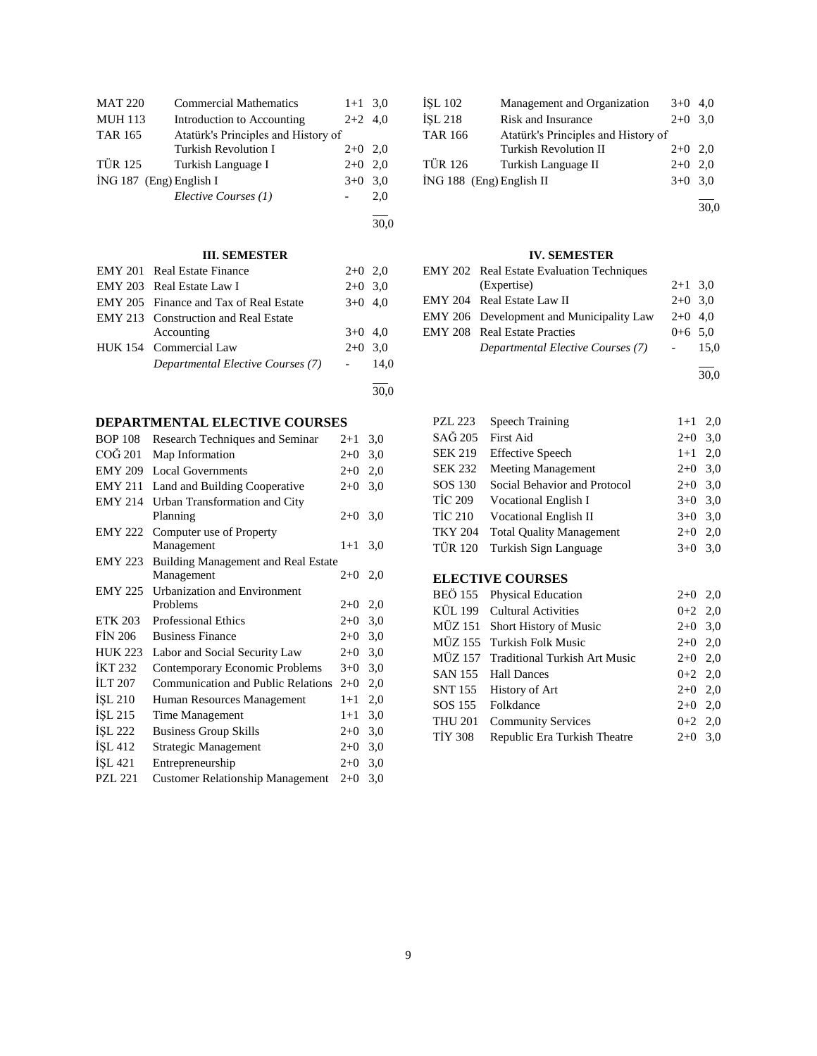| <b>MAT 220</b>            | <b>Commercial Mathematics</b>       | $1+1$ 3.0 |     |
|---------------------------|-------------------------------------|-----------|-----|
| <b>MUH 113</b>            | Introduction to Accounting          | $2+2$ 4,0 |     |
| <b>TAR 165</b>            | Atatürk's Principles and History of |           |     |
|                           | <b>Turkish Revolution I</b>         | $2+0$ 2.0 |     |
| <b>TÜR 125</b>            | Turkish Language I                  | $2+0$     | 2.0 |
| $ING 187$ (Eng) English I |                                     | $3+0$     | 3.0 |
|                           | Elective Courses (1)                |           | 2,0 |
|                           |                                     |           |     |

30,0

# **III. SEMESTER**

| <b>EMY 201 Real Estate Finance</b>          | $2+0$ 2,0 |      |
|---------------------------------------------|-----------|------|
| EMY 203 Real Estate Law I                   | $2+0$ 3.0 |      |
| EMY 205 Finance and Tax of Real Estate      | $3+0$ 4,0 |      |
| <b>EMY 213</b> Construction and Real Estate |           |      |
| Accounting                                  | $3+0$ 4,0 |      |
| HUK 154 Commercial Law                      | $2+0$ 3.0 |      |
| Departmental Elective Courses (7)           |           | 14.0 |
|                                             |           |      |
|                                             |           |      |

# **DEPARTMENTAL ELECTIVE COURSES**

| <b>BOP 108</b> | Research Techniques and Seminar           | $2+1$ | 3,0 |
|----------------|-------------------------------------------|-------|-----|
| COĞ 201        | Map Information                           | $2+0$ | 3,0 |
| <b>EMY 209</b> | <b>Local Governments</b>                  | $2+0$ | 2,0 |
| <b>EMY 211</b> | Land and Building Cooperative             | $2+0$ | 3,0 |
| <b>EMY 214</b> | Urban Transformation and City             |       |     |
|                | Planning                                  | $2+0$ | 3,0 |
| <b>EMY 222</b> | Computer use of Property                  |       |     |
|                | Management                                | $1+1$ | 3,0 |
| <b>EMY 223</b> | Building Management and Real Estate       |       |     |
|                | Management                                | $2+0$ | 2,0 |
| <b>EMY 225</b> | <b>Urbanization and Environment</b>       |       |     |
|                | Problems                                  | $2+0$ | 2,0 |
| <b>ETK 203</b> | <b>Professional Ethics</b>                | $2+0$ | 3,0 |
| <b>FİN 206</b> | <b>Business Finance</b>                   | $2+0$ | 3,0 |
| <b>HUK 223</b> | Labor and Social Security Law             | $2+0$ | 3,0 |
| <b>IKT 232</b> | Contemporary Economic Problems            | $3+0$ | 3,0 |
| <b>ILT 207</b> | <b>Communication and Public Relations</b> | $2+0$ | 2,0 |
| ISL 210        | Human Resources Management                | $1+1$ | 2,0 |
| ISL 215        | <b>Time Management</b>                    | $1+1$ | 3,0 |
| İŞL 222        | <b>Business Group Skills</b>              | $2+0$ | 3,0 |
| ISL 412        | <b>Strategic Management</b>               | $2+0$ | 3,0 |
| İŞL 421        | Entrepreneurship                          | $2+0$ | 3,0 |
| <b>PZL 221</b> | <b>Customer Relationship Management</b>   | $2+0$ | 3,0 |
|                |                                           |       |     |

| İŞL 102                  | Management and Organization         | $3+0$ 4,0 |  |
|--------------------------|-------------------------------------|-----------|--|
| <b>İSL 218</b>           | Risk and Insurance                  | $2+0$ 3.0 |  |
| <b>TAR 166</b>           | Atatürk's Principles and History of |           |  |
|                          | <b>Turkish Revolution II</b>        | $2+0$ 2,0 |  |
| <b>TÜR 126</b>           | Turkish Language II                 | $2+0$ 2.0 |  |
| İNG 188 (Eng) English II |                                     | $3+0$ 3,0 |  |
|                          |                                     |           |  |

30,0

# **IV. SEMESTER**

| EMY 202 Real Estate Evaluation Techniques       |           |        |
|-------------------------------------------------|-----------|--------|
| (Expertise)                                     | $2+1$ 3.0 |        |
| EMY 204 Real Estate Law II                      | $2+0$ 3.0 |        |
| <b>EMY 206</b> Development and Municipality Law | $2+0$ 4.0 |        |
| <b>EMY 208</b> Real Estate Practies             | $0+6$ 5.0 |        |
| Departmental Elective Courses (7)               |           | - 15.0 |
|                                                 |           |        |

30,0

| <b>PZL 223</b>          | <b>Speech Training</b>          | $1 + 1$   | 2,0 |
|-------------------------|---------------------------------|-----------|-----|
| SAĞ 205                 | First Aid                       | $2+0$     | 3,0 |
| <b>SEK 219</b>          | <b>Effective Speech</b>         | $1+1$ 2,0 |     |
| SEK 232                 | <b>Meeting Management</b>       | $2+0$ 3,0 |     |
| SOS 130                 | Social Behavior and Protocol    | $2+0$     | 3,0 |
| TİC 209                 | Vocational English I            | $3+0$     | 3,0 |
| TİC 210                 | <b>Vocational English II</b>    | $3+0$ 3.0 |     |
| <b>TKY 204</b>          | <b>Total Quality Management</b> | $2+0$     | 2,0 |
| TÜR 120                 | Turkish Sign Language           | $3+0$     | 3,0 |
| <b>ELECTIVE COURSES</b> |                                 |           |     |

|         | BEÖ 155 Physical Education            | $2+0$ 2,0 |  |
|---------|---------------------------------------|-----------|--|
|         | KÜL 199 Cultural Activities           | $0+2$ 2,0 |  |
|         | MÜZ 151 Short History of Music        | $2+0$ 3,0 |  |
|         | MÜZ 155 Turkish Folk Music            | $2+0$ 2,0 |  |
|         | MÜZ 157 Traditional Turkish Art Music | $2+0$ 2,0 |  |
|         | SAN 155 Hall Dances                   | $0+2$ 2,0 |  |
|         | SNT 155 History of Art                | $2+0$ 2,0 |  |
|         | SOS 155 Folkdance                     | $2+0$ 2,0 |  |
|         | THU 201 Community Services            | $0+2$ 2,0 |  |
| TİY 308 | Republic Era Turkish Theatre          | $2+0$ 3,0 |  |
|         |                                       |           |  |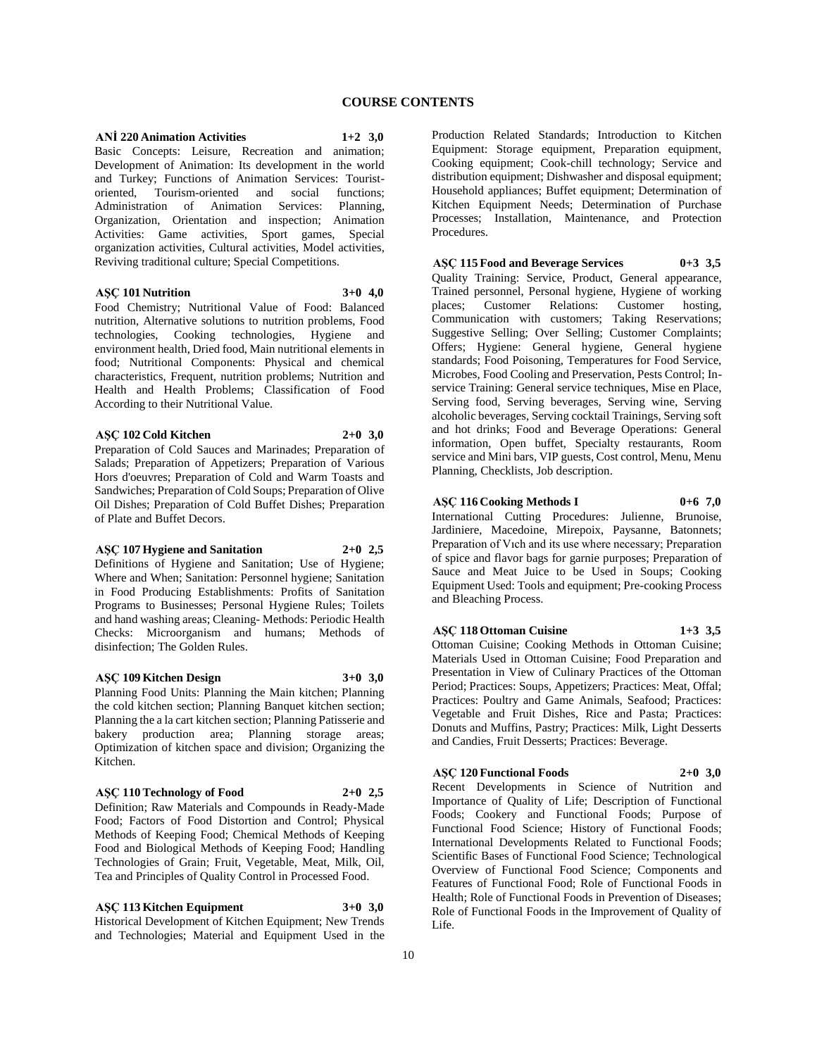#### **ANİ 220 Animation Activities 1+2 3,0**

Basic Concepts: Leisure, Recreation and animation; Development of Animation: Its development in the world and Turkey; Functions of Animation Services: Tourist-Tourism-oriented and social functions; Administration of Animation Services: Planning, Organization, Orientation and inspection; Animation Activities: Game activities, Sport games, Special organization activities, Cultural activities, Model activities, Reviving traditional culture; Special Competitions.

### **AŞÇ 101 Nutrition 3+0 4,0**

Food Chemistry; Nutritional Value of Food: Balanced nutrition, Alternative solutions to nutrition problems, Food technologies, Cooking technologies, Hygiene and environment health, Dried food, Main nutritional elements in food; Nutritional Components: Physical and chemical characteristics, Frequent, nutrition problems; Nutrition and Health and Health Problems; Classification of Food According to their Nutritional Value.

# **AŞÇ 102 Cold Kitchen 2+0 3,0**

Preparation of Cold Sauces and Marinades; Preparation of Salads; Preparation of Appetizers; Preparation of Various Hors d'oeuvres; Preparation of Cold and Warm Toasts and Sandwiches; Preparation of Cold Soups; Preparation of Olive Oil Dishes; Preparation of Cold Buffet Dishes; Preparation of Plate and Buffet Decors.

### **AŞÇ 107 Hygiene and Sanitation 2+0 2,5**

Definitions of Hygiene and Sanitation; Use of Hygiene; Where and When; Sanitation: Personnel hygiene; Sanitation in Food Producing Establishments: Profits of Sanitation Programs to Businesses; Personal Hygiene Rules; Toilets and hand washing areas; Cleaning- Methods: Periodic Health Checks: Microorganism and humans; Methods of disinfection; The Golden Rules.

**AŞÇ 109 Kitchen Design 3+0 3,0** Planning Food Units: Planning the Main kitchen; Planning the cold kitchen section; Planning Banquet kitchen section; Planning the a la cart kitchen section; Planning Patisserie and bakery production area; Planning storage areas; Optimization of kitchen space and division; Organizing the Kitchen.

# **AŞÇ 110 Technology of Food 2+0 2,5**

Definition; Raw Materials and Compounds in Ready-Made Food; Factors of Food Distortion and Control; Physical Methods of Keeping Food; Chemical Methods of Keeping Food and Biological Methods of Keeping Food; Handling Technologies of Grain; Fruit, Vegetable, Meat, Milk, Oil, Tea and Principles of Quality Control in Processed Food.

**AŞÇ 113 Kitchen Equipment 3+0 3,0** Historical Development of Kitchen Equipment; New Trends and Technologies; Material and Equipment Used in the Production Related Standards; Introduction to Kitchen Equipment: Storage equipment, Preparation equipment, Cooking equipment; Cook-chill technology; Service and distribution equipment; Dishwasher and disposal equipment; Household appliances; Buffet equipment; Determination of Kitchen Equipment Needs; Determination of Purchase Processes; Installation, Maintenance, and Protection Procedures.

# **AŞÇ 115 Food and Beverage Services 0+3 3,5**

Quality Training: Service, Product, General appearance, Trained personnel, Personal hygiene, Hygiene of working places; Customer Relations: Customer hosting, Communication with customers; Taking Reservations; Suggestive Selling; Over Selling; Customer Complaints; Offers; Hygiene: General hygiene, General hygiene standards; Food Poisoning, Temperatures for Food Service, Microbes, Food Cooling and Preservation, Pests Control; Inservice Training: General service techniques, Mise en Place, Serving food, Serving beverages, Serving wine, Serving alcoholic beverages, Serving cocktail Trainings, Serving soft and hot drinks; Food and Beverage Operations: General information, Open buffet, Specialty restaurants, Room service and Mini bars, VIP guests, Cost control, Menu, Menu Planning, Checklists, Job description.

**AŞÇ 116 Cooking Methods I 0+6 7,0** International Cutting Procedures: Julienne, Brunoise, Jardiniere, Macedoine, Mirepoix, Paysanne, Batonnets; Preparation of Vıch and its use where necessary; Preparation of spice and flavor bags for garnie purposes; Preparation of Sauce and Meat Juice to be Used in Soups; Cooking Equipment Used: Tools and equipment; Pre-cooking Process and Bleaching Process.

### **AŞÇ 118 Ottoman Cuisine 1+3 3,5** Ottoman Cuisine; Cooking Methods in Ottoman Cuisine;

Materials Used in Ottoman Cuisine; Food Preparation and Presentation in View of Culinary Practices of the Ottoman Period; Practices: Soups, Appetizers; Practices: Meat, Offal; Practices: Poultry and Game Animals, Seafood; Practices: Vegetable and Fruit Dishes, Rice and Pasta; Practices: Donuts and Muffins, Pastry; Practices: Milk, Light Desserts and Candies, Fruit Desserts; Practices: Beverage.

# **AŞÇ 120 Functional Foods 2+0 3,0**

Recent Developments in Science of Nutrition and Importance of Quality of Life; Description of Functional Foods; Cookery and Functional Foods; Purpose of Functional Food Science; History of Functional Foods; International Developments Related to Functional Foods; Scientific Bases of Functional Food Science; Technological Overview of Functional Food Science; Components and Features of Functional Food; Role of Functional Foods in Health; Role of Functional Foods in Prevention of Diseases; Role of Functional Foods in the Improvement of Quality of Life.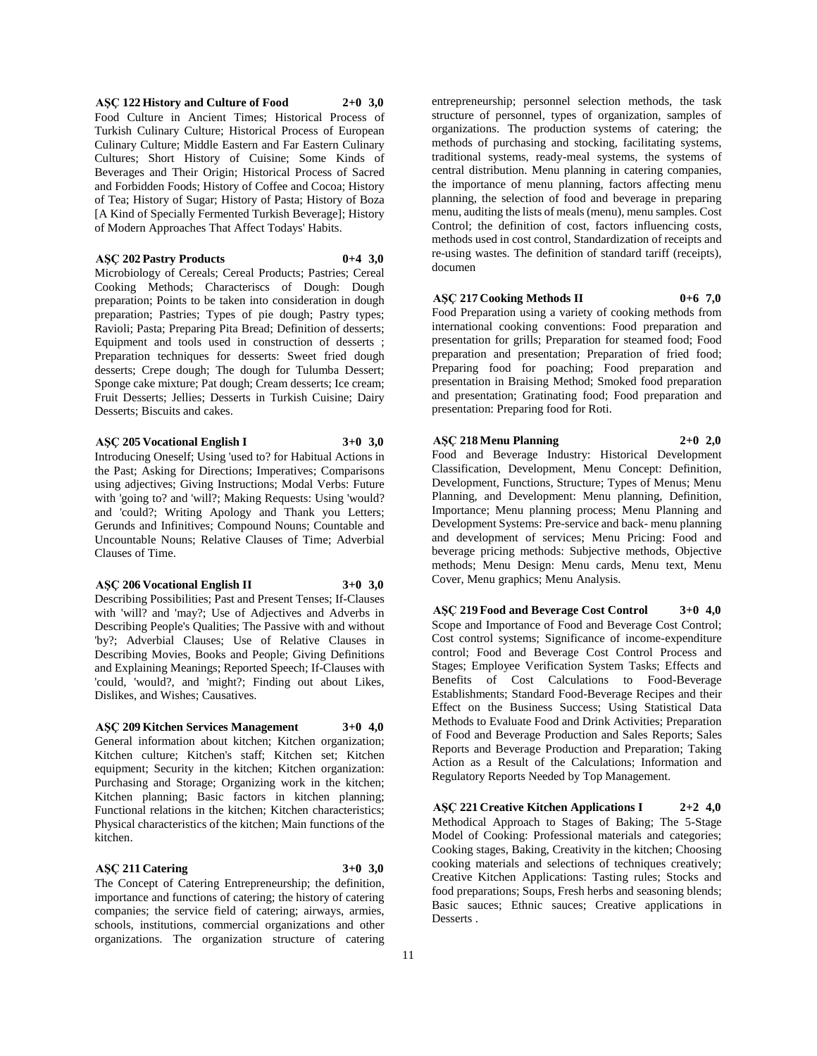# **AŞÇ 122 History and Culture of Food 2+0 3,0** Food Culture in Ancient Times; Historical Process of Turkish Culinary Culture; Historical Process of European Culinary Culture; Middle Eastern and Far Eastern Culinary Cultures; Short History of Cuisine; Some Kinds of

Beverages and Their Origin; Historical Process of Sacred and Forbidden Foods; History of Coffee and Cocoa; History of Tea; History of Sugar; History of Pasta; History of Boza [A Kind of Specially Fermented Turkish Beverage]; History of Modern Approaches That Affect Todays' Habits.

# **AŞÇ 202 Pastry Products 0+4 3,0**

Microbiology of Cereals; Cereal Products; Pastries; Cereal Cooking Methods; Characteriscs of Dough: Dough preparation; Points to be taken into consideration in dough preparation; Pastries; Types of pie dough; Pastry types; Ravioli; Pasta; Preparing Pita Bread; Definition of desserts; Equipment and tools used in construction of desserts ; Preparation techniques for desserts: Sweet fried dough desserts; Crepe dough; The dough for Tulumba Dessert; Sponge cake mixture; Pat dough; Cream desserts; Ice cream; Fruit Desserts; Jellies; Desserts in Turkish Cuisine; Dairy Desserts; Biscuits and cakes.

# **AŞÇ 205 Vocational English I 3+0 3,0**

Introducing Oneself; Using 'used to? for Habitual Actions in the Past; Asking for Directions; Imperatives; Comparisons using adjectives; Giving Instructions; Modal Verbs: Future with 'going to? and 'will?; Making Requests: Using 'would? and 'could?; Writing Apology and Thank you Letters; Gerunds and Infinitives; Compound Nouns; Countable and Uncountable Nouns; Relative Clauses of Time; Adverbial Clauses of Time.

### **AŞÇ 206 Vocational English II 3+0 3,0**

Describing Possibilities; Past and Present Tenses; If-Clauses

with 'will? and 'may?; Use of Adjectives and Adverbs in Describing People's Qualities; The Passive with and without 'by?; Adverbial Clauses; Use of Relative Clauses in Describing Movies, Books and People; Giving Definitions and Explaining Meanings; Reported Speech; If-Clauses with 'could, 'would?, and 'might?; Finding out about Likes, Dislikes, and Wishes; Causatives.

# **AŞÇ 209 Kitchen Services Management 3+0 4,0**

General information about kitchen; Kitchen organization; Kitchen culture; Kitchen's staff; Kitchen set; Kitchen equipment; Security in the kitchen; Kitchen organization: Purchasing and Storage; Organizing work in the kitchen; Kitchen planning; Basic factors in kitchen planning; Functional relations in the kitchen; Kitchen characteristics; Physical characteristics of the kitchen; Main functions of the kitchen.

# **AŞÇ 211 Catering 3+0 3,0**

The Concept of Catering Entrepreneurship; the definition, importance and functions of catering; the history of catering companies; the service field of catering; airways, armies, schools, institutions, commercial organizations and other organizations. The organization structure of catering

entrepreneurship; personnel selection methods, the task structure of personnel, types of organization, samples of organizations. The production systems of catering; the methods of purchasing and stocking, facilitating systems, traditional systems, ready-meal systems, the systems of central distribution. Menu planning in catering companies, the importance of menu planning, factors affecting menu planning, the selection of food and beverage in preparing menu, auditing the lists of meals (menu), menu samples. Cost Control; the definition of cost, factors influencing costs, methods used in cost control, Standardization of receipts and re-using wastes. The definition of standard tariff (receipts), documen

# **AŞÇ 217 Cooking Methods II 0+6 7,0**

Food Preparation using a variety of cooking methods from international cooking conventions: Food preparation and presentation for grills; Preparation for steamed food; Food preparation and presentation; Preparation of fried food; Preparing food for poaching; Food preparation and presentation in Braising Method; Smoked food preparation and presentation; Gratinating food; Food preparation and presentation: Preparing food for Roti.

# **AŞÇ 218 Menu Planning 2+0 2,0**

Food and Beverage Industry: Historical Development Classification, Development, Menu Concept: Definition, Development, Functions, Structure; Types of Menus; Menu Planning, and Development: Menu planning, Definition, Importance; Menu planning process; Menu Planning and Development Systems: Pre-service and back- menu planning and development of services; Menu Pricing: Food and beverage pricing methods: Subjective methods, Objective methods; Menu Design: Menu cards, Menu text, Menu Cover, Menu graphics; Menu Analysis.

**AŞÇ 219 Food and Beverage Cost Control 3+0 4,0** Scope and Importance of Food and Beverage Cost Control; Cost control systems; Significance of income-expenditure control; Food and Beverage Cost Control Process and Stages; Employee Verification System Tasks; Effects and Benefits of Cost Calculations to Food-Beverage Establishments; Standard Food-Beverage Recipes and their Effect on the Business Success; Using Statistical Data Methods to Evaluate Food and Drink Activities; Preparation of Food and Beverage Production and Sales Reports; Sales Reports and Beverage Production and Preparation; Taking Action as a Result of the Calculations; Information and Regulatory Reports Needed by Top Management.

**AŞÇ 221 Creative Kitchen Applications I 2+2 4,0** Methodical Approach to Stages of Baking; The 5-Stage Model of Cooking: Professional materials and categories; Cooking stages, Baking, Creativity in the kitchen; Choosing cooking materials and selections of techniques creatively; Creative Kitchen Applications: Tasting rules; Stocks and food preparations; Soups, Fresh herbs and seasoning blends; Basic sauces; Ethnic sauces; Creative applications in Desserts .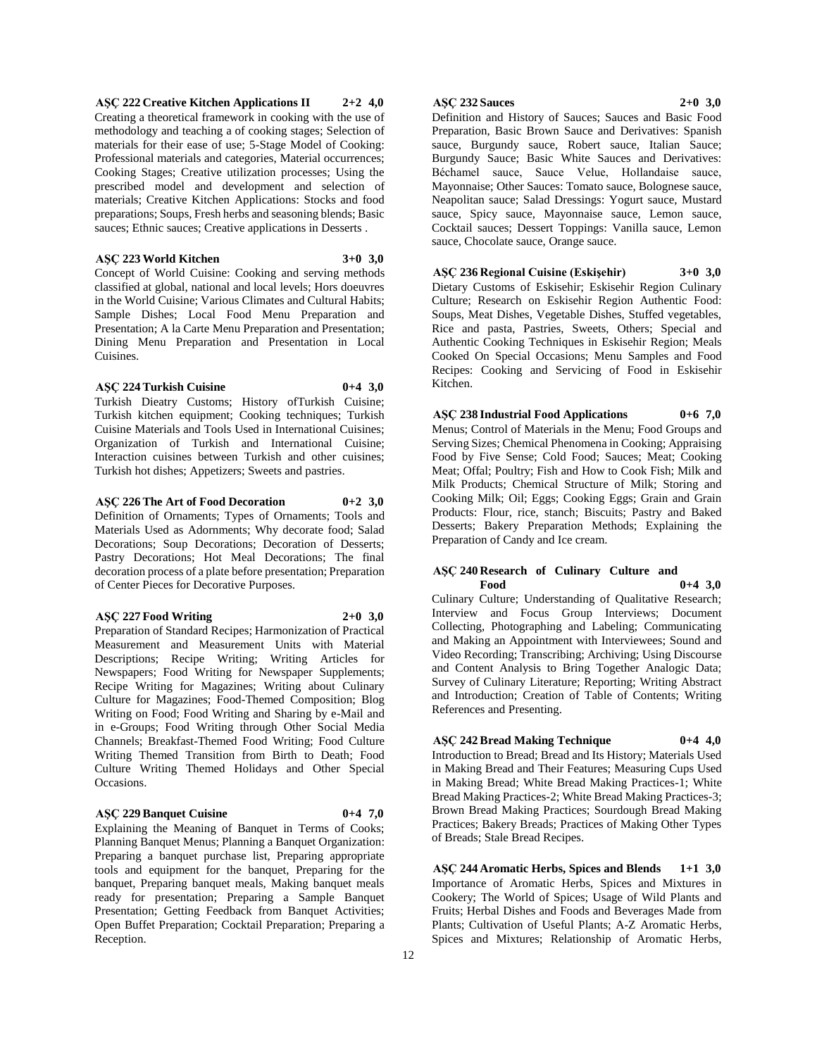**AŞÇ 222 Creative Kitchen Applications II 2+2 4,0** Creating a theoretical framework in cooking with the use of methodology and teaching a of cooking stages; Selection of materials for their ease of use; 5-Stage Model of Cooking: Professional materials and categories, Material occurrences; Cooking Stages; Creative utilization processes; Using the prescribed model and development and selection of materials; Creative Kitchen Applications: Stocks and food preparations; Soups, Fresh herbs and seasoning blends; Basic sauces; Ethnic sauces; Creative applications in Desserts .

# **AŞÇ 223 World Kitchen 3+0 3,0**

Concept of World Cuisine: Cooking and serving methods classified at global, national and local levels; Hors doeuvres in the World Cuisine; Various Climates and Cultural Habits; Sample Dishes; Local Food Menu Preparation and Presentation; A la Carte Menu Preparation and Presentation; Dining Menu Preparation and Presentation in Local Cuisines.

### **AŞÇ 224 Turkish Cuisine 0+4 3,0**

Turkish Dieatry Customs; History ofTurkish Cuisine; Turkish kitchen equipment; Cooking techniques; Turkish Cuisine Materials and Tools Used in International Cuisines; Organization of Turkish and International Cuisine; Interaction cuisines between Turkish and other cuisines; Turkish hot dishes; Appetizers; Sweets and pastries.

# **AŞÇ 226 The Art of Food Decoration 0+2 3,0**

Definition of Ornaments; Types of Ornaments; Tools and Materials Used as Adornments; Why decorate food; Salad Decorations; Soup Decorations; Decoration of Desserts; Pastry Decorations; Hot Meal Decorations; The final decoration process of a plate before presentation; Preparation of Center Pieces for Decorative Purposes.

# **AŞÇ 227 Food Writing 2+0 3,0**

Preparation of Standard Recipes; Harmonization of Practical Measurement and Measurement Units with Material Descriptions; Recipe Writing; Writing Articles for Newspapers; Food Writing for Newspaper Supplements; Recipe Writing for Magazines; Writing about Culinary Culture for Magazines; Food-Themed Composition; Blog Writing on Food; Food Writing and Sharing by e-Mail and in e-Groups; Food Writing through Other Social Media Channels; Breakfast-Themed Food Writing; Food Culture Writing Themed Transition from Birth to Death; Food Culture Writing Themed Holidays and Other Special Occasions.

# **AŞÇ 229 Banquet Cuisine 0+4 7,0**

Explaining the Meaning of Banquet in Terms of Cooks; Planning Banquet Menus; Planning a Banquet Organization: Preparing a banquet purchase list, Preparing appropriate tools and equipment for the banquet, Preparing for the banquet, Preparing banquet meals, Making banquet meals ready for presentation; Preparing a Sample Banquet Presentation; Getting Feedback from Banquet Activities; Open Buffet Preparation; Cocktail Preparation; Preparing a Reception.

# **AŞÇ 232 Sauces 2+0 3,0**

Definition and History of Sauces; Sauces and Basic Food Preparation, Basic Brown Sauce and Derivatives: Spanish sauce, Burgundy sauce, Robert sauce, Italian Sauce; Burgundy Sauce; Basic White Sauces and Derivatives: Béchamel sauce, Sauce Velue, Hollandaise sauce, Mayonnaise; Other Sauces: Tomato sauce, Bolognese sauce, Neapolitan sauce; Salad Dressings: Yogurt sauce, Mustard sauce, Spicy sauce, Mayonnaise sauce, Lemon sauce, Cocktail sauces; Dessert Toppings: Vanilla sauce, Lemon sauce, Chocolate sauce, Orange sauce.

**AŞÇ 236 Regional Cuisine (Eskişehir) 3+0 3,0** Dietary Customs of Eskisehir; Eskisehir Region Culinary Culture; Research on Eskisehir Region Authentic Food: Soups, Meat Dishes, Vegetable Dishes, Stuffed vegetables, Rice and pasta, Pastries, Sweets, Others; Special and Authentic Cooking Techniques in Eskisehir Region; Meals Cooked On Special Occasions; Menu Samples and Food Recipes: Cooking and Servicing of Food in Eskisehir Kitchen.

**AŞÇ 238 Industrial Food Applications 0+6 7,0** Menus; Control of Materials in the Menu; Food Groups and Serving Sizes; Chemical Phenomena in Cooking; Appraising Food by Five Sense; Cold Food; Sauces; Meat; Cooking Meat; Offal; Poultry; Fish and How to Cook Fish; Milk and Milk Products; Chemical Structure of Milk; Storing and Cooking Milk; Oil; Eggs; Cooking Eggs; Grain and Grain Products: Flour, rice, stanch; Biscuits; Pastry and Baked Desserts; Bakery Preparation Methods; Explaining the Preparation of Candy and Ice cream.

### **AŞÇ 240 Research of Culinary Culture and Food 0+4 3,0**

Culinary Culture; Understanding of Qualitative Research; Interview and Focus Group Interviews; Document Collecting, Photographing and Labeling; Communicating and Making an Appointment with Interviewees; Sound and Video Recording; Transcribing; Archiving; Using Discourse and Content Analysis to Bring Together Analogic Data; Survey of Culinary Literature; Reporting; Writing Abstract and Introduction; Creation of Table of Contents; Writing References and Presenting.

**AŞÇ 242 Bread Making Technique 0+4 4,0** Introduction to Bread; Bread and Its History; Materials Used in Making Bread and Their Features; Measuring Cups Used in Making Bread; White Bread Making Practices-1; White Bread Making Practices-2; White Bread Making Practices-3; Brown Bread Making Practices; Sourdough Bread Making Practices; Bakery Breads; Practices of Making Other Types of Breads; Stale Bread Recipes.

**AŞÇ 244 Aromatic Herbs, Spices and Blends 1+1 3,0** Importance of Aromatic Herbs, Spices and Mixtures in Cookery; The World of Spices; Usage of Wild Plants and Fruits; Herbal Dishes and Foods and Beverages Made from Plants; Cultivation of Useful Plants; A-Z Aromatic Herbs, Spices and Mixtures; Relationship of Aromatic Herbs,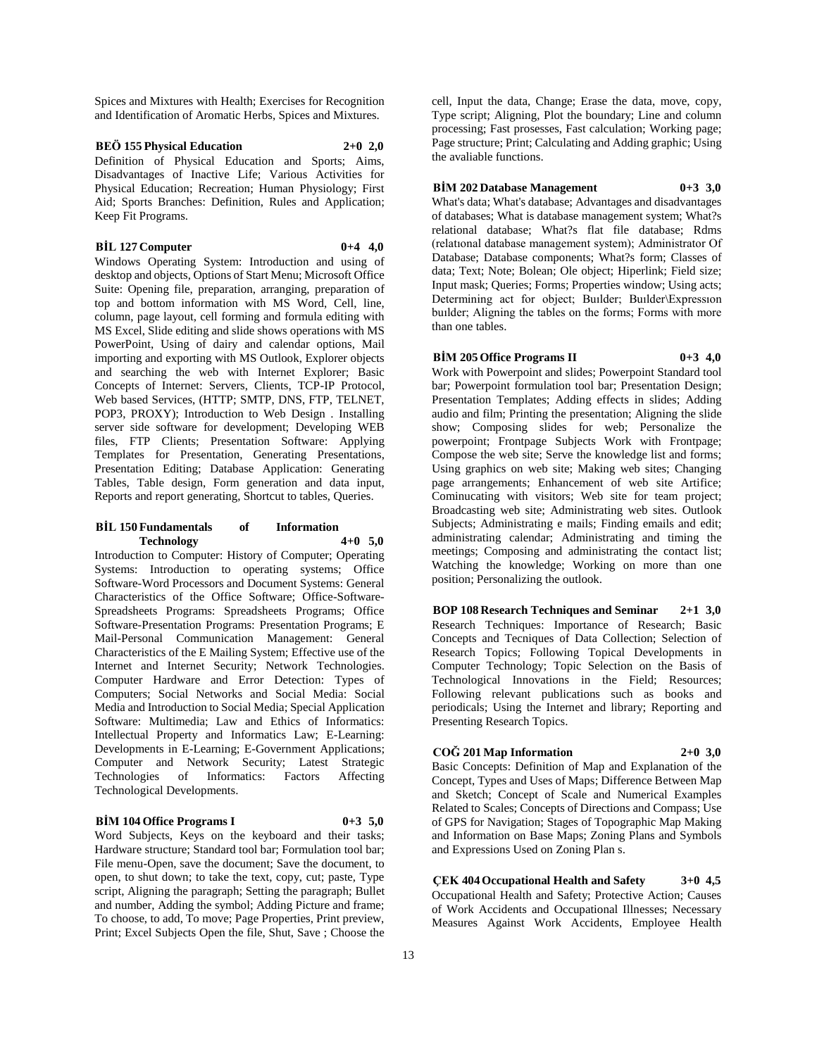Spices and Mixtures with Health; Exercises for Recognition and Identification of Aromatic Herbs, Spices and Mixtures.

# **BEÖ 155 Physical Education 2+0 2,0**

Definition of Physical Education and Sports; Aims, Disadvantages of Inactive Life; Various Activities for Physical Education; Recreation; Human Physiology; First Aid; Sports Branches: Definition, Rules and Application; Keep Fit Programs.

### **BİL 127 Computer 0+4 4,0**

Windows Operating System: Introduction and using of desktop and objects, Options of Start Menu; Microsoft Office Suite: Opening file, preparation, arranging, preparation of top and bottom information with MS Word, Cell, line, column, page layout, cell forming and formula editing with MS Excel, Slide editing and slide shows operations with MS PowerPoint, Using of dairy and calendar options, Mail importing and exporting with MS Outlook, Explorer objects and searching the web with Internet Explorer; Basic Concepts of Internet: Servers, Clients, TCP-IP Protocol, Web based Services, (HTTP; SMTP, DNS, FTP, TELNET, POP3, PROXY); Introduction to Web Design . Installing server side software for development; Developing WEB files, FTP Clients; Presentation Software: Applying Templates for Presentation, Generating Presentations, Presentation Editing; Database Application: Generating Tables, Table design, Form generation and data input, Reports and report generating, Shortcut to tables, Queries.

### **BİL 150 Fundamentals of Information Technology 4+0 5,0**

Introduction to Computer: History of Computer; Operating Systems: Introduction to operating systems; Office Software-Word Processors and Document Systems: General Characteristics of the Office Software; Office-Software-Spreadsheets Programs: Spreadsheets Programs; Office Software-Presentation Programs: Presentation Programs; E Mail-Personal Communication Management: General Characteristics of the E Mailing System; Effective use of the Internet and Internet Security; Network Technologies. Computer Hardware and Error Detection: Types of Computers; Social Networks and Social Media: Social Media and Introduction to Social Media; Special Application Software: Multimedia; Law and Ethics of Informatics: Intellectual Property and Informatics Law; E-Learning: Developments in E-Learning; E-Government Applications; Computer and Network Security; Latest Strategic<br>Technologies of Informatics: Factors Affecting Technologies of Informatics: Factors Technological Developments.

# **BİM 104 Office Programs I 0+3 5,0**

Word Subjects, Keys on the keyboard and their tasks; Hardware structure; Standard tool bar; Formulation tool bar; File menu-Open, save the document; Save the document, to open, to shut down; to take the text, copy, cut; paste, Type script, Aligning the paragraph; Setting the paragraph; Bullet and number, Adding the symbol; Adding Picture and frame; To choose, to add, To move; Page Properties, Print preview, Print; Excel Subjects Open the file, Shut, Save ; Choose the

cell, Input the data, Change; Erase the data, move, copy, Type script; Aligning, Plot the boundary; Line and column processing; Fast prosesses, Fast calculation; Working page; Page structure; Print; Calculating and Adding graphic; Using the avaliable functions.

# **BİM 202 Database Management 0+3 3,0**

What's data; What's database; Advantages and disadvantages of databases; What is database management system; What?s relational database; What?s flat file database; Rdms (relatıonal database management system); Administrator Of Database; Database components; What?s form; Classes of data; Text; Note; Bolean; Ole object; Hiperlink; Field size; Input mask; Queries; Forms; Properties window; Using acts; Determining act for object; Builder; Builder\Expression buılder; Aligning the tables on the forms; Forms with more than one tables.

### **BİM 205 Office Programs II 0+3 4,0**

Work with Powerpoint and slides; Powerpoint Standard tool bar; Powerpoint formulation tool bar; Presentation Design; Presentation Templates; Adding effects in slides; Adding audio and film; Printing the presentation; Aligning the slide show; Composing slides for web; Personalize the powerpoint; Frontpage Subjects Work with Frontpage; Compose the web site; Serve the knowledge list and forms; Using graphics on web site; Making web sites; Changing page arrangements; Enhancement of web site Artifice; Cominucating with visitors; Web site for team project; Broadcasting web site; Administrating web sites. Outlook Subjects; Administrating e mails; Finding emails and edit; administrating calendar; Administrating and timing the meetings; Composing and administrating the contact list; Watching the knowledge; Working on more than one position; Personalizing the outlook.

**BOP 108 Research Techniques and Seminar 2+1 3,0** Research Techniques: Importance of Research; Basic Concepts and Tecniques of Data Collection; Selection of Research Topics; Following Topical Developments in Computer Technology; Topic Selection on the Basis of Technological Innovations in the Field; Resources; Following relevant publications such as books and periodicals; Using the Internet and library; Reporting and Presenting Research Topics.

#### **COĞ 201 Map Information 2+0 3,0**

Basic Concepts: Definition of Map and Explanation of the Concept, Types and Uses of Maps; Difference Between Map and Sketch; Concept of Scale and Numerical Examples Related to Scales; Concepts of Directions and Compass; Use of GPS for Navigation; Stages of Topographic Map Making and Information on Base Maps; Zoning Plans and Symbols and Expressions Used on Zoning Plan s.

**ÇEK 404 Occupational Health and Safety 3+0 4,5** Occupational Health and Safety; Protective Action; Causes of Work Accidents and Occupational Illnesses; Necessary Measures Against Work Accidents, Employee Health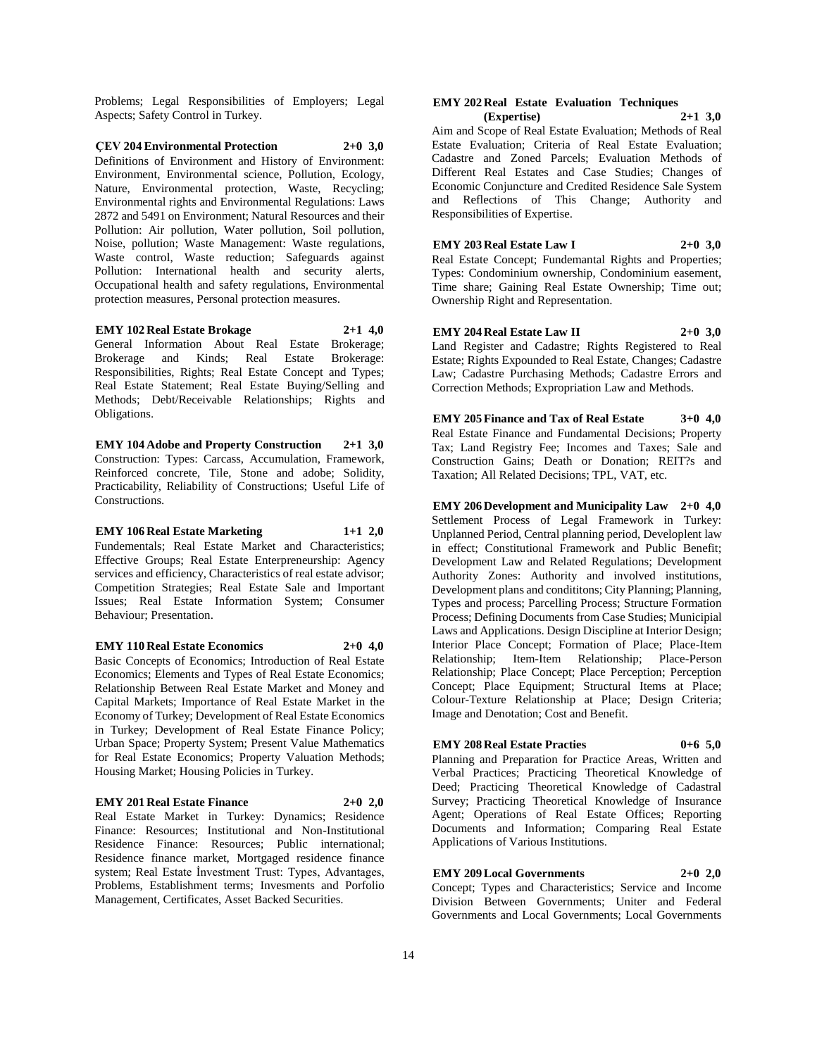Problems; Legal Responsibilities of Employers; Legal Aspects; Safety Control in Turkey.

**ÇEV 204 Environmental Protection 2+0 3,0** Definitions of Environment and History of Environment: Environment, Environmental science, Pollution, Ecology, Nature, Environmental protection, Waste, Recycling; Environmental rights and Environmental Regulations: Laws 2872 and 5491 on Environment; Natural Resources and their Pollution: Air pollution, Water pollution, Soil pollution, Noise, pollution; Waste Management: Waste regulations, Waste control, Waste reduction; Safeguards against Pollution: International health and security alerts, Occupational health and safety regulations, Environmental protection measures, Personal protection measures.

**EMY 102 Real Estate Brokage 2+1 4,0** General Information About Real Estate Brokerage; Brokerage and Kinds; Real Estate Brokerage: Responsibilities, Rights; Real Estate Concept and Types; Real Estate Statement; Real Estate Buying/Selling and Methods; Debt/Receivable Relationships; Rights and Obligations.

**EMY 104 Adobe and Property Construction 2+1 3,0** Construction: Types: Carcass, Accumulation, Framework, Reinforced concrete, Tile, Stone and adobe; Solidity, Practicability, Reliability of Constructions; Useful Life of Constructions.

**EMY 106 Real Estate Marketing 1+1 2,0** Fundementals; Real Estate Market and Characteristics; Effective Groups; Real Estate Enterpreneurship: Agency services and efficiency, Characteristics of real estate advisor; Competition Strategies; Real Estate Sale and Important Issues; Real Estate Information System; Consumer Behaviour; Presentation.

# **EMY 110 Real Estate Economics 2+0 4,0**

Basic Concepts of Economics; Introduction of Real Estate Economics; Elements and Types of Real Estate Economics; Relationship Between Real Estate Market and Money and Capital Markets; Importance of Real Estate Market in the Economy of Turkey; Development of Real Estate Economics in Turkey; Development of Real Estate Finance Policy; Urban Space; Property System; Present Value Mathematics for Real Estate Economics; Property Valuation Methods; Housing Market; Housing Policies in Turkey.

#### **EMY 201 Real Estate Finance 2+0 2,0**

Real Estate Market in Turkey: Dynamics; Residence Finance: Resources; Institutional and Non-Institutional Residence Finance: Resources; Public international; Residence finance market, Mortgaged residence finance system; Real Estate İnvestment Trust: Types, Advantages, Problems, Establishment terms; Invesments and Porfolio Management, Certificates, Asset Backed Securities.

#### **EMY 202 Real Estate Evaluation Techniques (Expertise) 2+1 3,0**

Aim and Scope of Real Estate Evaluation; Methods of Real Estate Evaluation; Criteria of Real Estate Evaluation; Cadastre and Zoned Parcels; Evaluation Methods of Different Real Estates and Case Studies; Changes of Economic Conjuncture and Credited Residence Sale System and Reflections of This Change; Authority and Responsibilities of Expertise.

**EMY 203 Real Estate Law I 2+0 3,0** Real Estate Concept; Fundemantal Rights and Properties; Types: Condominium ownership, Condominium easement, Time share; Gaining Real Estate Ownership; Time out; Ownership Right and Representation.

**EMY 204 Real Estate Law II 2+0 3,0** Land Register and Cadastre; Rights Registered to Real Estate; Rights Expounded to Real Estate, Changes; Cadastre Law; Cadastre Purchasing Methods; Cadastre Errors and Correction Methods; Expropriation Law and Methods.

**EMY 205 Finance and Tax of Real Estate 3+0 4,0** Real Estate Finance and Fundamental Decisions; Property Tax; Land Registry Fee; Incomes and Taxes; Sale and Construction Gains; Death or Donation; REIT?s and Taxation; All Related Decisions; TPL, VAT, etc.

**EMY 206 Development and Municipality Law 2+0 4,0** Settlement Process of Legal Framework in Turkey: Unplanned Period, Central planning period, Developlent law in effect; Constitutional Framework and Public Benefit; Development Law and Related Regulations; Development Authority Zones: Authority and involved institutions, Development plans and condititons; City Planning; Planning, Types and process; Parcelling Process; Structure Formation Process; Defining Documents from Case Studies; Municipial Laws and Applications. Design Discipline at Interior Design; Interior Place Concept; Formation of Place; Place-Item Relationship; Item-Item Relationship; Place-Person Relationship; Place Concept; Place Perception; Perception Concept; Place Equipment; Structural Items at Place; Colour-Texture Relationship at Place; Design Criteria; Image and Denotation; Cost and Benefit.

# **EMY 208 Real Estate Practies 0+6 5,0**

Planning and Preparation for Practice Areas, Written and Verbal Practices; Practicing Theoretical Knowledge of Deed; Practicing Theoretical Knowledge of Cadastral Survey; Practicing Theoretical Knowledge of Insurance Agent; Operations of Real Estate Offices; Reporting Documents and Information; Comparing Real Estate Applications of Various Institutions.

# **EMY 209 Local Governments 2+0 2,0**

Concept; Types and Characteristics; Service and Income Division Between Governments; Uniter and Federal Governments and Local Governments; Local Governments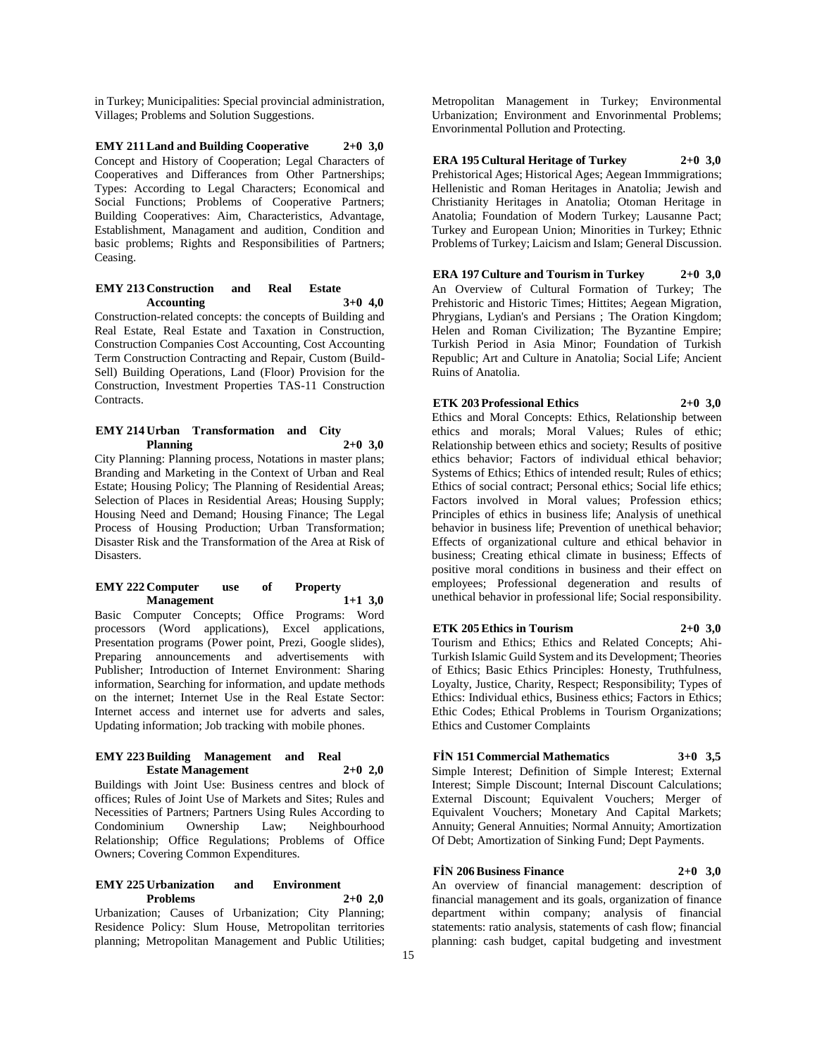in Turkey; Municipalities: Special provincial administration, Villages; Problems and Solution Suggestions.

**EMY 211 Land and Building Cooperative 2+0 3,0** Concept and History of Cooperation; Legal Characters of Cooperatives and Differances from Other Partnerships; Types: According to Legal Characters; Economical and Social Functions; Problems of Cooperative Partners; Building Cooperatives: Aim, Characteristics, Advantage, Establishment, Managament and audition, Condition and basic problems; Rights and Responsibilities of Partners; Ceasing.

### **EMY 213 Construction and Real Estate Accounting 3+0 4,0**

Construction-related concepts: the concepts of Building and Real Estate, Real Estate and Taxation in Construction, Construction Companies Cost Accounting, Cost Accounting Term Construction Contracting and Repair, Custom (Build-Sell) Building Operations, Land (Floor) Provision for the Construction, Investment Properties TAS-11 Construction Contracts.

### **EMY 214 Urban Transformation and City Planning 2+0 3,0**

City Planning: Planning process, Notations in master plans; Branding and Marketing in the Context of Urban and Real Estate; Housing Policy; The Planning of Residential Areas; Selection of Places in Residential Areas; Housing Supply; Housing Need and Demand; Housing Finance; The Legal Process of Housing Production; Urban Transformation; Disaster Risk and the Transformation of the Area at Risk of Disasters.

#### **EMY 222 Computer use of Property Management 1+1 3,0**

Basic Computer Concepts; Office Programs: Word processors (Word applications), Excel applications, Presentation programs (Power point, Prezi, Google slides), Preparing announcements and advertisements with Publisher; Introduction of Internet Environment: Sharing information, Searching for information, and update methods on the internet; Internet Use in the Real Estate Sector: Internet access and internet use for adverts and sales, Updating information; Job tracking with mobile phones.

#### **EMY 223 Building Management and Real Estate Management 2+0 2,0**

Buildings with Joint Use: Business centres and block of offices; Rules of Joint Use of Markets and Sites; Rules and Necessities of Partners; Partners Using Rules According to Condominium Ownership Law; Neighbourhood Relationship; Office Regulations; Problems of Office Owners; Covering Common Expenditures.

# **EMY 225 Urbanization and Environment Problems 2+0 2,0**

Urbanization; Causes of Urbanization; City Planning; Residence Policy: Slum House, Metropolitan territories planning; Metropolitan Management and Public Utilities;

Metropolitan Management in Turkey; Environmental Urbanization; Environment and Envorinmental Problems; Envorinmental Pollution and Protecting.

# **ERA 195 Cultural Heritage of Turkey 2+0 3,0**

Prehistorical Ages; Historical Ages; Aegean Immmigrations; Hellenistic and Roman Heritages in Anatolia; Jewish and Christianity Heritages in Anatolia; Otoman Heritage in Anatolia; Foundation of Modern Turkey; Lausanne Pact; Turkey and European Union; Minorities in Turkey; Ethnic Problems of Turkey; Laicism and Islam; General Discussion.

**ERA 197 Culture and Tourism in Turkey 2+0 3,0** An Overview of Cultural Formation of Turkey; The Prehistoric and Historic Times; Hittites; Aegean Migration, Phrygians, Lydian's and Persians ; The Oration Kingdom; Helen and Roman Civilization; The Byzantine Empire; Turkish Period in Asia Minor; Foundation of Turkish Republic; Art and Culture in Anatolia; Social Life; Ancient Ruins of Anatolia.

# **ETK 203 Professional Ethics 2+0 3,0**

Ethics and Moral Concepts: Ethics, Relationship between ethics and morals; Moral Values; Rules of ethic; Relationship between ethics and society; Results of positive ethics behavior; Factors of individual ethical behavior; Systems of Ethics; Ethics of intended result; Rules of ethics; Ethics of social contract; Personal ethics; Social life ethics; Factors involved in Moral values; Profession ethics; Principles of ethics in business life; Analysis of unethical behavior in business life; Prevention of unethical behavior; Effects of organizational culture and ethical behavior in business; Creating ethical climate in business; Effects of positive moral conditions in business and their effect on employees; Professional degeneration and results of unethical behavior in professional life; Social responsibility.

# **ETK 205 Ethics in Tourism 2+0 3,0**

Tourism and Ethics; Ethics and Related Concepts; Ahi-Turkish Islamic Guild System and its Development; Theories of Ethics; Basic Ethics Principles: Honesty, Truthfulness, Loyalty, Justice, Charity, Respect; Responsibility; Types of Ethics: Individual ethics, Business ethics; Factors in Ethics; Ethic Codes; Ethical Problems in Tourism Organizations; Ethics and Customer Complaints

# **FİN 151 Commercial Mathematics 3+0 3,5**

Simple Interest; Definition of Simple Interest; External Interest; Simple Discount; Internal Discount Calculations; External Discount; Equivalent Vouchers; Merger of Equivalent Vouchers; Monetary And Capital Markets; Annuity; General Annuities; Normal Annuity; Amortization Of Debt; Amortization of Sinking Fund; Dept Payments.

# **FİN 206 Business Finance 2+0 3,0**

An overview of financial management: description of financial management and its goals, organization of finance department within company; analysis of financial statements: ratio analysis, statements of cash flow; financial planning: cash budget, capital budgeting and investment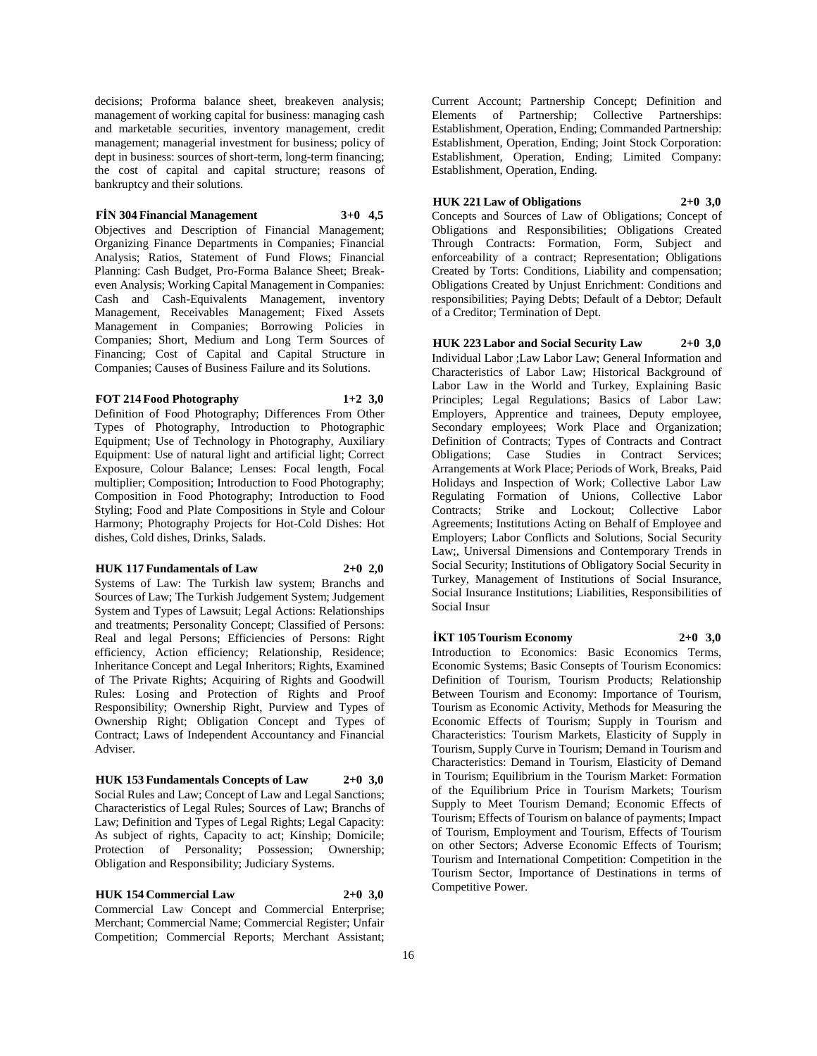decisions; Proforma balance sheet, breakeven analysis; management of working capital for business: managing cash and marketable securities, inventory management, credit management; managerial investment for business; policy of dept in business: sources of short-term, long-term financing; the cost of capital and capital structure; reasons of bankruptcy and their solutions.

#### **FİN 304 Financial Management 3+0 4,5**

Objectives and Description of Financial Management; Organizing Finance Departments in Companies; Financial Analysis; Ratios, Statement of Fund Flows; Financial Planning: Cash Budget, Pro-Forma Balance Sheet; Breakeven Analysis; Working Capital Management in Companies: Cash and Cash-Equivalents Management, inventory Management, Receivables Management; Fixed Assets Management in Companies; Borrowing Policies in Companies; Short, Medium and Long Term Sources of Financing; Cost of Capital and Capital Structure in Companies; Causes of Business Failure and its Solutions.

### **FOT 214 Food Photography 1+2 3,0**

Definition of Food Photography; Differences From Other Types of Photography, Introduction to Photographic Equipment; Use of Technology in Photography, Auxiliary Equipment: Use of natural light and artificial light; Correct Exposure, Colour Balance; Lenses: Focal length, Focal multiplier; Composition; Introduction to Food Photography; Composition in Food Photography; Introduction to Food Styling; Food and Plate Compositions in Style and Colour Harmony; Photography Projects for Hot-Cold Dishes: Hot dishes, Cold dishes, Drinks, Salads.

#### **HUK 117 Fundamentals of Law 2+0 2,0**

Systems of Law: The Turkish law system; Branchs and Sources of Law; The Turkish Judgement System; Judgement System and Types of Lawsuit; Legal Actions: Relationships and treatments; Personality Concept; Classified of Persons: Real and legal Persons; Efficiencies of Persons: Right efficiency, Action efficiency; Relationship, Residence; Inheritance Concept and Legal Inheritors; Rights, Examined of The Private Rights; Acquiring of Rights and Goodwill Rules: Losing and Protection of Rights and Proof Responsibility; Ownership Right, Purview and Types of Ownership Right; Obligation Concept and Types of Contract; Laws of Independent Accountancy and Financial Adviser.

**HUK 153 Fundamentals Concepts of Law 2+0 3,0** Social Rules and Law; Concept of Law and Legal Sanctions; Characteristics of Legal Rules; Sources of Law; Branchs of Law; Definition and Types of Legal Rights; Legal Capacity: As subject of rights, Capacity to act; Kinship; Domicile; Protection of Personality; Possession; Ownership; Obligation and Responsibility; Judiciary Systems.

# **HUK 154 Commercial Law 2+0 3,0** Commercial Law Concept and Commercial Enterprise; Merchant; Commercial Name; Commercial Register; Unfair Competition; Commercial Reports; Merchant Assistant;

Current Account; Partnership Concept; Definition and Elements of Partnership; Collective Partnerships: Establishment, Operation, Ending; Commanded Partnership: Establishment, Operation, Ending; Joint Stock Corporation: Establishment, Operation, Ending; Limited Company: Establishment, Operation, Ending.

### **HUK 221 Law of Obligations 2+0 3,0**

Concepts and Sources of Law of Obligations; Concept of Obligations and Responsibilities; Obligations Created Through Contracts: Formation, Form, Subject and enforceability of a contract; Representation; Obligations Created by Torts: Conditions, Liability and compensation; Obligations Created by Unjust Enrichment: Conditions and responsibilities; Paying Debts; Default of a Debtor; Default of a Creditor; Termination of Dept.

**HUK 223 Labor and Social Security Law 2+0 3,0** Individual Labor ;Law Labor Law; General Information and Characteristics of Labor Law; Historical Background of Labor Law in the World and Turkey, Explaining Basic Principles; Legal Regulations; Basics of Labor Law: Employers, Apprentice and trainees, Deputy employee, Secondary employees; Work Place and Organization; Definition of Contracts; Types of Contracts and Contract Obligations; Case Studies in Contract Services; Arrangements at Work Place; Periods of Work, Breaks, Paid Holidays and Inspection of Work; Collective Labor Law Regulating Formation of Unions, Collective Labor Contracts; Strike and Lockout; Collective Labor Agreements; Institutions Acting on Behalf of Employee and Employers; Labor Conflicts and Solutions, Social Security Law;, Universal Dimensions and Contemporary Trends in Social Security; Institutions of Obligatory Social Security in Turkey, Management of Institutions of Social Insurance, Social Insurance Institutions; Liabilities, Responsibilities of Social Insur

# **İKT 105 Tourism Economy 2+0 3,0**

Introduction to Economics: Basic Economics Terms, Economic Systems; Basic Consepts of Tourism Economics: Definition of Tourism, Tourism Products; Relationship Between Tourism and Economy: Importance of Tourism, Tourism as Economic Activity, Methods for Measuring the Economic Effects of Tourism; Supply in Tourism and Characteristics: Tourism Markets, Elasticity of Supply in Tourism, Supply Curve in Tourism; Demand in Tourism and Characteristics: Demand in Tourism, Elasticity of Demand in Tourism; Equilibrium in the Tourism Market: Formation of the Equilibrium Price in Tourism Markets; Tourism Supply to Meet Tourism Demand; Economic Effects of Tourism; Effects of Tourism on balance of payments; Impact of Tourism, Employment and Tourism, Effects of Tourism on other Sectors; Adverse Economic Effects of Tourism; Tourism and International Competition: Competition in the Tourism Sector, Importance of Destinations in terms of Competitive Power.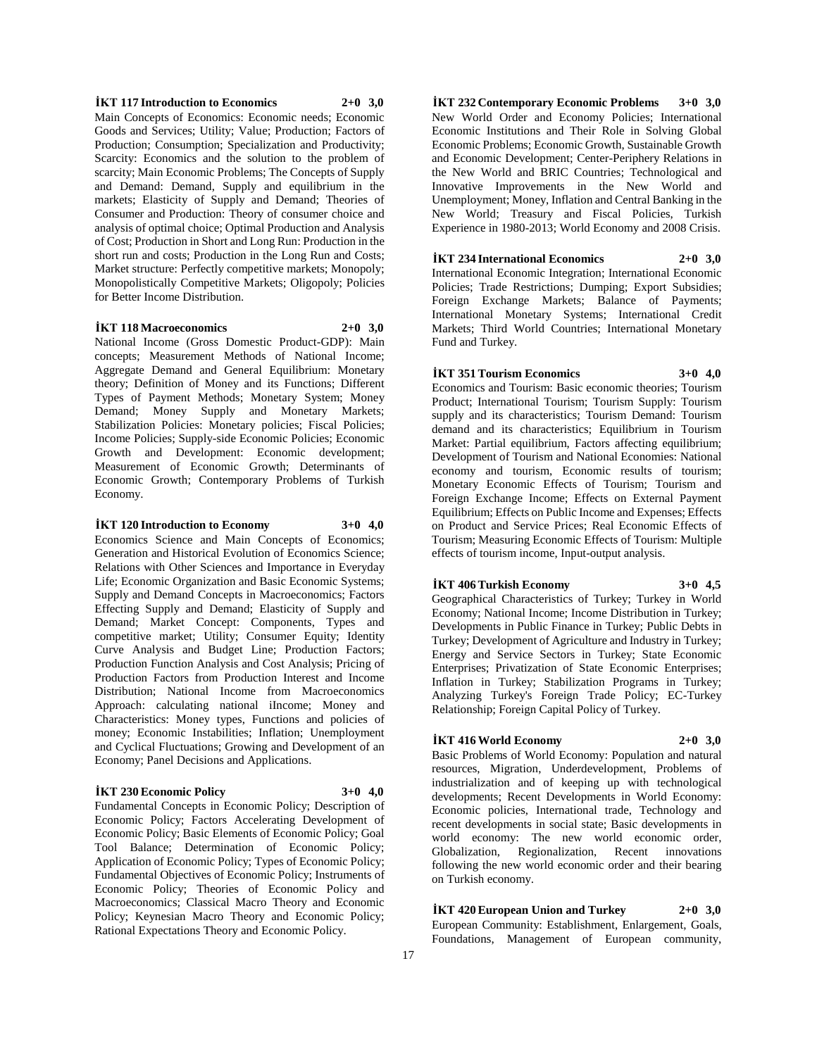# **İKT 117 Introduction to Economics 2+0 3,0**

Main Concepts of Economics: Economic needs; Economic Goods and Services; Utility; Value; Production; Factors of Production; Consumption; Specialization and Productivity; Scarcity: Economics and the solution to the problem of scarcity; Main Economic Problems; The Concepts of Supply and Demand: Demand, Supply and equilibrium in the markets; Elasticity of Supply and Demand; Theories of Consumer and Production: Theory of consumer choice and analysis of optimal choice; Optimal Production and Analysis of Cost; Production in Short and Long Run: Production in the short run and costs; Production in the Long Run and Costs; Market structure: Perfectly competitive markets; Monopoly; Monopolistically Competitive Markets; Oligopoly; Policies for Better Income Distribution.

#### **İKT 118 Macroeconomics 2+0 3,0**

National Income (Gross Domestic Product-GDP): Main concepts; Measurement Methods of National Income; Aggregate Demand and General Equilibrium: Monetary theory; Definition of Money and its Functions; Different Types of Payment Methods; Monetary System; Money Demand; Money Supply and Monetary Markets; Stabilization Policies: Monetary policies; Fiscal Policies; Income Policies; Supply-side Economic Policies; Economic Growth and Development: Economic development; Measurement of Economic Growth; Determinants of Economic Growth; Contemporary Problems of Turkish Economy.

#### **İKT 120 Introduction to Economy 3+0 4,0**

Economics Science and Main Concepts of Economics; Generation and Historical Evolution of Economics Science; Relations with Other Sciences and Importance in Everyday Life; Economic Organization and Basic Economic Systems; Supply and Demand Concepts in Macroeconomics; Factors Effecting Supply and Demand; Elasticity of Supply and Demand; Market Concept: Components, Types and competitive market; Utility; Consumer Equity; Identity Curve Analysis and Budget Line; Production Factors; Production Function Analysis and Cost Analysis; Pricing of Production Factors from Production Interest and Income Distribution; National Income from Macroeconomics Approach: calculating national iIncome; Money and Characteristics: Money types, Functions and policies of money; Economic Instabilities; Inflation; Unemployment and Cyclical Fluctuations; Growing and Development of an Economy; Panel Decisions and Applications.

# **İKT 230 Economic Policy 3+0 4,0**

Fundamental Concepts in Economic Policy; Description of Economic Policy; Factors Accelerating Development of Economic Policy; Basic Elements of Economic Policy; Goal Tool Balance; Determination of Economic Policy; Application of Economic Policy; Types of Economic Policy; Fundamental Objectives of Economic Policy; Instruments of Economic Policy; Theories of Economic Policy and Macroeconomics; Classical Macro Theory and Economic Policy; Keynesian Macro Theory and Economic Policy; Rational Expectations Theory and Economic Policy.

**İKT 232 Contemporary Economic Problems 3+0 3,0** New World Order and Economy Policies; International Economic Institutions and Their Role in Solving Global Economic Problems; Economic Growth, Sustainable Growth and Economic Development; Center-Periphery Relations in the New World and BRIC Countries; Technological and Innovative Improvements in the New World and Unemployment; Money, Inflation and Central Banking in the New World; Treasury and Fiscal Policies, Turkish Experience in 1980-2013; World Economy and 2008 Crisis.

**İKT 234 International Economics 2+0 3,0** International Economic Integration; International Economic Policies; Trade Restrictions; Dumping; Export Subsidies; Foreign Exchange Markets; Balance of Payments; International Monetary Systems; International Credit Markets; Third World Countries; International Monetary Fund and Turkey.

**İKT 351 Tourism Economics 3+0 4,0**

Economics and Tourism: Basic economic theories; Tourism Product; International Tourism; Tourism Supply: Tourism supply and its characteristics; Tourism Demand: Tourism demand and its characteristics; Equilibrium in Tourism Market: Partial equilibrium, Factors affecting equilibrium; Development of Tourism and National Economies: National economy and tourism, Economic results of tourism; Monetary Economic Effects of Tourism; Tourism and Foreign Exchange Income; Effects on External Payment Equilibrium; Effects on Public Income and Expenses; Effects on Product and Service Prices; Real Economic Effects of Tourism; Measuring Economic Effects of Tourism: Multiple effects of tourism income, Input-output analysis.

### **İKT 406 Turkish Economy 3+0 4,5**

Geographical Characteristics of Turkey; Turkey in World Economy; National Income; Income Distribution in Turkey; Developments in Public Finance in Turkey; Public Debts in Turkey; Development of Agriculture and Industry in Turkey; Energy and Service Sectors in Turkey; State Economic Enterprises; Privatization of State Economic Enterprises; Inflation in Turkey; Stabilization Programs in Turkey; Analyzing Turkey's Foreign Trade Policy; EC-Turkey Relationship; Foreign Capital Policy of Turkey.

# **İKT 416 World Economy 2+0 3,0**

Basic Problems of World Economy: Population and natural resources, Migration, Underdevelopment, Problems of industrialization and of keeping up with technological developments; Recent Developments in World Economy: Economic policies, International trade, Technology and recent developments in social state; Basic developments in world economy: The new world economic order, Globalization, Regionalization, Recent innovations following the new world economic order and their bearing on Turkish economy.

**İKT 420 European Union and Turkey 2+0 3,0**

European Community: Establishment, Enlargement, Goals, Foundations, Management of European community,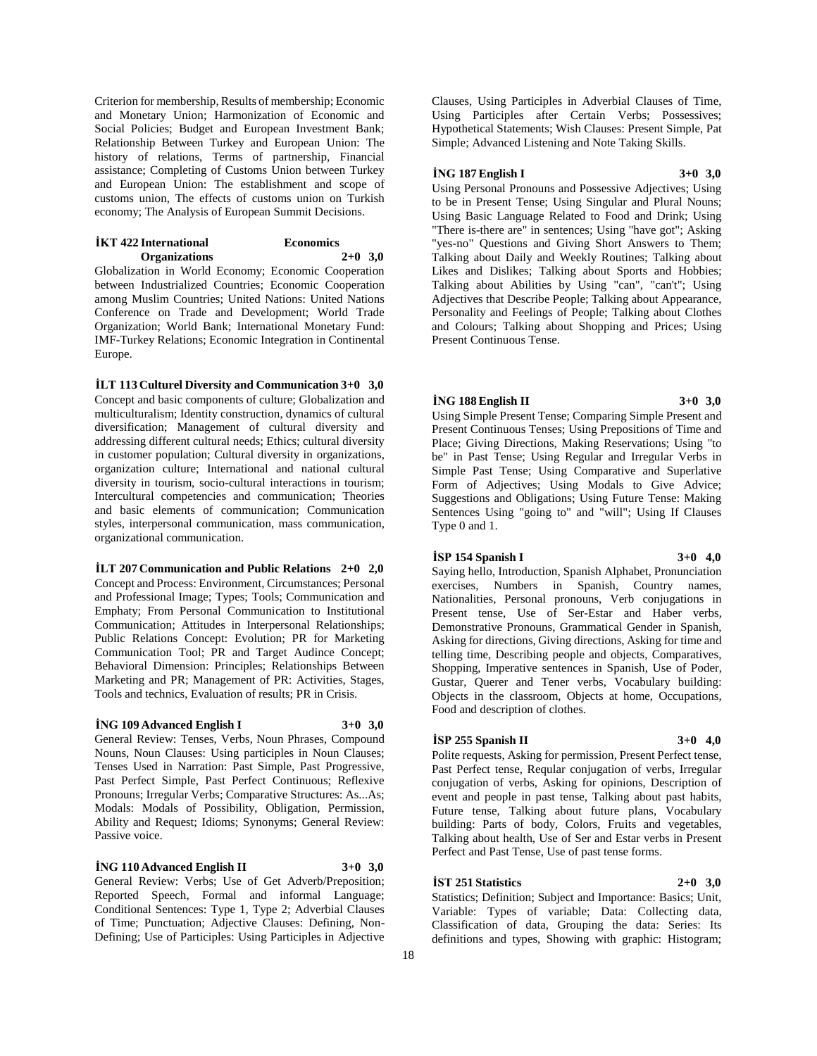Criterion for membership, Results of membership; Economic and Monetary Union; Harmonization of Economic and Social Policies; Budget and European Investment Bank; Relationship Between Turkey and European Union: The history of relations, Terms of partnership, Financial assistance; Completing of Customs Union between Turkey and European Union: The establishment and scope of customs union, The effects of customs union on Turkish economy; The Analysis of European Summit Decisions.

| <b>IKT</b> 422 International | <b>Economics</b> |
|------------------------------|------------------|
| <b>Organizations</b>         | $2+0$ 3,0        |
| .<br>____                    |                  |

Globalization in World Economy; Economic Cooperation between Industrialized Countries; Economic Cooperation among Muslim Countries; United Nations: United Nations Conference on Trade and Development; World Trade Organization; World Bank; International Monetary Fund: IMF-Turkey Relations; Economic Integration in Continental Europe.

### **İLT 113 Culturel Diversity and Communication 3+0 3,0**

Concept and basic components of culture; Globalization and multiculturalism; Identity construction, dynamics of cultural diversification; Management of cultural diversity and addressing different cultural needs; Ethics; cultural diversity in customer population; Cultural diversity in organizations, organization culture; International and national cultural diversity in tourism, socio-cultural interactions in tourism; Intercultural competencies and communication; Theories and basic elements of communication; Communication styles, interpersonal communication, mass communication, organizational communication.

# **İLT 207 Communication and Public Relations 2+0 2,0** Concept and Process: Environment, Circumstances; Personal and Professional Image; Types; Tools; Communication and Emphaty; From Personal Communication to Institutional Communication; Attitudes in Interpersonal Relationships; Public Relations Concept: Evolution; PR for Marketing Communication Tool; PR and Target Audince Concept; Behavioral Dimension: Principles; Relationships Between Marketing and PR; Management of PR: Activities, Stages, Tools and technics, Evaluation of results; PR in Crisis.

### **İNG 109 Advanced English I 3+0 3,0**

General Review: Tenses, Verbs, Noun Phrases, Compound Nouns, Noun Clauses: Using participles in Noun Clauses; Tenses Used in Narration: Past Simple, Past Progressive, Past Perfect Simple, Past Perfect Continuous; Reflexive Pronouns; Irregular Verbs; Comparative Structures: As...As; Modals: Modals of Possibility, Obligation, Permission, Ability and Request; Idioms; Synonyms; General Review: Passive voice.

# **İNG 110 Advanced English II 3+0 3,0**

General Review: Verbs; Use of Get Adverb/Preposition; Reported Speech, Formal and informal Language; Conditional Sentences: Type 1, Type 2; Adverbial Clauses of Time; Punctuation; Adjective Clauses: Defining, Non-Defining; Use of Participles: Using Participles in Adjective Clauses, Using Participles in Adverbial Clauses of Time, Using Participles after Certain Verbs; Possessives; Hypothetical Statements; Wish Clauses: Present Simple, Pat Simple; Advanced Listening and Note Taking Skills.

### **İNG 187 English I 3+0 3,0**

Using Personal Pronouns and Possessive Adjectives; Using to be in Present Tense; Using Singular and Plural Nouns; Using Basic Language Related to Food and Drink; Using "There is-there are" in sentences; Using "have got"; Asking "yes-no" Questions and Giving Short Answers to Them; Talking about Daily and Weekly Routines; Talking about Likes and Dislikes; Talking about Sports and Hobbies; Talking about Abilities by Using "can", "can't"; Using Adjectives that Describe People; Talking about Appearance, Personality and Feelings of People; Talking about Clothes and Colours; Talking about Shopping and Prices; Using Present Continuous Tense.

### **İNG 188 English II 3+0 3,0**

Using Simple Present Tense; Comparing Simple Present and Present Continuous Tenses; Using Prepositions of Time and Place; Giving Directions, Making Reservations; Using "to be" in Past Tense; Using Regular and Irregular Verbs in Simple Past Tense; Using Comparative and Superlative Form of Adjectives; Using Modals to Give Advice; Suggestions and Obligations; Using Future Tense: Making Sentences Using "going to" and "will"; Using If Clauses Type 0 and 1.

# **İSP 154 Spanish I 3+0 4,0**

Saying hello, Introduction, Spanish Alphabet, Pronunciation exercises, Numbers in Spanish, Country names, Nationalities, Personal pronouns, Verb conjugations in Present tense, Use of Ser-Estar and Haber verbs, Demonstrative Pronouns, Grammatical Gender in Spanish, Asking for directions, Giving directions, Asking for time and telling time, Describing people and objects, Comparatives, Shopping, Imperative sentences in Spanish, Use of Poder, Gustar, Querer and Tener verbs, Vocabulary building: Objects in the classroom, Objects at home, Occupations, Food and description of clothes.

# **İSP 255 Spanish II 3+0 4,0**

Polite requests, Asking for permission, Present Perfect tense, Past Perfect tense, Reqular conjugation of verbs, Irregular conjugation of verbs, Asking for opinions, Description of event and people in past tense, Talking about past habits, Future tense, Talking about future plans, Vocabulary building: Parts of body, Colors, Fruits and vegetables, Talking about health, Use of Ser and Estar verbs in Present Perfect and Past Tense, Use of past tense forms.

# **İST 251 Statistics 2+0 3,0**

Statistics; Definition; Subject and Importance: Basics; Unit, Variable: Types of variable; Data: Collecting data, Classification of data, Grouping the data: Series: Its definitions and types, Showing with graphic: Histogram;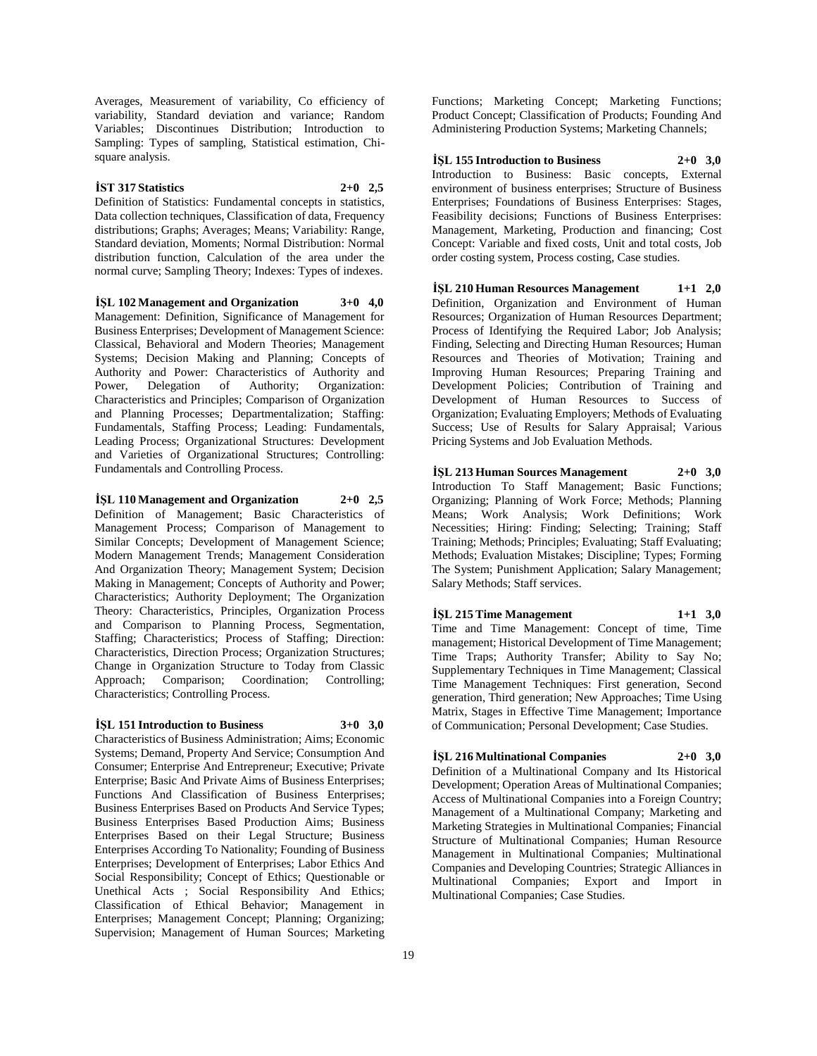Averages, Measurement of variability, Co efficiency of variability, Standard deviation and variance; Random Variables; Discontinues Distribution; Introduction to Sampling: Types of sampling, Statistical estimation, Chisquare analysis.

### **İST 317 Statistics 2+0 2,5**

Definition of Statistics: Fundamental concepts in statistics, Data collection techniques, Classification of data, Frequency distributions; Graphs; Averages; Means; Variability: Range, Standard deviation, Moments; Normal Distribution: Normal distribution function, Calculation of the area under the normal curve; Sampling Theory; Indexes: Types of indexes.

**İŞL 102 Management and Organization 3+0 4,0** Management: Definition, Significance of Management for Business Enterprises; Development of Management Science: Classical, Behavioral and Modern Theories; Management Systems; Decision Making and Planning; Concepts of Authority and Power: Characteristics of Authority and Power, Delegation of Authority; Organization: Characteristics and Principles; Comparison of Organization and Planning Processes; Departmentalization; Staffing: Fundamentals, Staffing Process; Leading: Fundamentals, Leading Process; Organizational Structures: Development and Varieties of Organizational Structures; Controlling: Fundamentals and Controlling Process.

**İŞL 110 Management and Organization 2+0 2,5** Definition of Management; Basic Characteristics of Management Process; Comparison of Management to Similar Concepts; Development of Management Science; Modern Management Trends; Management Consideration And Organization Theory; Management System; Decision Making in Management; Concepts of Authority and Power; Characteristics; Authority Deployment; The Organization Theory: Characteristics, Principles, Organization Process and Comparison to Planning Process, Segmentation, Staffing; Characteristics; Process of Staffing; Direction: Characteristics, Direction Process; Organization Structures; Change in Organization Structure to Today from Classic Approach; Comparison; Coordination; Controlling; Characteristics; Controlling Process.

# **İŞL 151 Introduction to Business 3+0 3,0**

Characteristics of Business Administration; Aims; Economic Systems; Demand, Property And Service; Consumption And Consumer; Enterprise And Entrepreneur; Executive; Private Enterprise; Basic And Private Aims of Business Enterprises; Functions And Classification of Business Enterprises; Business Enterprises Based on Products And Service Types; Business Enterprises Based Production Aims; Business Enterprises Based on their Legal Structure; Business Enterprises According To Nationality; Founding of Business Enterprises; Development of Enterprises; Labor Ethics And Social Responsibility; Concept of Ethics; Questionable or Unethical Acts ; Social Responsibility And Ethics; Classification of Ethical Behavior; Management in Enterprises; Management Concept; Planning; Organizing; Supervision; Management of Human Sources; Marketing

Functions; Marketing Concept; Marketing Functions; Product Concept; Classification of Products; Founding And Administering Production Systems; Marketing Channels;

**İŞL 155 Introduction to Business 2+0 3,0**

Introduction to Business: Basic concepts, External environment of business enterprises; Structure of Business Enterprises; Foundations of Business Enterprises: Stages, Feasibility decisions; Functions of Business Enterprises: Management, Marketing, Production and financing; Cost Concept: Variable and fixed costs, Unit and total costs, Job order costing system, Process costing, Case studies.

**İŞL 210 Human Resources Management 1+1 2,0** Definition, Organization and Environment of Human Resources; Organization of Human Resources Department; Process of Identifying the Required Labor; Job Analysis; Finding, Selecting and Directing Human Resources; Human Resources and Theories of Motivation; Training and Improving Human Resources; Preparing Training and Development Policies; Contribution of Training and Development of Human Resources to Success of Organization; Evaluating Employers; Methods of Evaluating Success; Use of Results for Salary Appraisal; Various Pricing Systems and Job Evaluation Methods.

**İŞL 213 Human Sources Management 2+0 3,0**

Introduction To Staff Management; Basic Functions; Organizing; Planning of Work Force; Methods; Planning Means; Work Analysis; Work Definitions; Work Necessities; Hiring: Finding; Selecting; Training; Staff Training; Methods; Principles; Evaluating; Staff Evaluating; Methods; Evaluation Mistakes; Discipline; Types; Forming The System; Punishment Application; Salary Management; Salary Methods; Staff services.

**İŞL 215 Time Management 1+1 3,0** Time and Time Management: Concept of time, Time

management; Historical Development of Time Management; Time Traps; Authority Transfer; Ability to Say No; Supplementary Techniques in Time Management; Classical Time Management Techniques: First generation, Second generation, Third generation; New Approaches; Time Using Matrix, Stages in Effective Time Management; Importance of Communication; Personal Development; Case Studies.

**İŞL 216 Multinational Companies 2+0 3,0** Definition of a Multinational Company and Its Historical Development; Operation Areas of Multinational Companies; Access of Multinational Companies into a Foreign Country; Management of a Multinational Company; Marketing and Marketing Strategies in Multinational Companies; Financial Structure of Multinational Companies; Human Resource Management in Multinational Companies; Multinational Companies and Developing Countries; Strategic Alliances in Multinational Companies; Export and Import in Multinational Companies; Case Studies.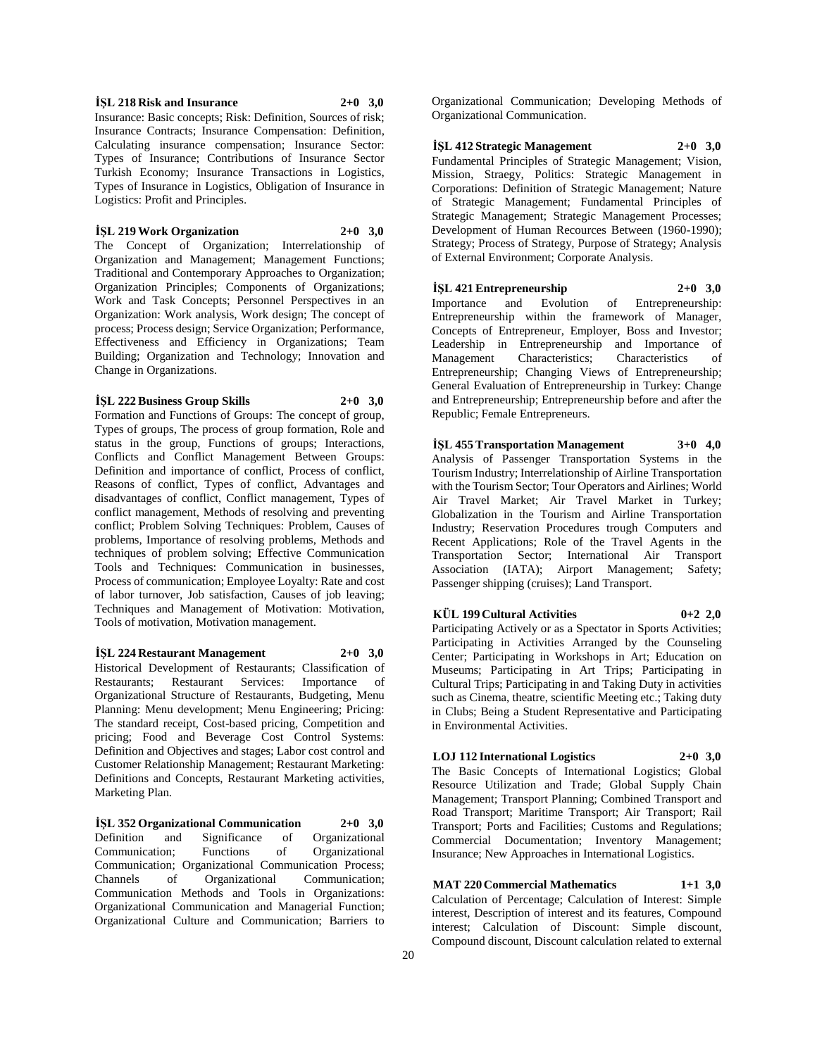**İŞL 218 Risk and Insurance 2+0 3,0** Insurance: Basic concepts; Risk: Definition, Sources of risk; Insurance Contracts; Insurance Compensation: Definition, Calculating insurance compensation; Insurance Sector:

Types of Insurance; Contributions of Insurance Sector Turkish Economy; Insurance Transactions in Logistics, Types of Insurance in Logistics, Obligation of Insurance in Logistics: Profit and Principles.

# **İŞL 219 Work Organization 2+0 3,0**

The Concept of Organization; Interrelationship of Organization and Management; Management Functions; Traditional and Contemporary Approaches to Organization; Organization Principles; Components of Organizations; Work and Task Concepts; Personnel Perspectives in an Organization: Work analysis, Work design; The concept of process; Process design; Service Organization; Performance, Effectiveness and Efficiency in Organizations; Team Building; Organization and Technology; Innovation and Change in Organizations.

**İŞL 222 Business Group Skills 2+0 3,0**

Formation and Functions of Groups: The concept of group, Types of groups, The process of group formation, Role and status in the group, Functions of groups; Interactions, Conflicts and Conflict Management Between Groups: Definition and importance of conflict, Process of conflict, Reasons of conflict, Types of conflict, Advantages and disadvantages of conflict, Conflict management, Types of conflict management, Methods of resolving and preventing conflict; Problem Solving Techniques: Problem, Causes of problems, Importance of resolving problems, Methods and techniques of problem solving; Effective Communication Tools and Techniques: Communication in businesses, Process of communication; Employee Loyalty: Rate and cost of labor turnover, Job satisfaction, Causes of job leaving; Techniques and Management of Motivation: Motivation, Tools of motivation, Motivation management.

**İŞL 224 Restaurant Management 2+0 3,0** Historical Development of Restaurants; Classification of Restaurants; Restaurant Services: Importance of Organizational Structure of Restaurants, Budgeting, Menu Planning: Menu development; Menu Engineering; Pricing: The standard receipt, Cost-based pricing, Competition and pricing; Food and Beverage Cost Control Systems: Definition and Objectives and stages; Labor cost control and Customer Relationship Management; Restaurant Marketing: Definitions and Concepts, Restaurant Marketing activities, Marketing Plan.

**İŞL 352 Organizational Communication 2+0 3,0** Definition and Significance of Organizational Communication; Functions of Organizational Communication; Organizational Communication Process; Channels of Organizational Communication; Communication Methods and Tools in Organizations: Organizational Communication and Managerial Function; Organizational Culture and Communication; Barriers to

Organizational Communication; Developing Methods of Organizational Communication.

**İŞL 412 Strategic Management 2+0 3,0**

Fundamental Principles of Strategic Management; Vision, Mission, Straegy, Politics: Strategic Management in Corporations: Definition of Strategic Management; Nature of Strategic Management; Fundamental Principles of Strategic Management; Strategic Management Processes; Development of Human Recources Between (1960-1990); Strategy; Process of Strategy, Purpose of Strategy; Analysis of External Environment; Corporate Analysis.

# **İŞL 421 Entrepreneurship 2+0 3,0**

Importance and Evolution of Entrepreneurship: Entrepreneurship within the framework of Manager, Concepts of Entrepreneur, Employer, Boss and Investor; Leadership in Entrepreneurship and Importance of Management Characteristics; Characteristics of Entrepreneurship; Changing Views of Entrepreneurship; General Evaluation of Entrepreneurship in Turkey: Change and Entrepreneurship; Entrepreneurship before and after the Republic; Female Entrepreneurs.

**İŞL 455 Transportation Management 3+0 4,0** Analysis of Passenger Transportation Systems in the Tourism Industry; Interrelationship of Airline Transportation with the Tourism Sector; Tour Operators and Airlines; World Air Travel Market; Air Travel Market in Turkey; Globalization in the Tourism and Airline Transportation Industry; Reservation Procedures trough Computers and Recent Applications; Role of the Travel Agents in the Transportation Sector; International Air Transport Association (IATA); Airport Management; Safety; Passenger shipping (cruises); Land Transport.

# **KÜL 199 Cultural Activities 0+2 2,0**

Participating Actively or as a Spectator in Sports Activities; Participating in Activities Arranged by the Counseling Center; Participating in Workshops in Art; Education on Museums; Participating in Art Trips; Participating in Cultural Trips; Participating in and Taking Duty in activities such as Cinema, theatre, scientific Meeting etc.; Taking duty in Clubs; Being a Student Representative and Participating in Environmental Activities.

# **LOJ 112 International Logistics 2+0 3,0**

The Basic Concepts of International Logistics; Global Resource Utilization and Trade; Global Supply Chain Management; Transport Planning; Combined Transport and Road Transport; Maritime Transport; Air Transport; Rail Transport; Ports and Facilities; Customs and Regulations; Commercial Documentation; Inventory Management; Insurance; New Approaches in International Logistics.

**MAT 220 Commercial Mathematics 1+1 3,0** Calculation of Percentage; Calculation of Interest: Simple interest, Description of interest and its features, Compound interest; Calculation of Discount: Simple discount, Compound discount, Discount calculation related to external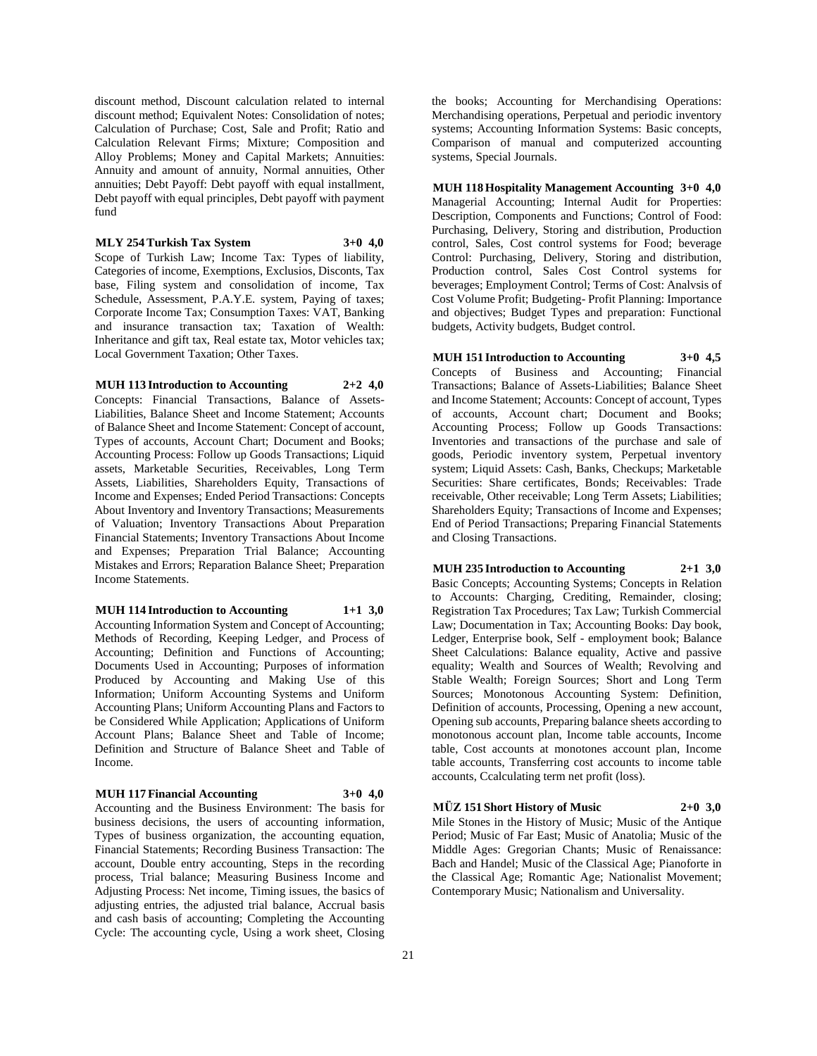discount method, Discount calculation related to internal discount method; Equivalent Notes: Consolidation of notes; Calculation of Purchase; Cost, Sale and Profit; Ratio and Calculation Relevant Firms; Mixture; Composition and Alloy Problems; Money and Capital Markets; Annuities: Annuity and amount of annuity, Normal annuities, Other annuities; Debt Payoff: Debt payoff with equal installment, Debt payoff with equal principles, Debt payoff with payment fund

**MLY 254 Turkish Tax System 3+0 4,0**

Scope of Turkish Law; Income Tax: Types of liability, Categories of income, Exemptions, Exclusios, Disconts, Tax base, Filing system and consolidation of income, Tax Schedule, Assessment, P.A.Y.E. system, Paying of taxes; Corporate Income Tax; Consumption Taxes: VAT, Banking and insurance transaction tax; Taxation of Wealth: Inheritance and gift tax, Real estate tax, Motor vehicles tax; Local Government Taxation; Other Taxes.

#### **MUH 113 Introduction to Accounting 2+2 4,0**

Concepts: Financial Transactions, Balance of Assets-Liabilities, Balance Sheet and Income Statement; Accounts of Balance Sheet and Income Statement: Concept of account, Types of accounts, Account Chart; Document and Books; Accounting Process: Follow up Goods Transactions; Liquid assets, Marketable Securities, Receivables, Long Term Assets, Liabilities, Shareholders Equity, Transactions of Income and Expenses; Ended Period Transactions: Concepts About Inventory and Inventory Transactions; Measurements of Valuation; Inventory Transactions About Preparation Financial Statements; Inventory Transactions About Income and Expenses; Preparation Trial Balance; Accounting Mistakes and Errors; Reparation Balance Sheet; Preparation Income Statements.

### **MUH 114 Introduction to Accounting 1+1 3,0**

Accounting Information System and Concept of Accounting; Methods of Recording, Keeping Ledger, and Process of Accounting; Definition and Functions of Accounting; Documents Used in Accounting; Purposes of information Produced by Accounting and Making Use of this Information; Uniform Accounting Systems and Uniform Accounting Plans; Uniform Accounting Plans and Factors to be Considered While Application; Applications of Uniform Account Plans; Balance Sheet and Table of Income; Definition and Structure of Balance Sheet and Table of Income.

# **MUH 117 Financial Accounting 3+0 4,0**

Accounting and the Business Environment: The basis for business decisions, the users of accounting information, Types of business organization, the accounting equation, Financial Statements; Recording Business Transaction: The account, Double entry accounting, Steps in the recording

process, Trial balance; Measuring Business Income and Adjusting Process: Net income, Timing issues, the basics of adjusting entries, the adjusted trial balance, Accrual basis and cash basis of accounting; Completing the Accounting Cycle: The accounting cycle, Using a work sheet, Closing

the books; Accounting for Merchandising Operations: Merchandising operations, Perpetual and periodic inventory systems; Accounting Information Systems: Basic concepts, Comparison of manual and computerized accounting systems, Special Journals.

**MUH 118 Hospitality Management Accounting 3+0 4,0** Managerial Accounting; Internal Audit for Properties: Description, Components and Functions; Control of Food: Purchasing, Delivery, Storing and distribution, Production control, Sales, Cost control systems for Food; beverage Control: Purchasing, Delivery, Storing and distribution, Production control, Sales Cost Control systems for beverages; Employment Control; Terms of Cost: Analvsis of Cost Volume Profit; Budgeting- Profit Planning: Importance and objectives; Budget Types and preparation: Functional budgets, Activity budgets, Budget control.

**MUH 151 Introduction to Accounting 3+0 4,5** Concepts of Business and Accounting; Financial Transactions; Balance of Assets-Liabilities; Balance Sheet and Income Statement; Accounts: Concept of account, Types of accounts, Account chart; Document and Books; Accounting Process; Follow up Goods Transactions: Inventories and transactions of the purchase and sale of goods, Periodic inventory system, Perpetual inventory system; Liquid Assets: Cash, Banks, Checkups; Marketable Securities: Share certificates, Bonds; Receivables: Trade receivable, Other receivable; Long Term Assets; Liabilities; Shareholders Equity; Transactions of Income and Expenses; End of Period Transactions; Preparing Financial Statements and Closing Transactions.

**MUH 235 Introduction to Accounting 2+1 3,0** Basic Concepts; Accounting Systems; Concepts in Relation to Accounts: Charging, Crediting, Remainder, closing; Registration Tax Procedures; Tax Law; Turkish Commercial Law; Documentation in Tax; Accounting Books: Day book, Ledger, Enterprise book, Self - employment book; Balance Sheet Calculations: Balance equality, Active and passive equality; Wealth and Sources of Wealth; Revolving and Stable Wealth; Foreign Sources; Short and Long Term Sources; Monotonous Accounting System: Definition, Definition of accounts, Processing, Opening a new account, Opening sub accounts, Preparing balance sheets according to monotonous account plan, Income table accounts, Income table, Cost accounts at monotones account plan, Income table accounts, Transferring cost accounts to income table accounts, Ccalculating term net profit (loss).

**MÜZ 151 Short History of Music 2+0 3,0** Mile Stones in the History of Music; Music of the Antique Period; Music of Far East; Music of Anatolia; Music of the Middle Ages: Gregorian Chants; Music of Renaissance: Bach and Handel; Music of the Classical Age; Pianoforte in the Classical Age; Romantic Age; Nationalist Movement; Contemporary Music; Nationalism and Universality.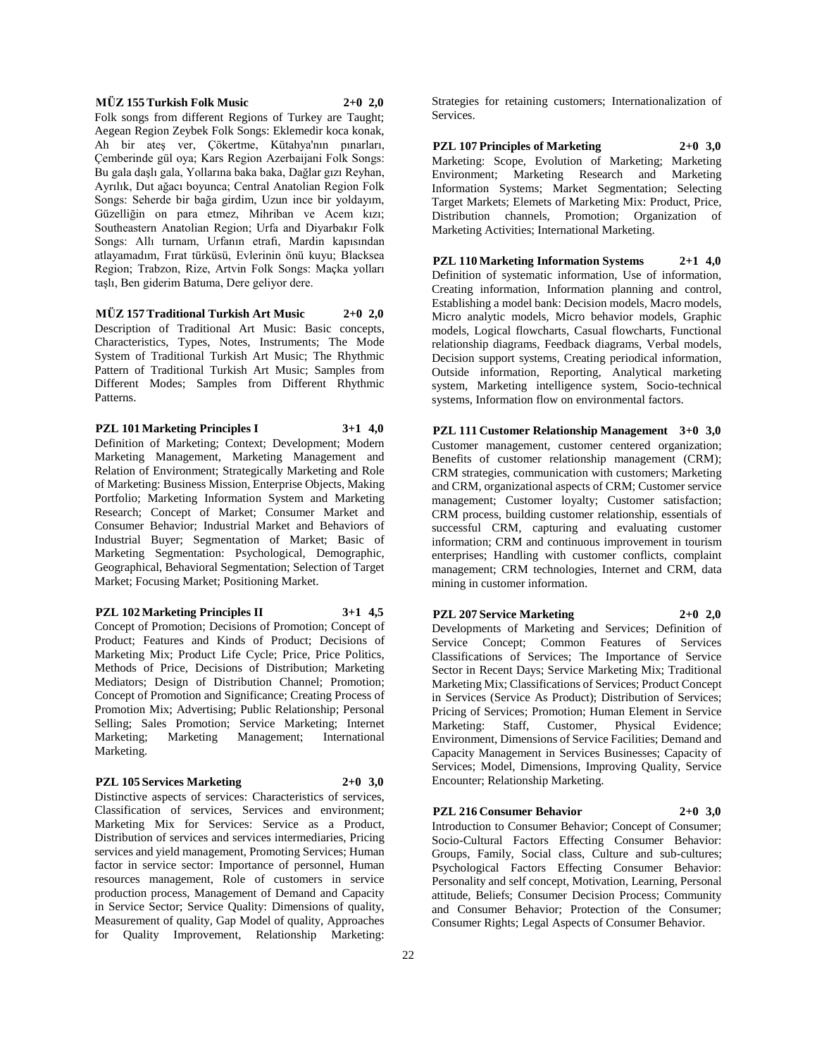### **MÜZ 155 Turkish Folk Music 2+0 2,0**

Folk songs from different Regions of Turkey are Taught; Aegean Region Zeybek Folk Songs: Eklemedir koca konak, Ah bir ateş ver, Çökertme, Kütahya'nın pınarları, Çemberinde gül oya; Kars Region Azerbaijani Folk Songs: Bu gala daşlı gala, Yollarına baka baka, Dağlar gızı Reyhan, Ayrılık, Dut ağacı boyunca; Central Anatolian Region Folk Songs: Seherde bir bağa girdim, Uzun ince bir yoldayım, Güzelliğin on para etmez, Mihriban ve Acem kızı; Southeastern Anatolian Region; Urfa and Diyarbakır Folk Songs: Allı turnam, Urfanın etrafı, Mardin kapısından atlayamadım, Fırat türküsü, Evlerinin önü kuyu; Blacksea Region; Trabzon, Rize, Artvin Folk Songs: Maçka yolları taşlı, Ben giderim Batuma, Dere geliyor dere.

**MÜZ 157 Traditional Turkish Art Music 2+0 2,0** Description of Traditional Art Music: Basic concepts, Characteristics, Types, Notes, Instruments; The Mode System of Traditional Turkish Art Music; The Rhythmic Pattern of Traditional Turkish Art Music; Samples from Different Modes; Samples from Different Rhythmic Patterns.

**PZL 101 Marketing Principles I 3+1 4,0** Definition of Marketing; Context; Development; Modern Marketing Management, Marketing Management and Relation of Environment; Strategically Marketing and Role of Marketing: Business Mission, Enterprise Objects, Making Portfolio; Marketing Information System and Marketing Research; Concept of Market; Consumer Market and Consumer Behavior; Industrial Market and Behaviors of Industrial Buyer; Segmentation of Market; Basic of Marketing Segmentation: Psychological, Demographic, Geographical, Behavioral Segmentation; Selection of Target Market; Focusing Market; Positioning Market.

**PZL 102 Marketing Principles II 3+1 4,5** Concept of Promotion; Decisions of Promotion; Concept of Product; Features and Kinds of Product; Decisions of Marketing Mix; Product Life Cycle; Price, Price Politics, Methods of Price, Decisions of Distribution; Marketing

Mediators; Design of Distribution Channel; Promotion; Concept of Promotion and Significance; Creating Process of Promotion Mix; Advertising; Public Relationship; Personal Selling; Sales Promotion; Service Marketing; Internet Marketing; Marketing Management; International Marketing.

#### **PZL 105 Services Marketing 2+0 3,0**

Distinctive aspects of services: Characteristics of services, Classification of services, Services and environment; Marketing Mix for Services: Service as a Product, Distribution of services and services intermediaries, Pricing services and yield management, Promoting Services; Human factor in service sector: Importance of personnel, Human resources management, Role of customers in service production process, Management of Demand and Capacity in Service Sector; Service Quality: Dimensions of quality, Measurement of quality, Gap Model of quality, Approaches for Quality Improvement, Relationship Marketing:

Strategies for retaining customers; Internationalization of Services.

**PZL 107 Principles of Marketing 2+0 3,0** Marketing: Scope, Evolution of Marketing; Marketing Environment; Marketing Research and Marketing Information Systems; Market Segmentation; Selecting Target Markets; Elemets of Marketing Mix: Product, Price, Distribution channels, Promotion; Organization of Marketing Activities; International Marketing.

**PZL 110 Marketing Information Systems 2+1 4,0** Definition of systematic information, Use of information, Creating information, Information planning and control, Establishing a model bank: Decision models, Macro models, Micro analytic models, Micro behavior models, Graphic models, Logical flowcharts, Casual flowcharts, Functional relationship diagrams, Feedback diagrams, Verbal models, Decision support systems, Creating periodical information, Outside information, Reporting, Analytical marketing system, Marketing intelligence system, Socio-technical systems, Information flow on environmental factors.

**PZL 111 Customer Relationship Management 3+0 3,0** Customer management, customer centered organization; Benefits of customer relationship management (CRM); CRM strategies, communication with customers; Marketing and CRM, organizational aspects of CRM; Customer service management; Customer loyalty; Customer satisfaction; CRM process, building customer relationship, essentials of successful CRM, capturing and evaluating customer information; CRM and continuous improvement in tourism enterprises; Handling with customer conflicts, complaint management; CRM technologies, Internet and CRM, data mining in customer information.

**PZL 207 Service Marketing 2+0 2,0**

Developments of Marketing and Services; Definition of Service Concept; Common Features of Services Classifications of Services; The Importance of Service Sector in Recent Days; Service Marketing Mix; Traditional Marketing Mix; Classifications of Services; Product Concept in Services (Service As Product); Distribution of Services; Pricing of Services; Promotion; Human Element in Service Marketing: Staff, Customer, Physical Evidence; Environment, Dimensions of Service Facilities; Demand and Capacity Management in Services Businesses; Capacity of Services; Model, Dimensions, Improving Quality, Service Encounter; Relationship Marketing.

**PZL 216 Consumer Behavior 2+0 3,0** Introduction to Consumer Behavior; Concept of Consumer; Socio-Cultural Factors Effecting Consumer Behavior: Groups, Family, Social class, Culture and sub-cultures; Psychological Factors Effecting Consumer Behavior: Personality and self concept, Motivation, Learning, Personal attitude, Beliefs; Consumer Decision Process; Community and Consumer Behavior; Protection of the Consumer; Consumer Rights; Legal Aspects of Consumer Behavior.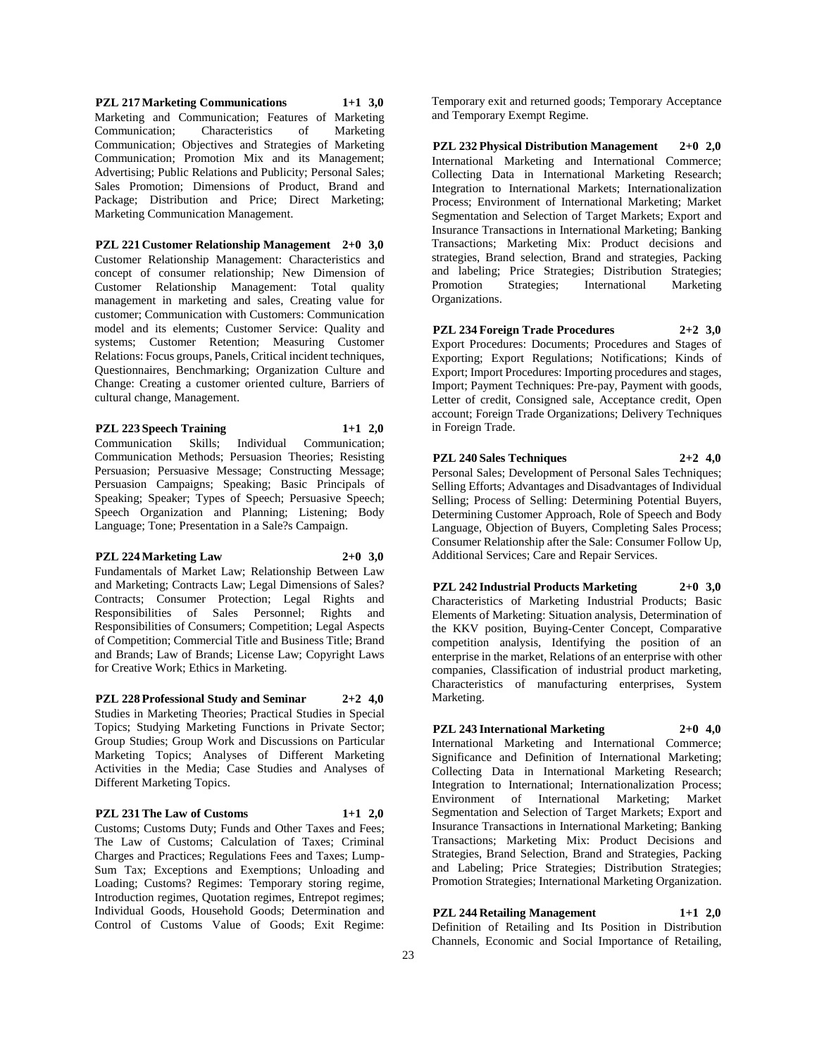**PZL 217 Marketing Communications 1+1 3,0** Marketing and Communication; Features of Marketing Communication; Characteristics of Marketing Communication; Objectives and Strategies of Marketing Communication; Promotion Mix and its Management; Advertising; Public Relations and Publicity; Personal Sales; Sales Promotion; Dimensions of Product, Brand and Package; Distribution and Price; Direct Marketing; Marketing Communication Management.

**PZL 221 Customer Relationship Management 2+0 3,0** Customer Relationship Management: Characteristics and concept of consumer relationship; New Dimension of Customer Relationship Management: Total quality management in marketing and sales, Creating value for customer; Communication with Customers: Communication model and its elements; Customer Service: Quality and systems; Customer Retention; Measuring Customer Relations: Focus groups, Panels, Critical incident techniques, Questionnaires, Benchmarking; Organization Culture and Change: Creating a customer oriented culture, Barriers of cultural change, Management.

**PZL 223 Speech Training 1+1 2,0**

Communication Skills; Individual Communication; Communication Methods; Persuasion Theories; Resisting Persuasion; Persuasive Message; Constructing Message; Persuasion Campaigns; Speaking; Basic Principals of Speaking; Speaker; Types of Speech; Persuasive Speech; Speech Organization and Planning; Listening; Body Language; Tone; Presentation in a Sale?s Campaign.

# **PZL 224 Marketing Law 2+0 3,0**

Fundamentals of Market Law; Relationship Between Law and Marketing; Contracts Law; Legal Dimensions of Sales? Contracts; Consumer Protection; Legal Rights and Responsibilities of Sales Personnel; Rights and Responsibilities of Consumers; Competition; Legal Aspects of Competition; Commercial Title and Business Title; Brand and Brands; Law of Brands; License Law; Copyright Laws for Creative Work; Ethics in Marketing.

**PZL 228 Professional Study and Seminar 2+2 4,0** Studies in Marketing Theories; Practical Studies in Special Topics; Studying Marketing Functions in Private Sector; Group Studies; Group Work and Discussions on Particular Marketing Topics; Analyses of Different Marketing Activities in the Media; Case Studies and Analyses of Different Marketing Topics.

# **PZL 231 The Law of Customs 1+1 2,0**

Customs; Customs Duty; Funds and Other Taxes and Fees; The Law of Customs; Calculation of Taxes; Criminal Charges and Practices; Regulations Fees and Taxes; Lump-Sum Tax; Exceptions and Exemptions; Unloading and Loading; Customs? Regimes: Temporary storing regime, Introduction regimes, Quotation regimes, Entrepot regimes; Individual Goods, Household Goods; Determination and Control of Customs Value of Goods; Exit Regime:

Temporary exit and returned goods; Temporary Acceptance and Temporary Exempt Regime.

**PZL 232 Physical Distribution Management 2+0 2,0** International Marketing and International Commerce; Collecting Data in International Marketing Research; Integration to International Markets; Internationalization Process; Environment of International Marketing; Market Segmentation and Selection of Target Markets; Export and Insurance Transactions in International Marketing; Banking Transactions; Marketing Mix: Product decisions and strategies, Brand selection, Brand and strategies, Packing and labeling; Price Strategies; Distribution Strategies; Promotion Strategies; International Marketing Organizations.

**PZL 234 Foreign Trade Procedures 2+2 3,0** Export Procedures: Documents; Procedures and Stages of Exporting; Export Regulations; Notifications; Kinds of Export; Import Procedures: Importing procedures and stages, Import; Payment Techniques: Pre-pay, Payment with goods, Letter of credit, Consigned sale, Acceptance credit, Open account; Foreign Trade Organizations; Delivery Techniques in Foreign Trade.

**PZL 240 Sales Techniques 2+2 4,0** Personal Sales; Development of Personal Sales Techniques;

Selling Efforts; Advantages and Disadvantages of Individual Selling; Process of Selling: Determining Potential Buyers, Determining Customer Approach, Role of Speech and Body Language, Objection of Buyers, Completing Sales Process; Consumer Relationship after the Sale: Consumer Follow Up, Additional Services; Care and Repair Services.

**PZL 242 Industrial Products Marketing 2+0 3,0** Characteristics of Marketing Industrial Products; Basic Elements of Marketing: Situation analysis, Determination of the KKV position, Buying-Center Concept, Comparative competition analysis, Identifying the position of an enterprise in the market, Relations of an enterprise with other companies, Classification of industrial product marketing, Characteristics of manufacturing enterprises, System Marketing.

# **PZL 243 International Marketing 2+0 4,0**

International Marketing and International Commerce; Significance and Definition of International Marketing; Collecting Data in International Marketing Research; Integration to International; Internationalization Process; Environment of International Marketing; Market Segmentation and Selection of Target Markets; Export and Insurance Transactions in International Marketing; Banking Transactions; Marketing Mix: Product Decisions and Strategies, Brand Selection, Brand and Strategies, Packing and Labeling; Price Strategies; Distribution Strategies; Promotion Strategies; International Marketing Organization.

**PZL 244 Retailing Management 1+1 2,0**

Definition of Retailing and Its Position in Distribution Channels, Economic and Social Importance of Retailing,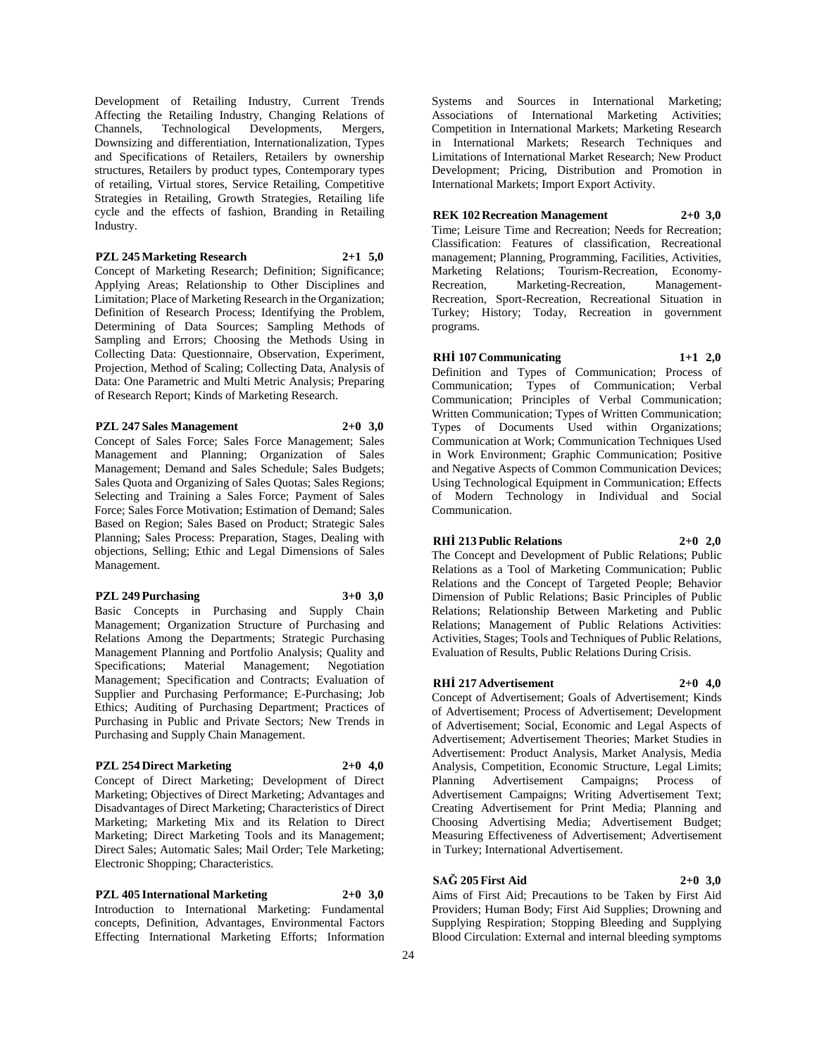Development of Retailing Industry, Current Trends Affecting the Retailing Industry, Changing Relations of Channels, Technological Developments, Mergers, Technological Developments, Mergers, Downsizing and differentiation, Internationalization, Types and Specifications of Retailers, Retailers by ownership structures, Retailers by product types, Contemporary types of retailing, Virtual stores, Service Retailing, Competitive Strategies in Retailing, Growth Strategies, Retailing life cycle and the effects of fashion, Branding in Retailing Industry.

### **PZL 245 Marketing Research 2+1 5,0**

Concept of Marketing Research; Definition; Significance; Applying Areas; Relationship to Other Disciplines and Limitation; Place of Marketing Research in the Organization; Definition of Research Process; Identifying the Problem, Determining of Data Sources; Sampling Methods of Sampling and Errors; Choosing the Methods Using in Collecting Data: Questionnaire, Observation, Experiment, Projection, Method of Scaling; Collecting Data, Analysis of Data: One Parametric and Multi Metric Analysis; Preparing of Research Report; Kinds of Marketing Research.

# **PZL 247 Sales Management 2+0 3,0**

Concept of Sales Force; Sales Force Management; Sales Management and Planning; Organization of Sales Management; Demand and Sales Schedule; Sales Budgets; Sales Quota and Organizing of Sales Quotas; Sales Regions; Selecting and Training a Sales Force; Payment of Sales Force; Sales Force Motivation; Estimation of Demand; Sales Based on Region; Sales Based on Product; Strategic Sales Planning; Sales Process: Preparation, Stages, Dealing with objections, Selling; Ethic and Legal Dimensions of Sales Management.

# **PZL 249 Purchasing 3+0 3,0**

Basic Concepts in Purchasing and Supply Chain Management; Organization Structure of Purchasing and Relations Among the Departments; Strategic Purchasing Management Planning and Portfolio Analysis; Quality and Specifications; Material Management; Negotiation Management; Specification and Contracts; Evaluation of Supplier and Purchasing Performance; E-Purchasing; Job Ethics; Auditing of Purchasing Department; Practices of Purchasing in Public and Private Sectors; New Trends in Purchasing and Supply Chain Management.

### **PZL 254 Direct Marketing 2+0 4,0**

Concept of Direct Marketing; Development of Direct Marketing; Objectives of Direct Marketing; Advantages and Disadvantages of Direct Marketing; Characteristics of Direct Marketing; Marketing Mix and its Relation to Direct Marketing; Direct Marketing Tools and its Management; Direct Sales; Automatic Sales; Mail Order; Tele Marketing; Electronic Shopping; Characteristics.

**PZL 405 International Marketing 2+0 3,0** Introduction to International Marketing: Fundamental concepts, Definition, Advantages, Environmental Factors Effecting International Marketing Efforts; Information

Systems and Sources in International Marketing; Associations of International Marketing Activities; Competition in International Markets; Marketing Research in International Markets; Research Techniques and Limitations of International Market Research; New Product Development; Pricing, Distribution and Promotion in International Markets; Import Export Activity.

### **REK 102 Recreation Management 2+0 3,0**

Time; Leisure Time and Recreation; Needs for Recreation; Classification: Features of classification, Recreational management; Planning, Programming, Facilities, Activities, Marketing Relations; Tourism-Recreation, Economy-Recreation, Marketing-Recreation, Management-Recreation, Sport-Recreation, Recreational Situation in Turkey; History; Today, Recreation in government programs.

# **RHİ 107 Communicating 1+1 2,0**

Definition and Types of Communication; Process of Communication; Types of Communication; Verbal Communication; Principles of Verbal Communication; Written Communication; Types of Written Communication; Types of Documents Used within Organizations; Communication at Work; Communication Techniques Used in Work Environment; Graphic Communication; Positive and Negative Aspects of Common Communication Devices; Using Technological Equipment in Communication; Effects of Modern Technology in Individual and Social Communication.

# **RHİ 213 Public Relations 2+0 2,0**

The Concept and Development of Public Relations; Public Relations as a Tool of Marketing Communication; Public Relations and the Concept of Targeted People; Behavior Dimension of Public Relations; Basic Principles of Public Relations; Relationship Between Marketing and Public Relations; Management of Public Relations Activities: Activities, Stages; Tools and Techniques of Public Relations, Evaluation of Results, Public Relations During Crisis.

# **RHİ 217 Advertisement 2+0 4,0**

Concept of Advertisement; Goals of Advertisement; Kinds of Advertisement; Process of Advertisement; Development of Advertisement; Social, Economic and Legal Aspects of Advertisement; Advertisement Theories; Market Studies in Advertisement: Product Analysis, Market Analysis, Media Analysis, Competition, Economic Structure, Legal Limits; Planning Advertisement Campaigns; Process of Advertisement Campaigns; Writing Advertisement Text; Creating Advertisement for Print Media; Planning and Choosing Advertising Media; Advertisement Budget; Measuring Effectiveness of Advertisement; Advertisement in Turkey; International Advertisement.

# **SAĞ 205 First Aid 2+0 3,0**

Aims of First Aid; Precautions to be Taken by First Aid Providers; Human Body; First Aid Supplies; Drowning and Supplying Respiration; Stopping Bleeding and Supplying Blood Circulation: External and internal bleeding symptoms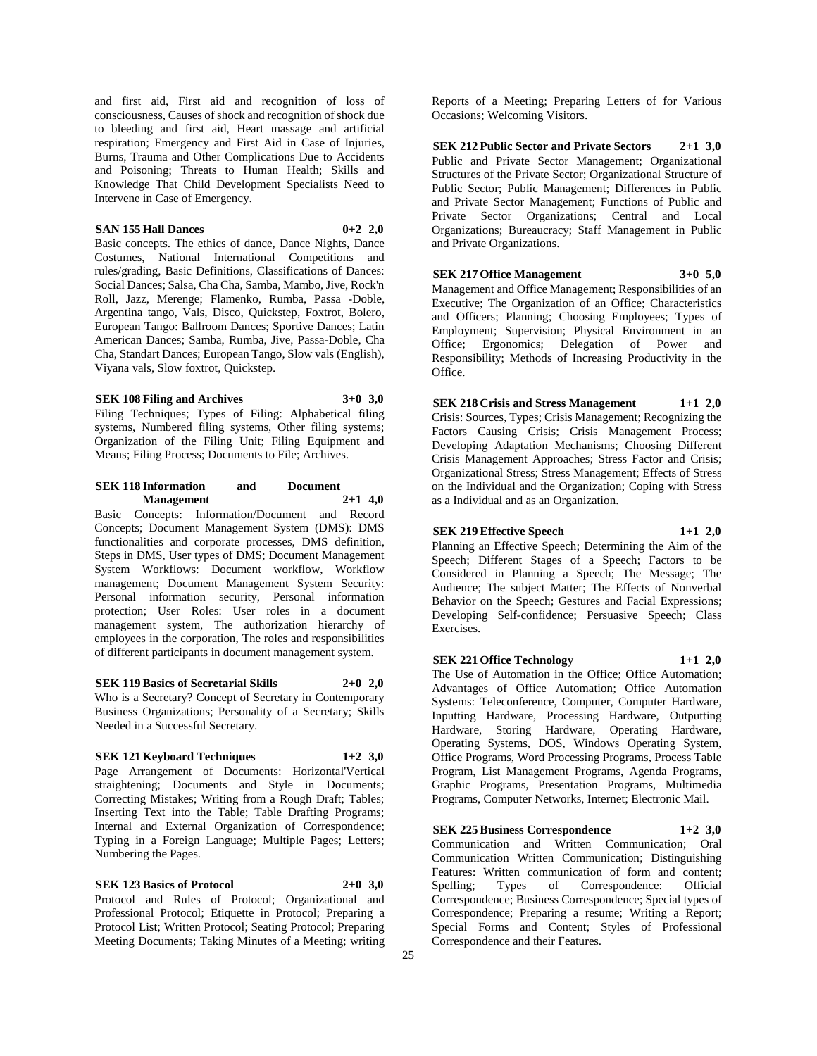and first aid, First aid and recognition of loss of consciousness, Causes of shock and recognition of shock due to bleeding and first aid, Heart massage and artificial respiration; Emergency and First Aid in Case of Injuries, Burns, Trauma and Other Complications Due to Accidents and Poisoning; Threats to Human Health; Skills and Knowledge That Child Development Specialists Need to Intervene in Case of Emergency.

# **SAN 155 Hall Dances 0+2 2,0**

Basic concepts. The ethics of dance, Dance Nights, Dance Costumes, National International Competitions and rules/grading, Basic Definitions, Classifications of Dances: Social Dances; Salsa, Cha Cha, Samba, Mambo, Jive, Rock'n Roll, Jazz, Merenge; Flamenko, Rumba, Passa -Doble, Argentina tango, Vals, Disco, Quickstep, Foxtrot, Bolero, European Tango: Ballroom Dances; Sportive Dances; Latin American Dances; Samba, Rumba, Jive, Passa-Doble, Cha Cha, Standart Dances; European Tango, Slow vals (English), Viyana vals, Slow foxtrot, Quickstep.

**SEK 108 Filing and Archives 3+0 3,0** Filing Techniques; Types of Filing: Alphabetical filing systems, Numbered filing systems, Other filing systems; Organization of the Filing Unit; Filing Equipment and Means; Filing Process; Documents to File; Archives.

# **SEK 118 Information and Document Management 2+1 4,0**

Basic Concepts: Information/Document and Record Concepts; Document Management System (DMS): DMS functionalities and corporate processes, DMS definition, Steps in DMS, User types of DMS; Document Management System Workflows: Document workflow, Workflow management; Document Management System Security: Personal information security, Personal information protection; User Roles: User roles in a document management system, The authorization hierarchy of employees in the corporation, The roles and responsibilities of different participants in document management system.

### **SEK 119 Basics of Secretarial Skills 2+0 2,0**

Who is a Secretary? Concept of Secretary in Contemporary Business Organizations; Personality of a Secretary; Skills Needed in a Successful Secretary.

# **SEK 121 Keyboard Techniques 1+2 3,0**

Page Arrangement of Documents: Horizontal'Vertical straightening; Documents and Style in Documents; Correcting Mistakes; Writing from a Rough Draft; Tables; Inserting Text into the Table; Table Drafting Programs; Internal and External Organization of Correspondence; Typing in a Foreign Language; Multiple Pages; Letters; Numbering the Pages.

**SEK 123 Basics of Protocol 2+0 3,0**

Protocol and Rules of Protocol; Organizational and Professional Protocol; Etiquette in Protocol; Preparing a Protocol List; Written Protocol; Seating Protocol; Preparing Meeting Documents; Taking Minutes of a Meeting; writing

Reports of a Meeting; Preparing Letters of for Various Occasions; Welcoming Visitors.

**SEK 212 Public Sector and Private Sectors 2+1 3,0** Public and Private Sector Management; Organizational Structures of the Private Sector; Organizational Structure of Public Sector; Public Management; Differences in Public and Private Sector Management; Functions of Public and Private Sector Organizations; Central and Local Organizations; Bureaucracy; Staff Management in Public and Private Organizations.

**SEK 217 Office Management 3+0 5,0** Management and Office Management; Responsibilities of an Executive; The Organization of an Office; Characteristics and Officers; Planning; Choosing Employees; Types of Employment; Supervision; Physical Environment in an Office; Ergonomics; Delegation of Power and Responsibility; Methods of Increasing Productivity in the Office.

**SEK 218 Crisis and Stress Management 1+1 2,0** Crisis: Sources, Types; Crisis Management; Recognizing the Factors Causing Crisis; Crisis Management Process; Developing Adaptation Mechanisms; Choosing Different Crisis Management Approaches; Stress Factor and Crisis; Organizational Stress; Stress Management; Effects of Stress on the Individual and the Organization; Coping with Stress as a Individual and as an Organization.

**SEK 219 Effective Speech 1+1 2,0** Planning an Effective Speech; Determining the Aim of the Speech; Different Stages of a Speech; Factors to be

Considered in Planning a Speech; The Message; The Audience; The subject Matter; The Effects of Nonverbal Behavior on the Speech; Gestures and Facial Expressions; Developing Self-confidence; Persuasive Speech; Class Exercises.

**SEK 221 Office Technology 1+1 2,0**

The Use of Automation in the Office; Office Automation; Advantages of Office Automation; Office Automation Systems: Teleconference, Computer, Computer Hardware, Inputting Hardware, Processing Hardware, Outputting Hardware, Storing Hardware, Operating Hardware, Operating Systems, DOS, Windows Operating System, Office Programs, Word Processing Programs, Process Table Program, List Management Programs, Agenda Programs, Graphic Programs, Presentation Programs, Multimedia Programs, Computer Networks, Internet; Electronic Mail.

**SEK 225 Business Correspondence 1+2 3,0** Communication and Written Communication; Oral Communication Written Communication; Distinguishing Features: Written communication of form and content; Spelling; Types of Correspondence: Official Correspondence; Business Correspondence; Special types of Correspondence; Preparing a resume; Writing a Report; Special Forms and Content; Styles of Professional Correspondence and their Features.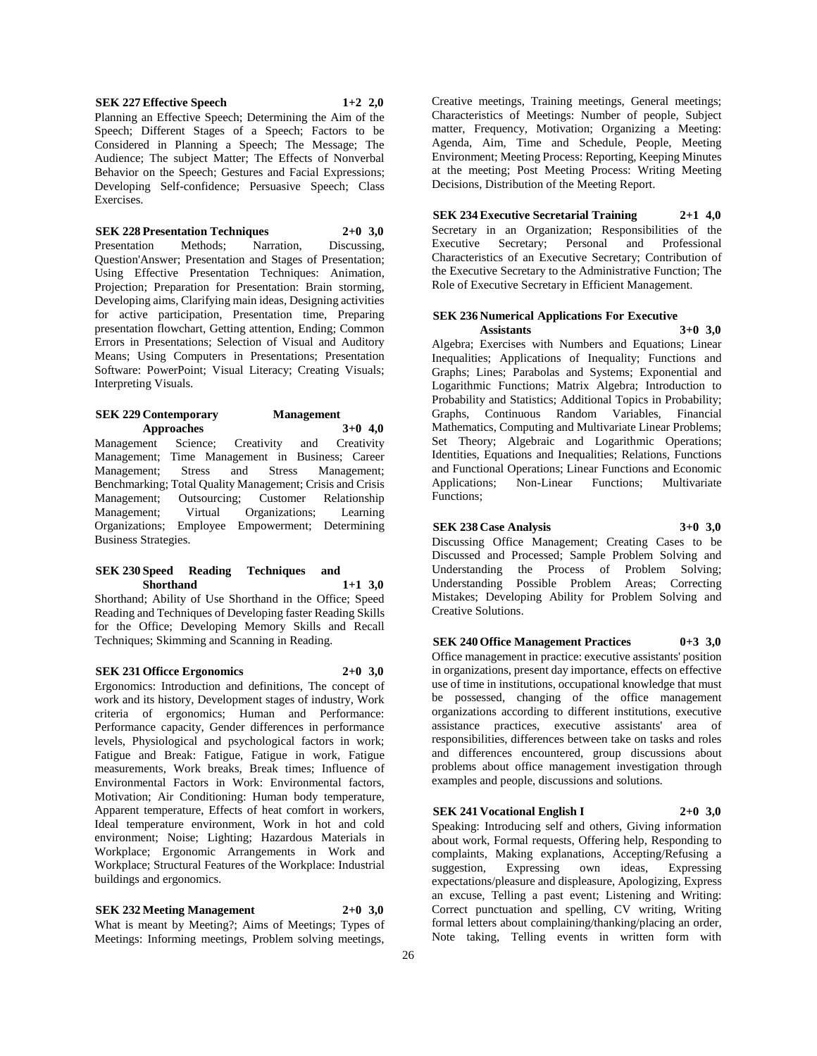**SEK 227 Effective Speech 1+2 2,0** Planning an Effective Speech; Determining the Aim of the Speech; Different Stages of a Speech; Factors to be Considered in Planning a Speech; The Message; The Audience; The subject Matter; The Effects of Nonverbal Behavior on the Speech; Gestures and Facial Expressions; Developing Self-confidence; Persuasive Speech; Class Exercises.

### **SEK 228 Presentation Techniques 2+0 3,0**

Presentation Methods; Narration, Discussing, Question'Answer; Presentation and Stages of Presentation; Using Effective Presentation Techniques: Animation, Projection; Preparation for Presentation: Brain storming, Developing aims, Clarifying main ideas, Designing activities for active participation, Presentation time, Preparing presentation flowchart, Getting attention, Ending; Common Errors in Presentations; Selection of Visual and Auditory Means; Using Computers in Presentations; Presentation Software: PowerPoint; Visual Literacy; Creating Visuals; Interpreting Visuals.

### **SEK 229 Contemporary Management Approaches 3+0 4,0** Management Science; Creativity and Creativity Management; Time Management in Business; Career Management; Stress and Stress Management; Benchmarking; Total Quality Management; Crisis and Crisis Management; Outsourcing; Customer Relationship Management; Virtual Organizations; Learning Organizations; Employee Empowerment; Determining Business Strategies.

#### **SEK 230 Speed Reading Techniques and Shorthand 1+1 3,0**

Shorthand; Ability of Use Shorthand in the Office; Speed Reading and Techniques of Developing faster Reading Skills for the Office; Developing Memory Skills and Recall Techniques; Skimming and Scanning in Reading.

**SEK 231 Officce Ergonomics 2+0 3,0** Ergonomics: Introduction and definitions, The concept of work and its history, Development stages of industry, Work criteria of ergonomics; Human and Performance: Performance capacity, Gender differences in performance levels, Physiological and psychological factors in work; Fatigue and Break: Fatigue, Fatigue in work, Fatigue measurements, Work breaks, Break times; Influence of Environmental Factors in Work: Environmental factors, Motivation; Air Conditioning: Human body temperature, Apparent temperature, Effects of heat comfort in workers, Ideal temperature environment, Work in hot and cold environment; Noise; Lighting; Hazardous Materials in Workplace; Ergonomic Arrangements in Work and Workplace; Structural Features of the Workplace: Industrial buildings and ergonomics.

**SEK 232 Meeting Management 2+0 3,0**

What is meant by Meeting?; Aims of Meetings; Types of Meetings: Informing meetings, Problem solving meetings,

Creative meetings, Training meetings, General meetings; Characteristics of Meetings: Number of people, Subject matter, Frequency, Motivation; Organizing a Meeting: Agenda, Aim, Time and Schedule, People, Meeting Environment; Meeting Process: Reporting, Keeping Minutes at the meeting; Post Meeting Process: Writing Meeting Decisions, Distribution of the Meeting Report.

**SEK 234 Executive Secretarial Training 2+1 4,0** Secretary in an Organization; Responsibilities of the Executive Secretary; Personal and Professional Characteristics of an Executive Secretary; Contribution of the Executive Secretary to the Administrative Function; The Role of Executive Secretary in Efficient Management.

# **SEK 236 Numerical Applications For Executive**

**Assistants 3+0 3,0** Algebra; Exercises with Numbers and Equations; Linear Inequalities; Applications of Inequality; Functions and Graphs; Lines; Parabolas and Systems; Exponential and Logarithmic Functions; Matrix Algebra; Introduction to Probability and Statistics; Additional Topics in Probability; Graphs, Continuous Random Variables, Financial Mathematics, Computing and Multivariate Linear Problems; Set Theory; Algebraic and Logarithmic Operations; Identities, Equations and Inequalities; Relations, Functions and Functional Operations; Linear Functions and Economic<br>Applications; Non-Linear Functions; Multivariate Applications; Functions;

#### **SEK 238 Case Analysis 3+0 3,0**

Discussing Office Management; Creating Cases to be Discussed and Processed; Sample Problem Solving and Understanding the Process of Problem Solving; Understanding Possible Problem Areas; Correcting Mistakes; Developing Ability for Problem Solving and Creative Solutions.

**SEK 240 Office Management Practices 0+3 3,0** Office management in practice: executive assistants' position in organizations, present day importance, effects on effective use of time in institutions, occupational knowledge that must be possessed, changing of the office management organizations according to different institutions, executive assistance practices, executive assistants' area of responsibilities, differences between take on tasks and roles and differences encountered, group discussions about problems about office management investigation through examples and people, discussions and solutions.

**SEK 241 Vocational English I 2+0 3,0** Speaking: Introducing self and others, Giving information about work, Formal requests, Offering help, Responding to complaints, Making explanations, Accepting/Refusing a Expressing own ideas, Expressing expectations/pleasure and displeasure, Apologizing, Express an excuse, Telling a past event; Listening and Writing: Correct punctuation and spelling, CV writing, Writing formal letters about complaining/thanking/placing an order, Note taking, Telling events in written form with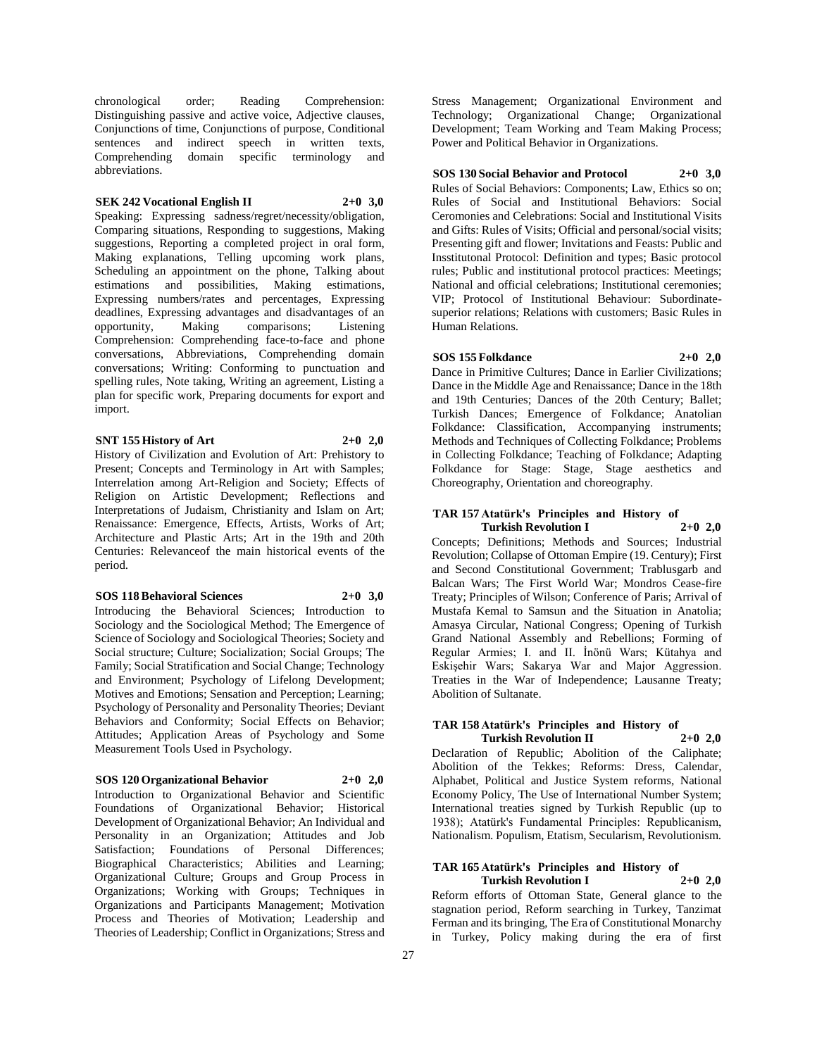chronological order; Reading Comprehension: Distinguishing passive and active voice, Adjective clauses, Conjunctions of time, Conjunctions of purpose, Conditional sentences and indirect speech in written texts, Comprehending domain specific terminology and abbreviations.

# **SEK 242 Vocational English II 2+0 3,0**

Speaking: Expressing sadness/regret/necessity/obligation, Comparing situations, Responding to suggestions, Making suggestions, Reporting a completed project in oral form, Making explanations, Telling upcoming work plans, Scheduling an appointment on the phone, Talking about estimations and possibilities, Making estimations, Expressing numbers/rates and percentages, Expressing deadlines, Expressing advantages and disadvantages of an opportunity, Making comparisons; Listening Comprehension: Comprehending face-to-face and phone conversations, Abbreviations, Comprehending domain conversations; Writing: Conforming to punctuation and spelling rules, Note taking, Writing an agreement, Listing a plan for specific work, Preparing documents for export and import.

# **SNT 155 History of Art 2+0 2,0**

History of Civilization and Evolution of Art: Prehistory to Present; Concepts and Terminology in Art with Samples; Interrelation among Art-Religion and Society; Effects of Religion on Artistic Development; Reflections and Interpretations of Judaism, Christianity and Islam on Art; Renaissance: Emergence, Effects, Artists, Works of Art; Architecture and Plastic Arts; Art in the 19th and 20th Centuries: Relevanceof the main historical events of the period.

# **SOS 118 Behavioral Sciences 2+0 3,0**

Introducing the Behavioral Sciences; Introduction to Sociology and the Sociological Method; The Emergence of Science of Sociology and Sociological Theories; Society and Social structure; Culture; Socialization; Social Groups; The Family; Social Stratification and Social Change; Technology and Environment; Psychology of Lifelong Development; Motives and Emotions; Sensation and Perception; Learning; Psychology of Personality and Personality Theories; Deviant Behaviors and Conformity; Social Effects on Behavior; Attitudes; Application Areas of Psychology and Some Measurement Tools Used in Psychology.

# **SOS 120 Organizational Behavior 2+0 2,0**

Introduction to Organizational Behavior and Scientific Foundations of Organizational Behavior; Historical Development of Organizational Behavior; An Individual and Personality in an Organization; Attitudes and Job Satisfaction; Foundations of Personal Differences; Biographical Characteristics; Abilities and Learning; Organizational Culture; Groups and Group Process in Organizations; Working with Groups; Techniques in Organizations and Participants Management; Motivation Process and Theories of Motivation; Leadership and Theories of Leadership; Conflict in Organizations; Stress and

Stress Management; Organizational Environment and Technology; Organizational Change; Organizational Development; Team Working and Team Making Process; Power and Political Behavior in Organizations.

#### **SOS 130 Social Behavior and Protocol 2+0 3,0**

Rules of Social Behaviors: Components; Law, Ethics so on; Rules of Social and Institutional Behaviors: Social Ceromonies and Celebrations: Social and Institutional Visits and Gifts: Rules of Visits; Official and personal/social visits; Presenting gift and flower; Invitations and Feasts: Public and Insstitutonal Protocol: Definition and types; Basic protocol rules; Public and institutional protocol practices: Meetings; National and official celebrations; Institutional ceremonies; VIP; Protocol of Institutional Behaviour: Subordinatesuperior relations; Relations with customers; Basic Rules in Human Relations.

#### **SOS 155 Folkdance 2+0 2,0**

Dance in Primitive Cultures; Dance in Earlier Civilizations; Dance in the Middle Age and Renaissance; Dance in the 18th and 19th Centuries; Dances of the 20th Century; Ballet; Turkish Dances; Emergence of Folkdance; Anatolian Folkdance: Classification, Accompanying instruments; Methods and Techniques of Collecting Folkdance; Problems in Collecting Folkdance; Teaching of Folkdance; Adapting Folkdance for Stage: Stage, Stage aesthetics and Choreography, Orientation and choreography.

#### **TAR 157 Atatürk's Principles and History of Turkish Revolution I 2+0 2,0**

Concepts; Definitions; Methods and Sources; Industrial Revolution; Collapse of Ottoman Empire (19. Century); First and Second Constitutional Government; Trablusgarb and Balcan Wars; The First World War; Mondros Cease-fire Treaty; Principles of Wilson; Conference of Paris; Arrival of Mustafa Kemal to Samsun and the Situation in Anatolia; Amasya Circular, National Congress; Opening of Turkish Grand National Assembly and Rebellions; Forming of Regular Armies; I. and II. İnönü Wars; Kütahya and Eskişehir Wars; Sakarya War and Major Aggression. Treaties in the War of Independence; Lausanne Treaty; Abolition of Sultanate.

#### **TAR 158 Atatürk's Principles and History of Turkish Revolution II 2+0 2,0**

Declaration of Republic; Abolition of the Caliphate; Abolition of the Tekkes; Reforms: Dress, Calendar, Alphabet, Political and Justice System reforms, National Economy Policy, The Use of International Number System; International treaties signed by Turkish Republic (up to 1938); Atatürk's Fundamental Principles: Republicanism, Nationalism. Populism, Etatism, Secularism, Revolutionism.

#### **TAR 165 Atatürk's Principles and History of Turkish Revolution I 2+0 2,0**

Reform efforts of Ottoman State, General glance to the stagnation period, Reform searching in Turkey, Tanzimat Ferman and its bringing, The Era of Constitutional Monarchy in Turkey, Policy making during the era of first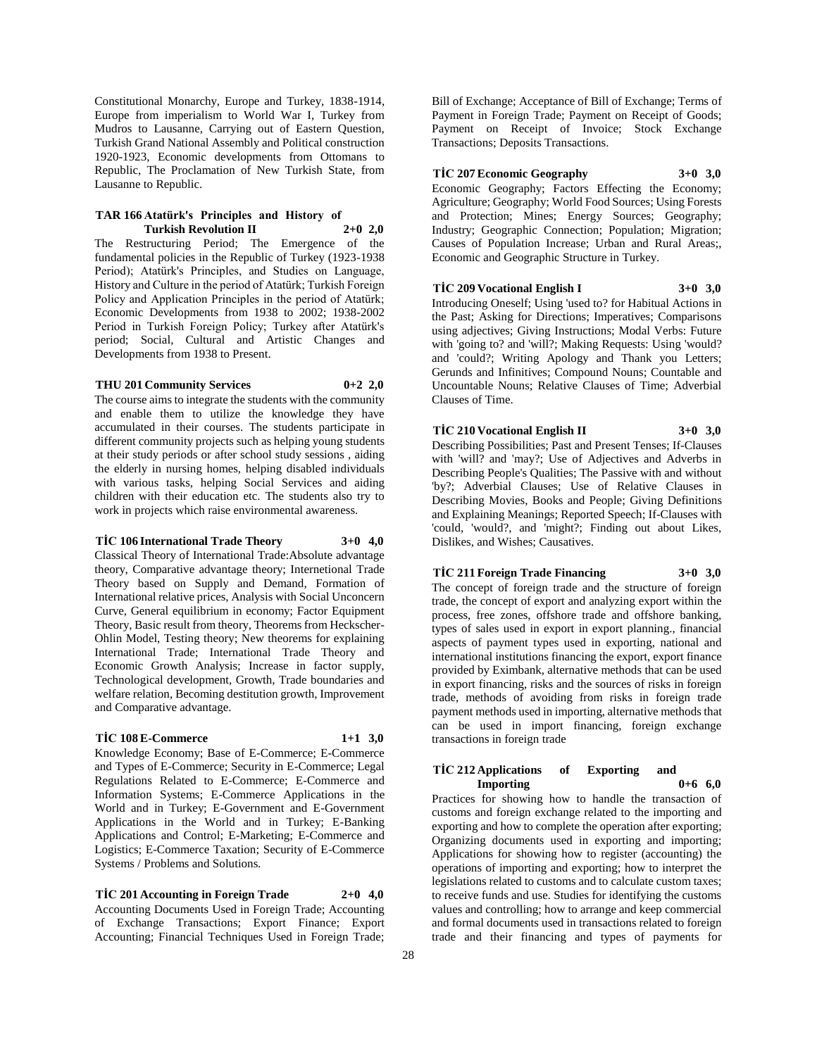Constitutional Monarchy, Europe and Turkey, 1838-1914, Europe from imperialism to World War I, Turkey from Mudros to Lausanne, Carrying out of Eastern Question, Turkish Grand National Assembly and Political construction 1920-1923, Economic developments from Ottomans to Republic, The Proclamation of New Turkish State, from Lausanne to Republic.

#### **TAR 166 Atatürk's Principles and History of Turkish Revolution II 2+0 2,0**

The Restructuring Period; The Emergence of the fundamental policies in the Republic of Turkey (1923-1938 Period); Atatürk's Principles, and Studies on Language, History and Culture in the period of Atatürk; Turkish Foreign Policy and Application Principles in the period of Atatürk; Economic Developments from 1938 to 2002; 1938-2002 Period in Turkish Foreign Policy; Turkey after Atatürk's period; Social, Cultural and Artistic Changes and Developments from 1938 to Present.

### **THU 201 Community Services 0+2 2,0**

The course aims to integrate the students with the community and enable them to utilize the knowledge they have accumulated in their courses. The students participate in different community projects such as helping young students at their study periods or after school study sessions , aiding the elderly in nursing homes, helping disabled individuals with various tasks, helping Social Services and aiding children with their education etc. The students also try to work in projects which raise environmental awareness.

#### **TİC 106 International Trade Theory 3+0 4,0**

Classical Theory of International Trade:Absolute advantage theory, Comparative advantage theory; Internetional Trade Theory based on Supply and Demand, Formation of International relative prices, Analysis with Social Unconcern Curve, General equilibrium in economy; Factor Equipment Theory, Basic result from theory, Theorems from Heckscher-Ohlin Model, Testing theory; New theorems for explaining International Trade; International Trade Theory and Economic Growth Analysis; Increase in factor supply, Technological development, Growth, Trade boundaries and welfare relation, Becoming destitution growth, Improvement and Comparative advantage.

#### **TİC 108 E-Commerce 1+1 3,0**

Knowledge Economy; Base of E-Commerce; E-Commerce and Types of E-Commerce; Security in E-Commerce; Legal Regulations Related to E-Commerce; E-Commerce and Information Systems; E-Commerce Applications in the World and in Turkey; E-Government and E-Government Applications in the World and in Turkey; E-Banking Applications and Control; E-Marketing; E-Commerce and Logistics; E-Commerce Taxation; Security of E-Commerce Systems / Problems and Solutions.

**TİC 201 Accounting in Foreign Trade 2+0 4,0** Accounting Documents Used in Foreign Trade; Accounting of Exchange Transactions; Export Finance; Export Accounting; Financial Techniques Used in Foreign Trade; Bill of Exchange; Acceptance of Bill of Exchange; Terms of Payment in Foreign Trade; Payment on Receipt of Goods; Payment on Receipt of Invoice; Stock Exchange Transactions; Deposits Transactions.

#### **TİC 207 Economic Geography 3+0 3,0**

Economic Geography; Factors Effecting the Economy; Agriculture; Geography; World Food Sources; Using Forests and Protection; Mines; Energy Sources; Geography; Industry; Geographic Connection; Population; Migration; Causes of Population Increase; Urban and Rural Areas;, Economic and Geographic Structure in Turkey.

#### **TİC 209 Vocational English I 3+0 3,0**

Introducing Oneself; Using 'used to? for Habitual Actions in the Past; Asking for Directions; Imperatives; Comparisons using adjectives; Giving Instructions; Modal Verbs: Future with 'going to? and 'will?; Making Requests: Using 'would? and 'could?; Writing Apology and Thank you Letters; Gerunds and Infinitives; Compound Nouns; Countable and Uncountable Nouns; Relative Clauses of Time; Adverbial Clauses of Time.

**TİC 210 Vocational English II 3+0 3,0** Describing Possibilities; Past and Present Tenses; If-Clauses with 'will? and 'may?; Use of Adjectives and Adverbs in Describing People's Qualities; The Passive with and without 'by?; Adverbial Clauses; Use of Relative Clauses in Describing Movies, Books and People; Giving Definitions and Explaining Meanings; Reported Speech; If-Clauses with 'could, 'would?, and 'might?; Finding out about Likes, Dislikes, and Wishes; Causatives.

**TİC 211 Foreign Trade Financing 3+0 3,0** The concept of foreign trade and the structure of foreign trade, the concept of export and analyzing export within the process, free zones, offshore trade and offshore banking, types of sales used in export in export planning., financial aspects of payment types used in exporting, national and international institutions financing the export, export finance provided by Eximbank, alternative methods that can be used in export financing, risks and the sources of risks in foreign trade, methods of avoiding from risks in foreign trade payment methods used in importing, alternative methods that can be used in import financing, foreign exchange transactions in foreign trade

### **TİC 212 Applications of Exporting and Importing 0+6 6,0**

Practices for showing how to handle the transaction of customs and foreign exchange related to the importing and exporting and how to complete the operation after exporting; Organizing documents used in exporting and importing; Applications for showing how to register (accounting) the operations of importing and exporting; how to interpret the legislations related to customs and to calculate custom taxes; to receive funds and use. Studies for identifying the customs values and controlling; how to arrange and keep commercial and formal documents used in transactions related to foreign trade and their financing and types of payments for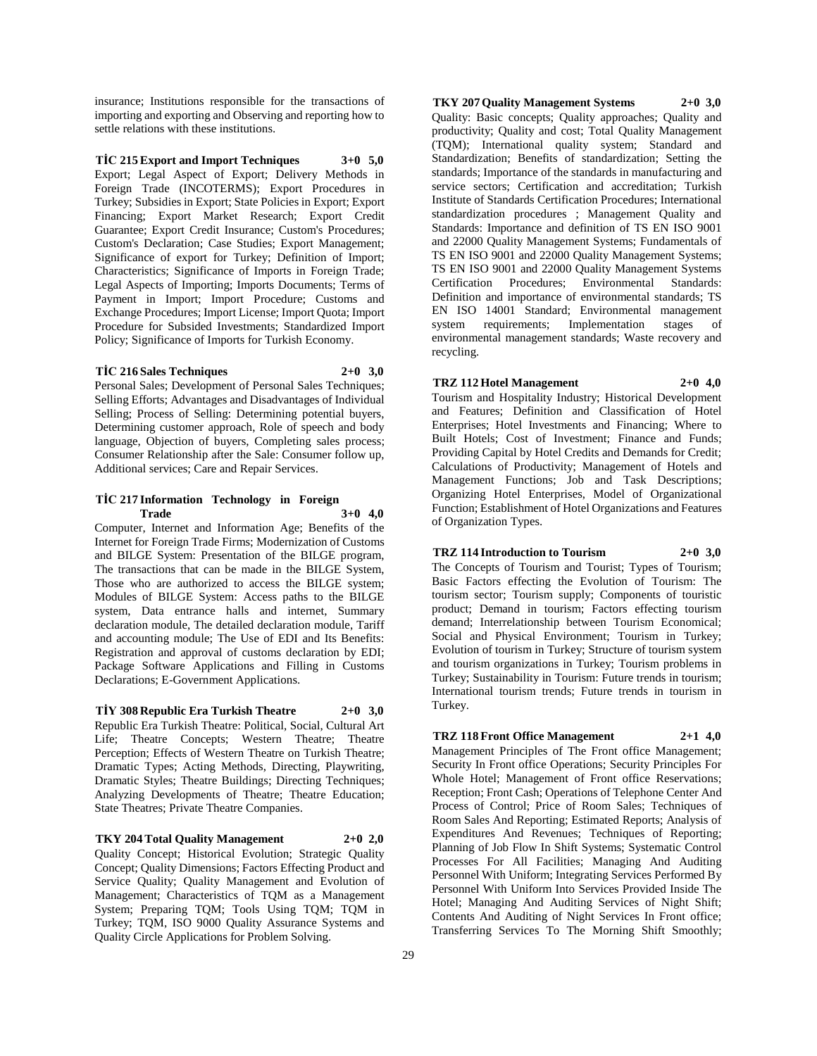insurance; Institutions responsible for the transactions of importing and exporting and Observing and reporting how to settle relations with these institutions.

**TİC 215 Export and Import Techniques 3+0 5,0** Export; Legal Aspect of Export; Delivery Methods in Foreign Trade (INCOTERMS); Export Procedures in Turkey; Subsidies in Export; State Policies in Export; Export Financing; Export Market Research; Export Credit Guarantee; Export Credit Insurance; Custom's Procedures; Custom's Declaration; Case Studies; Export Management; Significance of export for Turkey; Definition of Import; Characteristics; Significance of Imports in Foreign Trade; Legal Aspects of Importing; Imports Documents; Terms of Payment in Import; Import Procedure; Customs and Exchange Procedures; Import License; Import Quota; Import Procedure for Subsided Investments; Standardized Import Policy; Significance of Imports for Turkish Economy.

#### **TİC 216 Sales Techniques 2+0 3,0**

Personal Sales; Development of Personal Sales Techniques; Selling Efforts; Advantages and Disadvantages of Individual Selling; Process of Selling: Determining potential buyers, Determining customer approach, Role of speech and body language, Objection of buyers, Completing sales process; Consumer Relationship after the Sale: Consumer follow up, Additional services; Care and Repair Services.

### **TİC 217 Information Technology in Foreign Trade 3+0 4,0**

Computer, Internet and Information Age; Benefits of the Internet for Foreign Trade Firms; Modernization of Customs and BILGE System: Presentation of the BILGE program, The transactions that can be made in the BILGE System, Those who are authorized to access the BILGE system; Modules of BILGE System: Access paths to the BILGE system, Data entrance halls and internet, Summary declaration module, The detailed declaration module, Tariff and accounting module; The Use of EDI and Its Benefits: Registration and approval of customs declaration by EDI; Package Software Applications and Filling in Customs Declarations; E-Government Applications.

### **TİY 308 Republic Era Turkish Theatre 2+0 3,0**

Republic Era Turkish Theatre: Political, Social, Cultural Art Life; Theatre Concepts; Western Theatre; Theatre Perception; Effects of Western Theatre on Turkish Theatre; Dramatic Types; Acting Methods, Directing, Playwriting, Dramatic Styles; Theatre Buildings; Directing Techniques; Analyzing Developments of Theatre; Theatre Education; State Theatres; Private Theatre Companies.

**TKY 204 Total Quality Management 2+0 2,0**

Quality Concept; Historical Evolution; Strategic Quality Concept; Quality Dimensions; Factors Effecting Product and Service Quality; Quality Management and Evolution of Management; Characteristics of TQM as a Management System; Preparing TQM; Tools Using TQM; TQM in Turkey; TQM, ISO 9000 Quality Assurance Systems and Quality Circle Applications for Problem Solving.

**TKY 207 Quality Management Systems 2+0 3,0** Quality: Basic concepts; Quality approaches; Quality and productivity; Quality and cost; Total Quality Management (TQM); International quality system; Standard and Standardization; Benefits of standardization; Setting the standards; Importance of the standards in manufacturing and service sectors; Certification and accreditation; Turkish Institute of Standards Certification Procedures; International standardization procedures ; Management Quality and Standards: Importance and definition of TS EN ISO 9001 and 22000 Quality Management Systems; Fundamentals of TS EN ISO 9001 and 22000 Quality Management Systems; TS EN ISO 9001 and 22000 Quality Management Systems Certification Procedures; Environmental Standards: Definition and importance of environmental standards; TS EN ISO 14001 Standard; Environmental management system requirements; Implementation stages of environmental management standards; Waste recovery and recycling.

#### **TRZ 112 Hotel Management 2+0 4,0**

Tourism and Hospitality Industry; Historical Development and Features; Definition and Classification of Hotel Enterprises; Hotel Investments and Financing; Where to Built Hotels; Cost of Investment; Finance and Funds; Providing Capital by Hotel Credits and Demands for Credit; Calculations of Productivity; Management of Hotels and Management Functions; Job and Task Descriptions; Organizing Hotel Enterprises, Model of Organizational Function; Establishment of Hotel Organizations and Features of Organization Types.

# **TRZ 114 Introduction to Tourism 2+0 3,0**

The Concepts of Tourism and Tourist; Types of Tourism; Basic Factors effecting the Evolution of Tourism: The tourism sector; Tourism supply; Components of touristic product; Demand in tourism; Factors effecting tourism demand; Interrelationship between Tourism Economical; Social and Physical Environment; Tourism in Turkey; Evolution of tourism in Turkey; Structure of tourism system and tourism organizations in Turkey; Tourism problems in Turkey; Sustainability in Tourism: Future trends in tourism; International tourism trends; Future trends in tourism in Turkey.

# **TRZ 118 Front Office Management 2+1 4,0**

Management Principles of The Front office Management; Security In Front office Operations; Security Principles For Whole Hotel; Management of Front office Reservations; Reception; Front Cash; Operations of Telephone Center And Process of Control; Price of Room Sales; Techniques of Room Sales And Reporting; Estimated Reports; Analysis of Expenditures And Revenues; Techniques of Reporting; Planning of Job Flow In Shift Systems; Systematic Control Processes For All Facilities; Managing And Auditing Personnel With Uniform; Integrating Services Performed By Personnel With Uniform Into Services Provided Inside The Hotel; Managing And Auditing Services of Night Shift; Contents And Auditing of Night Services In Front office; Transferring Services To The Morning Shift Smoothly;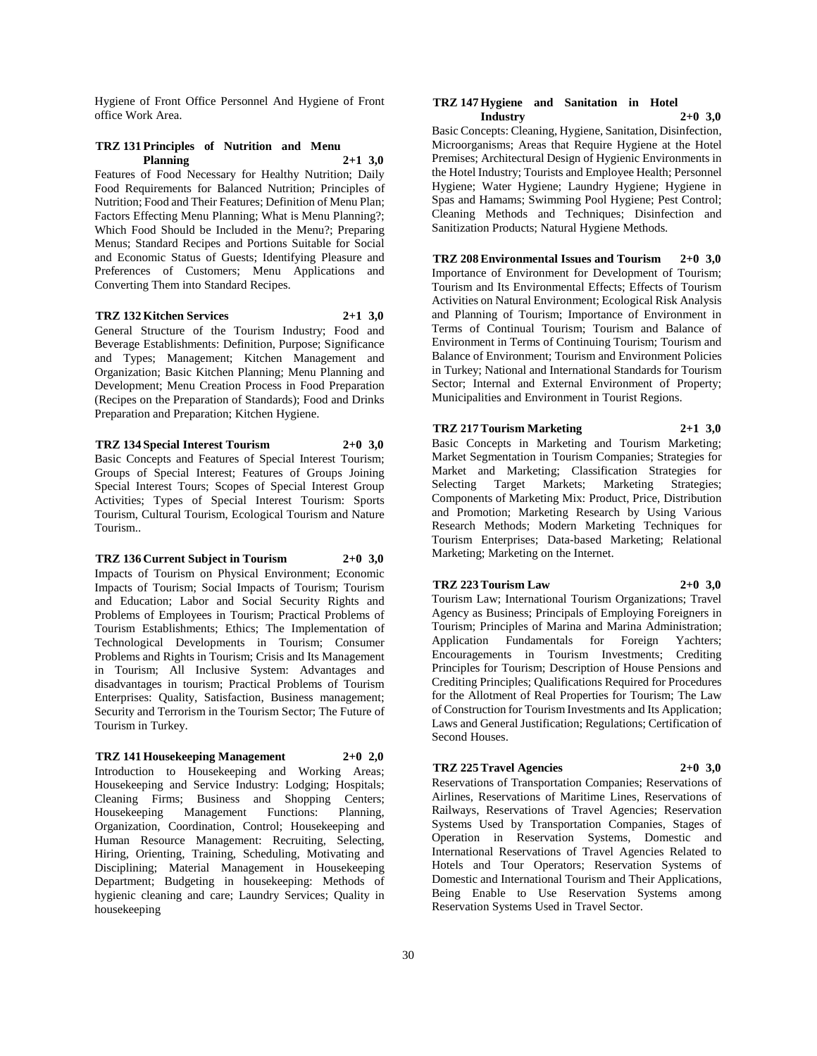Hygiene of Front Office Personnel And Hygiene of Front office Work Area.

### **TRZ 131 Principles of Nutrition and Menu Planning 2+1 3,0**

Features of Food Necessary for Healthy Nutrition; Daily Food Requirements for Balanced Nutrition; Principles of Nutrition; Food and Their Features; Definition of Menu Plan; Factors Effecting Menu Planning; What is Menu Planning?; Which Food Should be Included in the Menu?; Preparing Menus; Standard Recipes and Portions Suitable for Social and Economic Status of Guests; Identifying Pleasure and Preferences of Customers; Menu Applications and Converting Them into Standard Recipes.

#### **TRZ 132 Kitchen Services 2+1 3,0**

General Structure of the Tourism Industry; Food and Beverage Establishments: Definition, Purpose; Significance and Types; Management; Kitchen Management and Organization; Basic Kitchen Planning; Menu Planning and Development; Menu Creation Process in Food Preparation (Recipes on the Preparation of Standards); Food and Drinks Preparation and Preparation; Kitchen Hygiene.

# **TRZ 134 Special Interest Tourism 2+0 3,0**

Basic Concepts and Features of Special Interest Tourism; Groups of Special Interest; Features of Groups Joining Special Interest Tours; Scopes of Special Interest Group Activities; Types of Special Interest Tourism: Sports Tourism, Cultural Tourism, Ecological Tourism and Nature Tourism..

# **TRZ 136 Current Subject in Tourism 2+0 3,0**

Impacts of Tourism on Physical Environment; Economic Impacts of Tourism; Social Impacts of Tourism; Tourism and Education; Labor and Social Security Rights and Problems of Employees in Tourism; Practical Problems of Tourism Establishments; Ethics; The Implementation of Technological Developments in Tourism; Consumer Problems and Rights in Tourism; Crisis and Its Management in Tourism; All Inclusive System: Advantages and disadvantages in tourism; Practical Problems of Tourism Enterprises: Quality, Satisfaction, Business management; Security and Terrorism in the Tourism Sector; The Future of Tourism in Turkey.

# **TRZ 141 Housekeeping Management 2+0 2,0**

Introduction to Housekeeping and Working Areas; Housekeeping and Service Industry: Lodging; Hospitals; Cleaning Firms; Business and Shopping Centers; Housekeeping Management Organization, Coordination, Control; Housekeeping and Human Resource Management: Recruiting, Selecting, Hiring, Orienting, Training, Scheduling, Motivating and Disciplining; Material Management in Housekeeping Department; Budgeting in housekeeping: Methods of hygienic cleaning and care; Laundry Services; Quality in housekeeping

#### **TRZ 147 Hygiene and Sanitation in Hotel Industry 2+0 3,0**

Basic Concepts: Cleaning, Hygiene, Sanitation, Disinfection, Microorganisms; Areas that Require Hygiene at the Hotel Premises; Architectural Design of Hygienic Environments in the Hotel Industry; Tourists and Employee Health; Personnel Hygiene; Water Hygiene; Laundry Hygiene; Hygiene in Spas and Hamams; Swimming Pool Hygiene; Pest Control; Cleaning Methods and Techniques; Disinfection and Sanitization Products; Natural Hygiene Methods.

# **TRZ 208 Environmental Issues and Tourism 2+0 3,0** Importance of Environment for Development of Tourism;

Tourism and Its Environmental Effects; Effects of Tourism Activities on Natural Environment; Ecological Risk Analysis and Planning of Tourism; Importance of Environment in Terms of Continual Tourism; Tourism and Balance of Environment in Terms of Continuing Tourism; Tourism and Balance of Environment; Tourism and Environment Policies in Turkey; National and International Standards for Tourism Sector; Internal and External Environment of Property; Municipalities and Environment in Tourist Regions.

# **TRZ 217 Tourism Marketing 2+1 3,0**

Basic Concepts in Marketing and Tourism Marketing; Market Segmentation in Tourism Companies; Strategies for Market and Marketing; Classification Strategies for Selecting Target Markets; Marketing Strategies; Components of Marketing Mix: Product, Price, Distribution and Promotion; Marketing Research by Using Various Research Methods; Modern Marketing Techniques for Tourism Enterprises; Data-based Marketing; Relational Marketing; Marketing on the Internet.

### **TRZ 223 Tourism Law 2+0 3,0**

Tourism Law; International Tourism Organizations; Travel Agency as Business; Principals of Employing Foreigners in Tourism; Principles of Marina and Marina Administration; Application Fundamentals for Foreign Yachters; Encouragements in Tourism Investments; Crediting Principles for Tourism; Description of House Pensions and Crediting Principles; Qualifications Required for Procedures for the Allotment of Real Properties for Tourism; The Law of Construction for Tourism Investments and Its Application; Laws and General Justification; Regulations; Certification of Second Houses.

### **TRZ 225 Travel Agencies 2+0 3,0**

Reservations of Transportation Companies; Reservations of Airlines, Reservations of Maritime Lines, Reservations of Railways, Reservations of Travel Agencies; Reservation Systems Used by Transportation Companies, Stages of Operation in Reservation Systems, Domestic and International Reservations of Travel Agencies Related to Hotels and Tour Operators; Reservation Systems of Domestic and International Tourism and Their Applications, Being Enable to Use Reservation Systems among Reservation Systems Used in Travel Sector.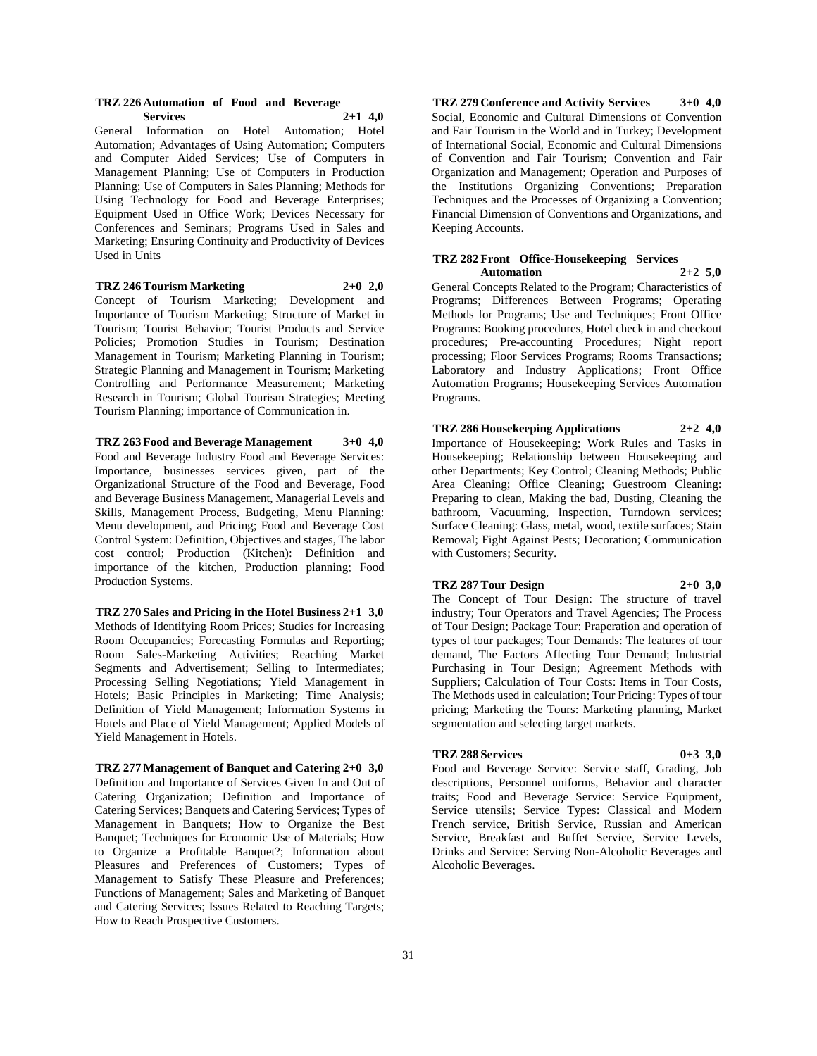#### **TRZ 226 Automation of Food and Beverage Services 2+1 4,0**

General Information on Hotel Automation; Hotel Automation; Advantages of Using Automation; Computers and Computer Aided Services; Use of Computers in Management Planning; Use of Computers in Production Planning; Use of Computers in Sales Planning; Methods for Using Technology for Food and Beverage Enterprises; Equipment Used in Office Work; Devices Necessary for Conferences and Seminars; Programs Used in Sales and Marketing; Ensuring Continuity and Productivity of Devices Used in Units

# **TRZ 246 Tourism Marketing 2+0 2,0**

Concept of Tourism Marketing; Development and Importance of Tourism Marketing; Structure of Market in Tourism; Tourist Behavior; Tourist Products and Service Policies; Promotion Studies in Tourism; Destination Management in Tourism; Marketing Planning in Tourism; Strategic Planning and Management in Tourism; Marketing Controlling and Performance Measurement; Marketing Research in Tourism; Global Tourism Strategies; Meeting Tourism Planning; importance of Communication in.

**TRZ 263 Food and Beverage Management 3+0 4,0** Food and Beverage Industry Food and Beverage Services: Importance, businesses services given, part of the Organizational Structure of the Food and Beverage, Food and Beverage Business Management, Managerial Levels and Skills, Management Process, Budgeting, Menu Planning: Menu development, and Pricing; Food and Beverage Cost Control System: Definition, Objectives and stages, The labor cost control; Production (Kitchen): Definition and importance of the kitchen, Production planning; Food Production Systems.

**TRZ 270 Sales and Pricing in the Hotel Business 2+1 3,0** Methods of Identifying Room Prices; Studies for Increasing Room Occupancies; Forecasting Formulas and Reporting; Room Sales-Marketing Activities; Reaching Market Segments and Advertisement; Selling to Intermediates; Processing Selling Negotiations; Yield Management in Hotels; Basic Principles in Marketing; Time Analysis; Definition of Yield Management; Information Systems in Hotels and Place of Yield Management; Applied Models of Yield Management in Hotels.

**TRZ 277 Management of Banquet and Catering 2+0 3,0** Definition and Importance of Services Given In and Out of Catering Organization; Definition and Importance of Catering Services; Banquets and Catering Services; Types of Management in Banquets; How to Organize the Best Banquet; Techniques for Economic Use of Materials; How to Organize a Profitable Banquet?; Information about Pleasures and Preferences of Customers; Types of Management to Satisfy These Pleasure and Preferences; Functions of Management; Sales and Marketing of Banquet and Catering Services; Issues Related to Reaching Targets; How to Reach Prospective Customers.

**TRZ 279 Conference and Activity Services 3+0 4,0** Social, Economic and Cultural Dimensions of Convention and Fair Tourism in the World and in Turkey; Development of International Social, Economic and Cultural Dimensions of Convention and Fair Tourism; Convention and Fair Organization and Management; Operation and Purposes of the Institutions Organizing Conventions; Preparation Techniques and the Processes of Organizing a Convention; Financial Dimension of Conventions and Organizations, and Keeping Accounts.

# **TRZ 282 Front Office-Housekeeping Services**

**Automation 2+2 5,0** General Concepts Related to the Program; Characteristics of Programs; Differences Between Programs; Operating Methods for Programs; Use and Techniques; Front Office Programs: Booking procedures, Hotel check in and checkout procedures; Pre-accounting Procedures; Night report processing; Floor Services Programs; Rooms Transactions; Laboratory and Industry Applications; Front Office Automation Programs; Housekeeping Services Automation Programs.

**TRZ 286 Housekeeping Applications 2+2 4,0** Importance of Housekeeping; Work Rules and Tasks in Housekeeping; Relationship between Housekeeping and other Departments; Key Control; Cleaning Methods; Public Area Cleaning; Office Cleaning; Guestroom Cleaning: Preparing to clean, Making the bad, Dusting, Cleaning the bathroom, Vacuuming, Inspection, Turndown services; Surface Cleaning: Glass, metal, wood, textile surfaces; Stain Removal; Fight Against Pests; Decoration; Communication with Customers; Security.

### **TRZ 287 Tour Design 2+0 3,0**

The Concept of Tour Design: The structure of travel industry; Tour Operators and Travel Agencies; The Process of Tour Design; Package Tour: Praperation and operation of types of tour packages; Tour Demands: The features of tour demand, The Factors Affecting Tour Demand; Industrial Purchasing in Tour Design; Agreement Methods with Suppliers; Calculation of Tour Costs: Items in Tour Costs, The Methods used in calculation; Tour Pricing: Types of tour pricing; Marketing the Tours: Marketing planning, Market segmentation and selecting target markets.

#### **TRZ 288 Services 0+3 3,0**

Food and Beverage Service: Service staff, Grading, Job descriptions, Personnel uniforms, Behavior and character traits; Food and Beverage Service: Service Equipment, Service utensils; Service Types: Classical and Modern French service, British Service, Russian and American Service, Breakfast and Buffet Service, Service Levels, Drinks and Service: Serving Non-Alcoholic Beverages and Alcoholic Beverages.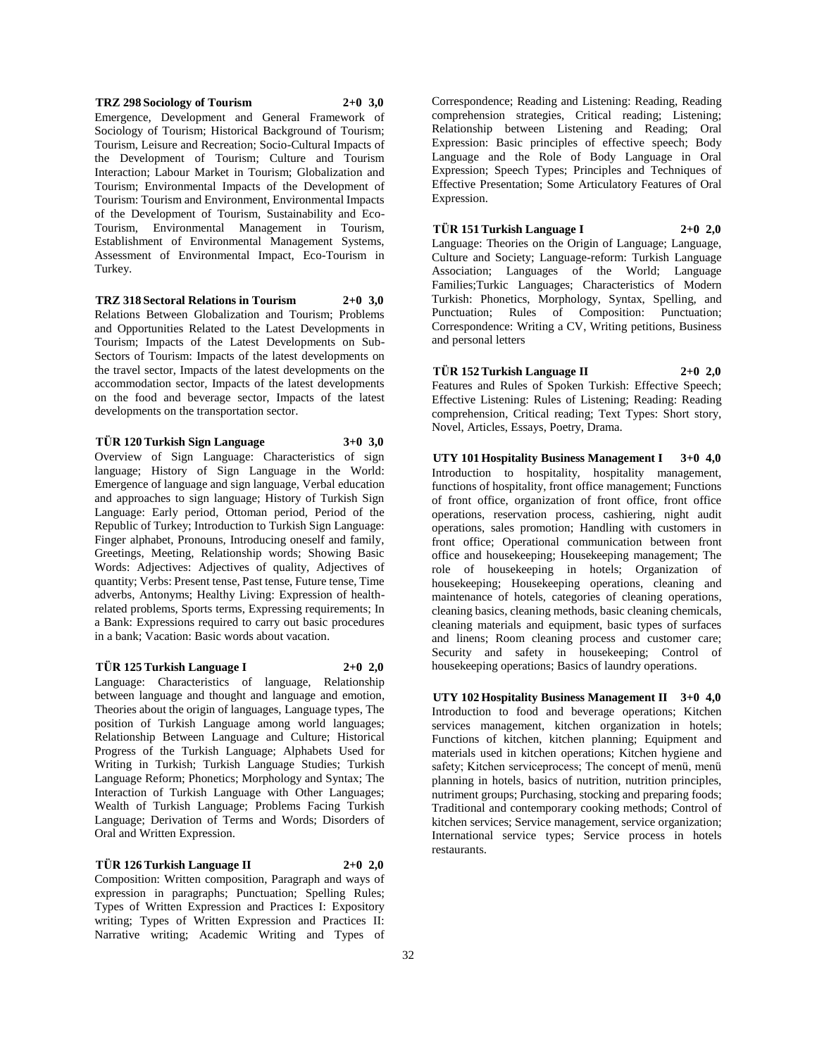**TRZ 298 Sociology of Tourism 2+0 3,0** Emergence, Development and General Framework of Sociology of Tourism; Historical Background of Tourism; Tourism, Leisure and Recreation; Socio-Cultural Impacts of the Development of Tourism; Culture and Tourism Interaction; Labour Market in Tourism; Globalization and Tourism; Environmental Impacts of the Development of Tourism: Tourism and Environment, Environmental Impacts of the Development of Tourism, Sustainability and Eco-Tourism, Environmental Management in Tourism, Establishment of Environmental Management Systems, Assessment of Environmental Impact, Eco-Tourism in Turkey.

**TRZ 318 Sectoral Relations in Tourism 2+0 3,0** Relations Between Globalization and Tourism; Problems and Opportunities Related to the Latest Developments in Tourism; Impacts of the Latest Developments on Sub-Sectors of Tourism: Impacts of the latest developments on the travel sector, Impacts of the latest developments on the accommodation sector, Impacts of the latest developments on the food and beverage sector, Impacts of the latest developments on the transportation sector.

**TÜR 120 Turkish Sign Language 3+0 3,0** Overview of Sign Language: Characteristics of sign language; History of Sign Language in the World: Emergence of language and sign language, Verbal education and approaches to sign language; History of Turkish Sign Language: Early period, Ottoman period, Period of the Republic of Turkey; Introduction to Turkish Sign Language: Finger alphabet, Pronouns, Introducing oneself and family, Greetings, Meeting, Relationship words; Showing Basic Words: Adjectives: Adjectives of quality, Adjectives of quantity; Verbs: Present tense, Past tense, Future tense, Time adverbs, Antonyms; Healthy Living: Expression of healthrelated problems, Sports terms, Expressing requirements; In a Bank: Expressions required to carry out basic procedures in a bank; Vacation: Basic words about vacation.

# **TÜR 125 Turkish Language I 2+0 2,0** Language: Characteristics of language, Relationship between language and thought and language and emotion, Theories about the origin of languages, Language types, The position of Turkish Language among world languages; Relationship Between Language and Culture; Historical Progress of the Turkish Language; Alphabets Used for Writing in Turkish; Turkish Language Studies; Turkish Language Reform; Phonetics; Morphology and Syntax; The Interaction of Turkish Language with Other Languages; Wealth of Turkish Language; Problems Facing Turkish Language; Derivation of Terms and Words; Disorders of Oral and Written Expression.

**TÜR 126 Turkish Language II 2+0 2,0** Composition: Written composition, Paragraph and ways of expression in paragraphs; Punctuation; Spelling Rules; Types of Written Expression and Practices I: Expository writing; Types of Written Expression and Practices II: Narrative writing; Academic Writing and Types of

Correspondence; Reading and Listening: Reading, Reading comprehension strategies, Critical reading; Listening; Relationship between Listening and Reading; Oral Expression: Basic principles of effective speech; Body Language and the Role of Body Language in Oral Expression; Speech Types; Principles and Techniques of Effective Presentation; Some Articulatory Features of Oral Expression.

**TÜR 151 Turkish Language I 2+0 2,0** Language: Theories on the Origin of Language; Language, Culture and Society; Language-reform: Turkish Language Association; Languages of the World; Language Families;Turkic Languages; Characteristics of Modern Turkish: Phonetics, Morphology, Syntax, Spelling, and Punctuation; Rules of Composition: Punctuation; Correspondence: Writing a CV, Writing petitions, Business and personal letters

**TÜR 152 Turkish Language II 2+0 2,0** Features and Rules of Spoken Turkish: Effective Speech; Effective Listening: Rules of Listening; Reading: Reading comprehension, Critical reading; Text Types: Short story, Novel, Articles, Essays, Poetry, Drama.

**UTY 101 Hospitality Business Management I 3+0 4,0** Introduction to hospitality, hospitality management, functions of hospitality, front office management; Functions of front office, organization of front office, front office operations, reservation process, cashiering, night audit operations, sales promotion; Handling with customers in front office; Operational communication between front office and housekeeping; Housekeeping management; The role of housekeeping in hotels; Organization of housekeeping; Housekeeping operations, cleaning and maintenance of hotels, categories of cleaning operations, cleaning basics, cleaning methods, basic cleaning chemicals, cleaning materials and equipment, basic types of surfaces and linens; Room cleaning process and customer care; Security and safety in housekeeping; Control of housekeeping operations; Basics of laundry operations.

**UTY 102 Hospitality Business Management II 3+0 4,0** Introduction to food and beverage operations; Kitchen services management, kitchen organization in hotels; Functions of kitchen, kitchen planning; Equipment and materials used in kitchen operations; Kitchen hygiene and safety; Kitchen serviceprocess; The concept of menü, menü planning in hotels, basics of nutrition, nutrition principles, nutriment groups; Purchasing, stocking and preparing foods; Traditional and contemporary cooking methods; Control of kitchen services; Service management, service organization; International service types; Service process in hotels restaurants.